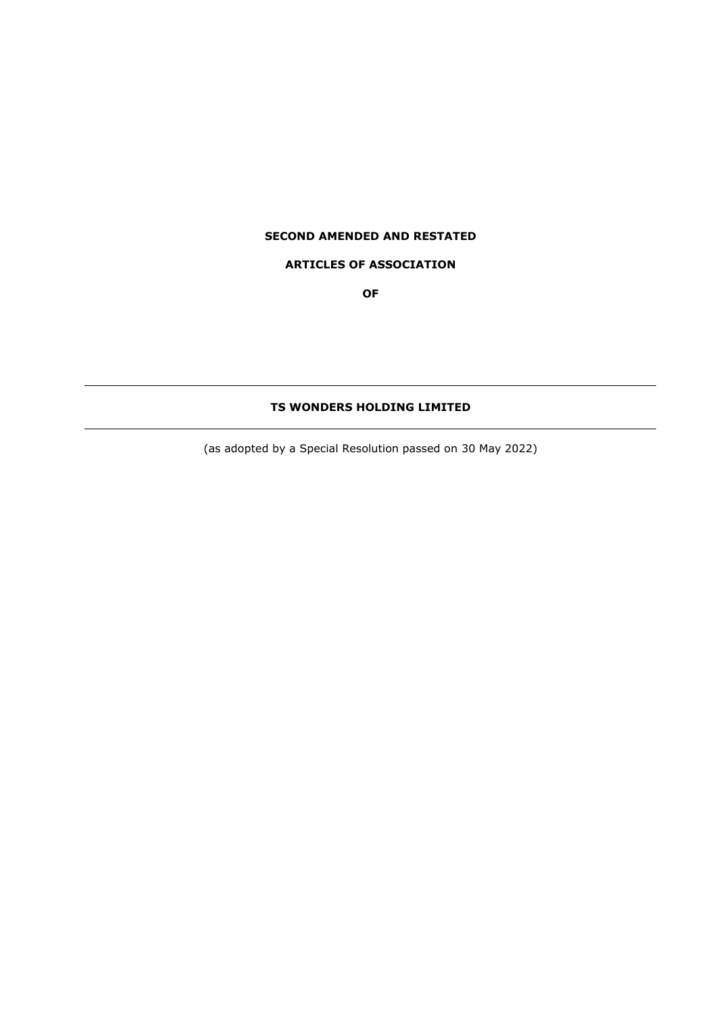# **SECOND AMENDED AND RESTATED**

# **ARTICLES OF ASSOCIATION**

**OF**

# **TS WONDERS HOLDING LIMITED**

(as adopted by a Special Resolution passed on 30 May 2022)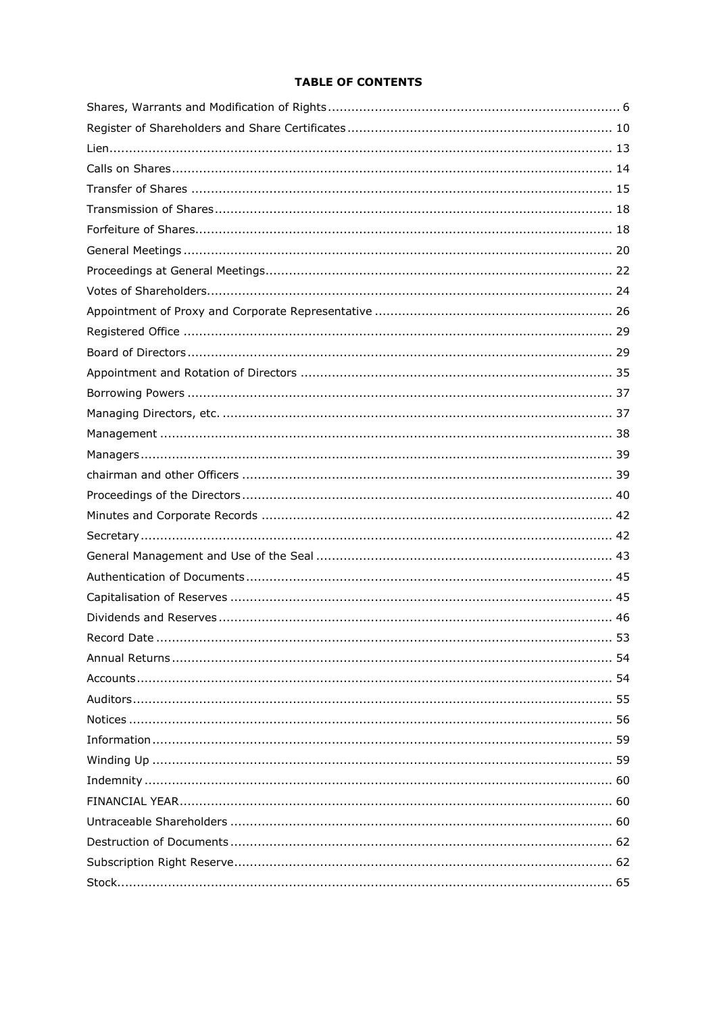# **TABLE OF CONTENTS**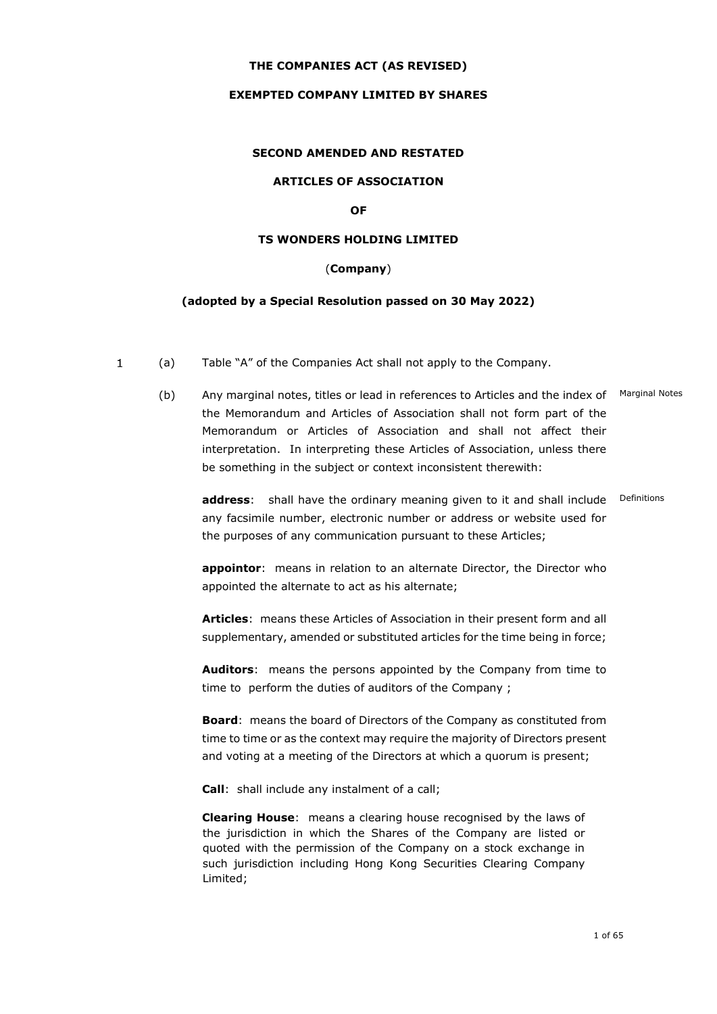# **THE COMPANIES ACT (AS REVISED)**

### **EXEMPTED COMPANY LIMITED BY SHARES**

# **SECOND AMENDED AND RESTATED**

### **ARTICLES OF ASSOCIATION**

### **OF**

#### **TS WONDERS HOLDING LIMITED**

# (**Company**)

### **(adopted by a Special Resolution passed on 30 May 2022)**

- $\mathbf{1}$ (a) Table "A" of the Companies Act shall not apply to the Company.
	- (b) Any marginal notes, titles or lead in references to Articles and the index of Marginal Notes the Memorandum and Articles of Association shall not form part of the Memorandum or Articles of Association and shall not affect their interpretation. In interpreting these Articles of Association, unless there be something in the subject or context inconsistent therewith:

**address**: shall have the ordinary meaning given to it and shall include Definitions any facsimile number, electronic number or address or website used for the purposes of any communication pursuant to these Articles;

**appointor**: means in relation to an alternate Director, the Director who appointed the alternate to act as his alternate;

**Articles**: means these Articles of Association in their present form and all supplementary, amended or substituted articles for the time being in force;

**Auditors**: means the persons appointed by the Company from time to time to perform the duties of auditors of the Company ;

**Board**: means the board of Directors of the Company as constituted from time to time or as the context may require the majority of Directors present and voting at a meeting of the Directors at which a quorum is present;

**Call**: shall include any instalment of a call;

**Clearing House**: means a clearing house recognised by the laws of the jurisdiction in which the Shares of the Company are listed or quoted with the permission of the Company on a stock exchange in such jurisdiction including Hong Kong Securities Clearing Company Limited;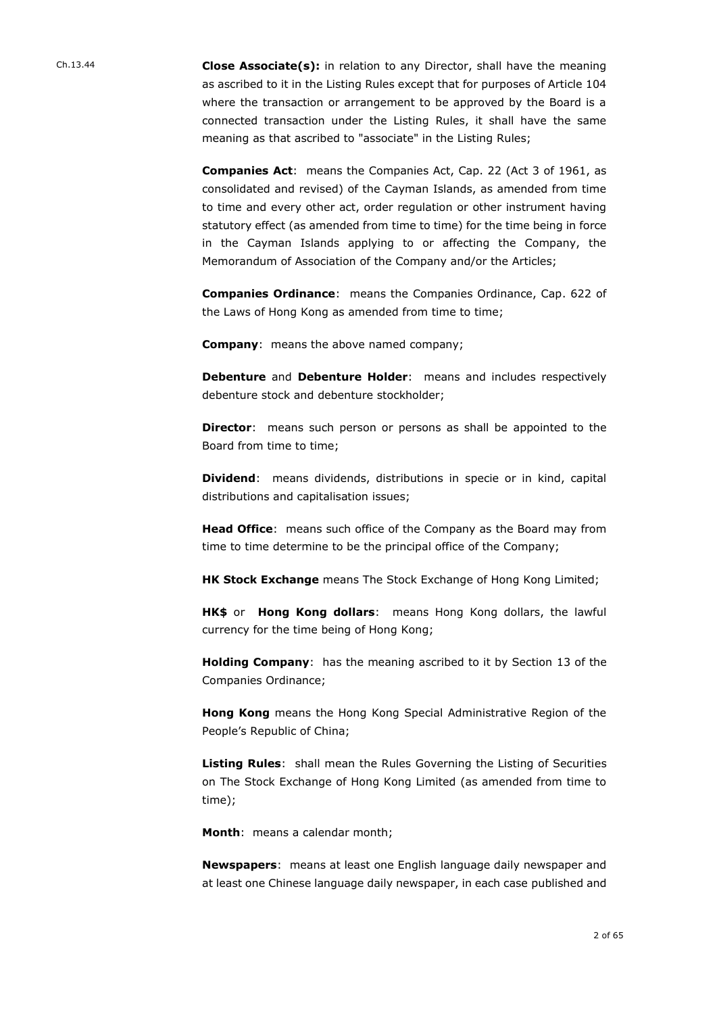Ch.13.44 **Close Associate(s):** in relation to any Director, shall have the meaning as ascribed to it in the Listing Rules except that for purposes of Article 104 where the transaction or arrangement to be approved by the Board is a connected transaction under the Listing Rules, it shall have the same meaning as that ascribed to "associate" in the Listing Rules;

> **Companies Act**: means the Companies Act, Cap. 22 (Act 3 of 1961, as consolidated and revised) of the Cayman Islands, as amended from time to time and every other act, order regulation or other instrument having statutory effect (as amended from time to time) for the time being in force in the Cayman Islands applying to or affecting the Company, the Memorandum of Association of the Company and/or the Articles;

> **Companies Ordinance**: means the Companies Ordinance, Cap. 622 of the Laws of Hong Kong as amended from time to time;

**Company**: means the above named company;

**Debenture** and **Debenture Holder**: means and includes respectively debenture stock and debenture stockholder;

**Director**: means such person or persons as shall be appointed to the Board from time to time;

**Dividend**: means dividends, distributions in specie or in kind, capital distributions and capitalisation issues;

**Head Office**: means such office of the Company as the Board may from time to time determine to be the principal office of the Company;

**HK Stock Exchange** means The Stock Exchange of Hong Kong Limited;

**HK\$** or **Hong Kong dollars**: means Hong Kong dollars, the lawful currency for the time being of Hong Kong;

**Holding Company**: has the meaning ascribed to it by Section 13 of the Companies Ordinance;

**Hong Kong** means the Hong Kong Special Administrative Region of the People's Republic of China;

**Listing Rules**: shall mean the Rules Governing the Listing of Securities on The Stock Exchange of Hong Kong Limited (as amended from time to time);

**Month**: means a calendar month;

**Newspapers**: means at least one English language daily newspaper and at least one Chinese language daily newspaper, in each case published and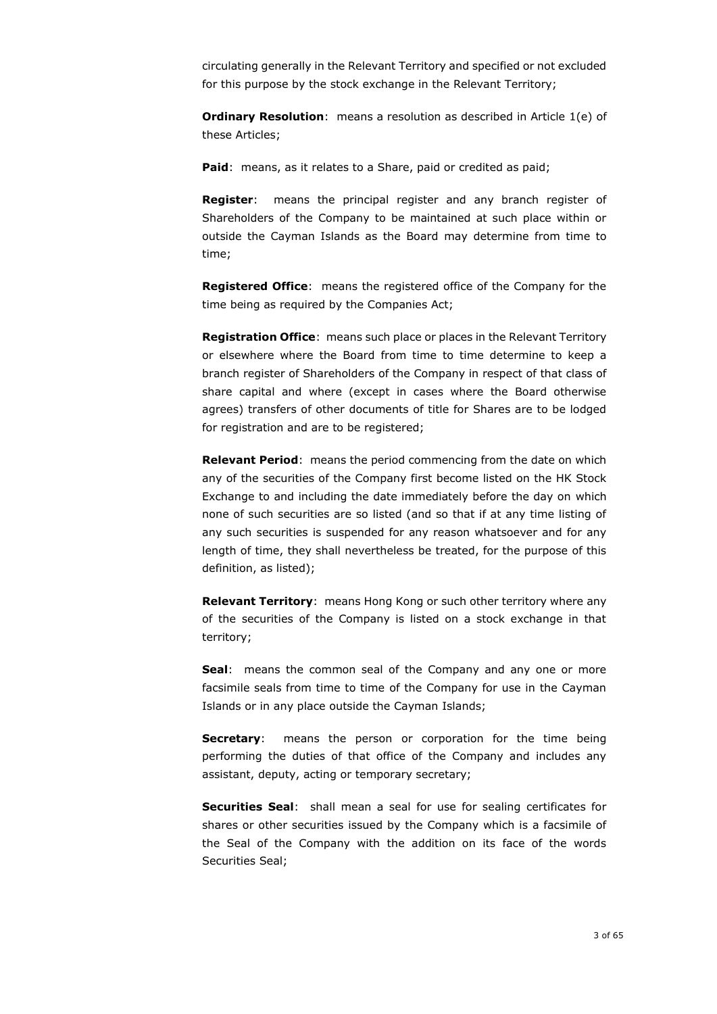circulating generally in the Relevant Territory and specified or not excluded for this purpose by the stock exchange in the Relevant Territory;

**Ordinary Resolution**: means a resolution as described in Article 1(e) of these Articles;

**Paid**: means, as it relates to a Share, paid or credited as paid;

**Register**: means the principal register and any branch register of Shareholders of the Company to be maintained at such place within or outside the Cayman Islands as the Board may determine from time to time;

**Registered Office**: means the registered office of the Company for the time being as required by the Companies Act;

**Registration Office**: means such place or places in the Relevant Territory or elsewhere where the Board from time to time determine to keep a branch register of Shareholders of the Company in respect of that class of share capital and where (except in cases where the Board otherwise agrees) transfers of other documents of title for Shares are to be lodged for registration and are to be registered;

**Relevant Period**: means the period commencing from the date on which any of the securities of the Company first become listed on the HK Stock Exchange to and including the date immediately before the day on which none of such securities are so listed (and so that if at any time listing of any such securities is suspended for any reason whatsoever and for any length of time, they shall nevertheless be treated, for the purpose of this definition, as listed);

**Relevant Territory**: means Hong Kong or such other territory where any of the securities of the Company is listed on a stock exchange in that territory;

**Seal**: means the common seal of the Company and any one or more facsimile seals from time to time of the Company for use in the Cayman Islands or in any place outside the Cayman Islands;

**Secretary:** means the person or corporation for the time being performing the duties of that office of the Company and includes any assistant, deputy, acting or temporary secretary;

**Securities Seal**: shall mean a seal for use for sealing certificates for shares or other securities issued by the Company which is a facsimile of the Seal of the Company with the addition on its face of the words Securities Seal;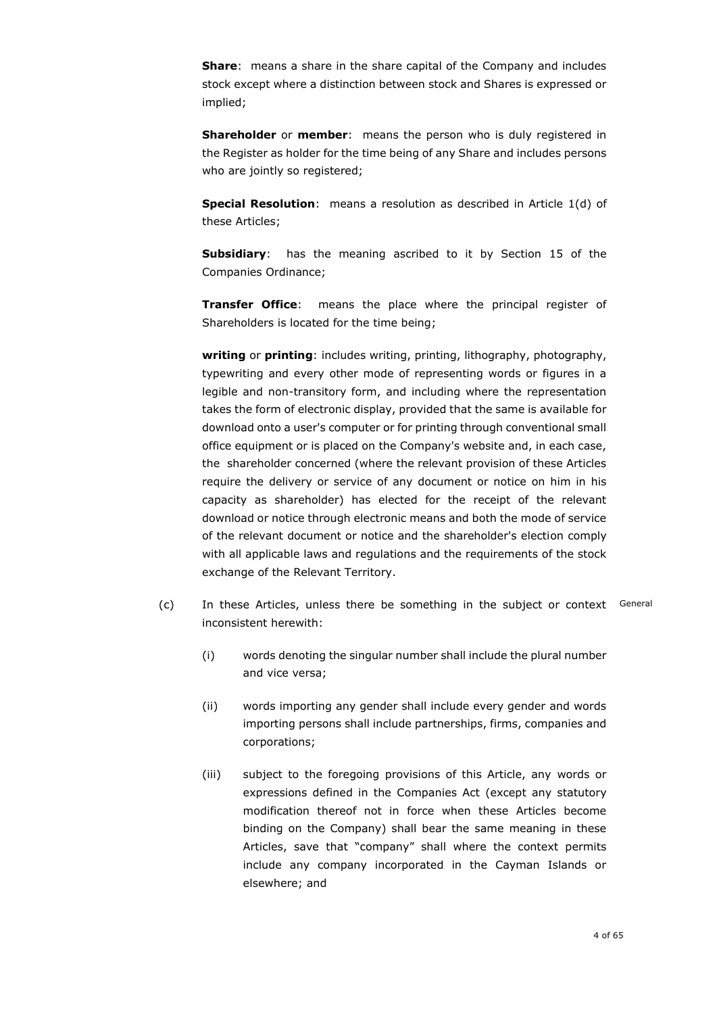**Share**: means a share in the share capital of the Company and includes stock except where a distinction between stock and Shares is expressed or implied;

**Shareholder** or **member**: means the person who is duly registered in the Register as holder for the time being of any Share and includes persons who are jointly so registered;

**Special Resolution**: means a resolution as described in Article 1(d) of these Articles;

**Subsidiary**: has the meaning ascribed to it by Section 15 of the Companies Ordinance;

**Transfer Office**: means the place where the principal register of Shareholders is located for the time being;

**writing** or **printing**: includes writing, printing, lithography, photography, typewriting and every other mode of representing words or figures in a legible and non-transitory form, and including where the representation takes the form of electronic display, provided that the same is available for download onto a user's computer or for printing through conventional small office equipment or is placed on the Company's website and, in each case, the shareholder concerned (where the relevant provision of these Articles require the delivery or service of any document or notice on him in his capacity as shareholder) has elected for the receipt of the relevant download or notice through electronic means and both the mode of service of the relevant document or notice and the shareholder's election comply with all applicable laws and regulations and the requirements of the stock exchange of the Relevant Territory.

- (c) In these Articles, unless there be something in the subject or context General inconsistent herewith:
	- (i) words denoting the singular number shall include the plural number and vice versa;
	- (ii) words importing any gender shall include every gender and words importing persons shall include partnerships, firms, companies and corporations;
	- (iii) subject to the foregoing provisions of this Article, any words or expressions defined in the Companies Act (except any statutory modification thereof not in force when these Articles become binding on the Company) shall bear the same meaning in these Articles, save that "company" shall where the context permits include any company incorporated in the Cayman Islands or elsewhere; and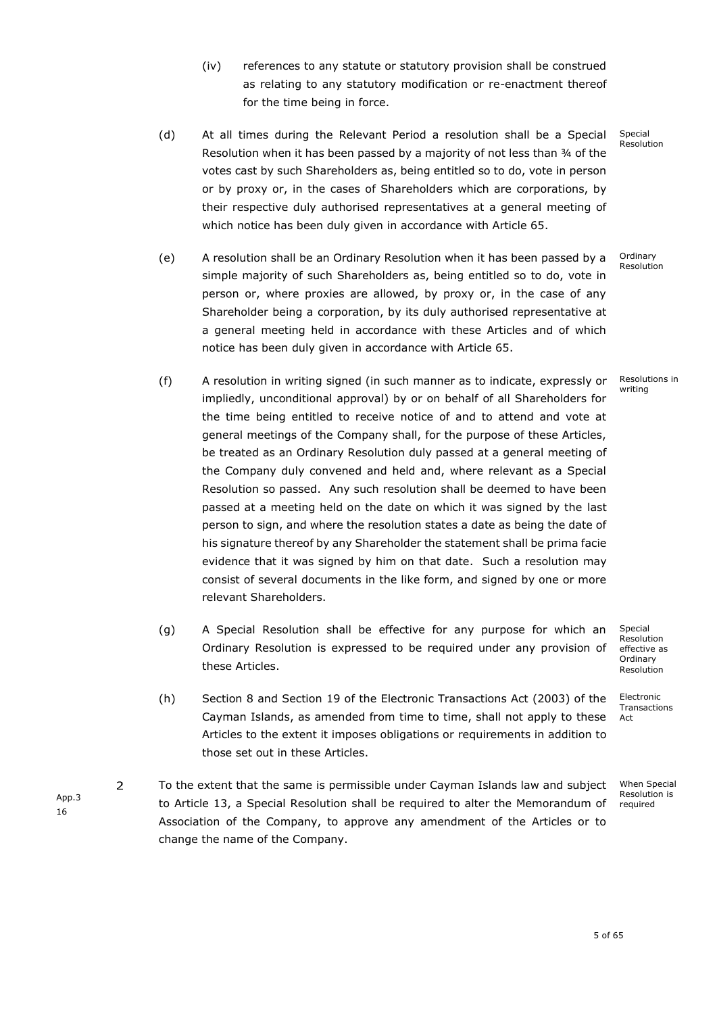- (iv) references to any statute or statutory provision shall be construed as relating to any statutory modification or re-enactment thereof for the time being in force.
- (d) At all times during the Relevant Period a resolution shall be a Special Resolution when it has been passed by a majority of not less than 34 of the votes cast by such Shareholders as, being entitled so to do, vote in person or by proxy or, in the cases of Shareholders which are corporations, by their respective duly authorised representatives at a general meeting of which notice has been duly given in accordance with Article 65. Special
- (e) A resolution shall be an Ordinary Resolution when it has been passed by a simple majority of such Shareholders as, being entitled so to do, vote in person or, where proxies are allowed, by proxy or, in the case of any Shareholder being a corporation, by its duly authorised representative at a general meeting held in accordance with these Articles and of which notice has been duly given in accordance with Article 65. Ordinary
- (f) A resolution in writing signed (in such manner as to indicate, expressly or impliedly, unconditional approval) by or on behalf of all Shareholders for the time being entitled to receive notice of and to attend and vote at general meetings of the Company shall, for the purpose of these Articles, be treated as an Ordinary Resolution duly passed at a general meeting of the Company duly convened and held and, where relevant as a Special Resolution so passed. Any such resolution shall be deemed to have been passed at a meeting held on the date on which it was signed by the last person to sign, and where the resolution states a date as being the date of his signature thereof by any Shareholder the statement shall be prima facie evidence that it was signed by him on that date. Such a resolution may consist of several documents in the like form, and signed by one or more relevant Shareholders.
- (g) A Special Resolution shall be effective for any purpose for which an Ordinary Resolution is expressed to be required under any provision of these Articles.
- (h) Section 8 and Section 19 of the Electronic Transactions Act (2003) of the Cayman Islands, as amended from time to time, shall not apply to these Articles to the extent it imposes obligations or requirements in addition to those set out in these Articles.
- $\overline{2}$ To the extent that the same is permissible under Cayman Islands law and subject x to Article [13,](#page-9-0) a Special Resolution shall be required to alter the Memorandum of Association of the Company, to approve any amendment of the Articles or to change the name of the Company.

Special Resolution effective as **Ordinary** Resolution

Electronic **Transactions** Act

When Special Resolution is required

App.3 16

Resolutions in writing

Resolution

Resolution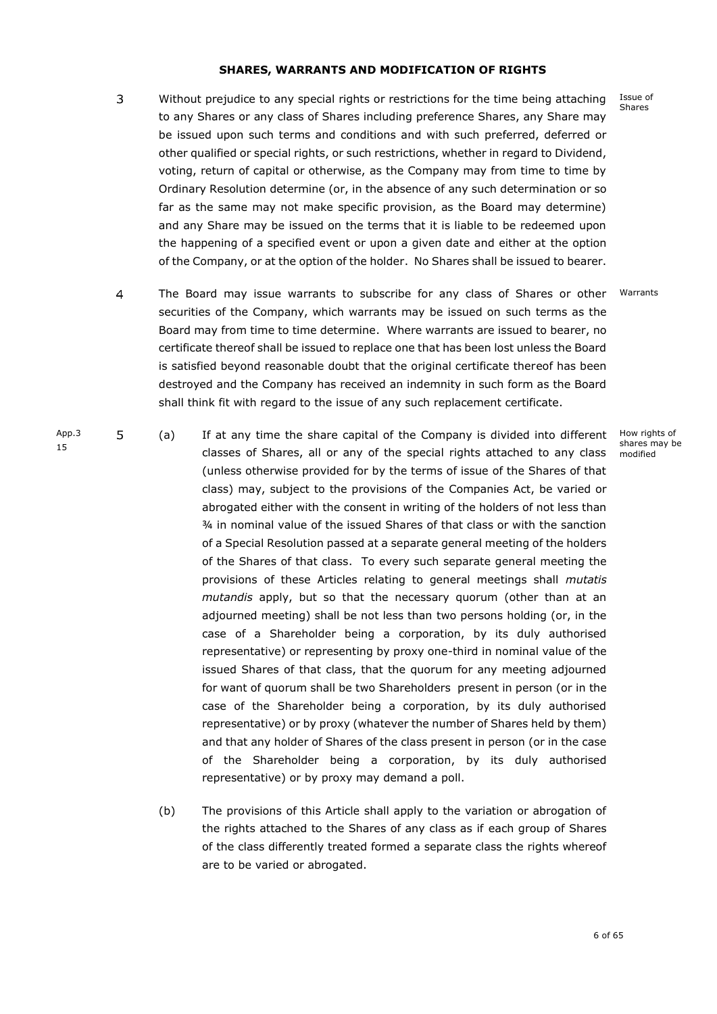#### **SHARES, WARRANTS AND MODIFICATION OF RIGHTS**

- <span id="page-7-0"></span> $\overline{3}$ Without prejudice to any special rights or restrictions for the time being attaching to any Shares or any class of Shares including preference Shares, any Share may be issued upon such terms and conditions and with such preferred, deferred or other qualified or special rights, or such restrictions, whether in regard to Dividend, voting, return of capital or otherwise, as the Company may from time to time by Ordinary Resolution determine (or, in the absence of any such determination or so far as the same may not make specific provision, as the Board may determine) and any Share may be issued on the terms that it is liable to be redeemed upon the happening of a specified event or upon a given date and either at the option of the Company, or at the option of the holder. No Shares shall be issued to bearer.
- $\overline{4}$ The Board may issue warrants to subscribe for any class of Shares or other Warrants securities of the Company, which warrants may be issued on such terms as the Board may from time to time determine. Where warrants are issued to bearer, no certificate thereof shall be issued to replace one that has been lost unless the Board is satisfied beyond reasonable doubt that the original certificate thereof has been destroyed and the Company has received an indemnity in such form as the Board shall think fit with regard to the issue of any such replacement certificate.
- App<sub>3</sub> 5 (a) x If at any time the share capital of the Company is divided into different classes of Shares, all or any of the special rights attached to any class (unless otherwise provided for by the terms of issue of the Shares of that class) may, subject to the provisions of the Companies Act, be varied or abrogated either with the consent in writing of the holders of not less than ¾ in nominal value of the issued Shares of that class or with the sanction of a Special Resolution passed at a separate general meeting of the holders of the Shares of that class. To every such separate general meeting the provisions of these Articles relating to general meetings shall *mutatis mutandis* apply, but so that the necessary quorum (other than at an adjourned meeting) shall be not less than two persons holding (or, in the case of a Shareholder being a corporation, by its duly authorised representative) or representing by proxy one-third in nominal value of the issued Shares of that class, that the quorum for any meeting adjourned for want of quorum shall be two Shareholders present in person (or in the case of the Shareholder being a corporation, by its duly authorised representative) or by proxy (whatever the number of Shares held by them) and that any holder of Shares of the class present in person (or in the case of the Shareholder being a corporation, by its duly authorised representative) or by proxy may demand a poll.

15

(b) The provisions of this Article shall apply to the variation or abrogation of the rights attached to the Shares of any class as if each group of Shares of the class differently treated formed a separate class the rights whereof are to be varied or abrogated.

How rights of shares may be modified

Issue of Shares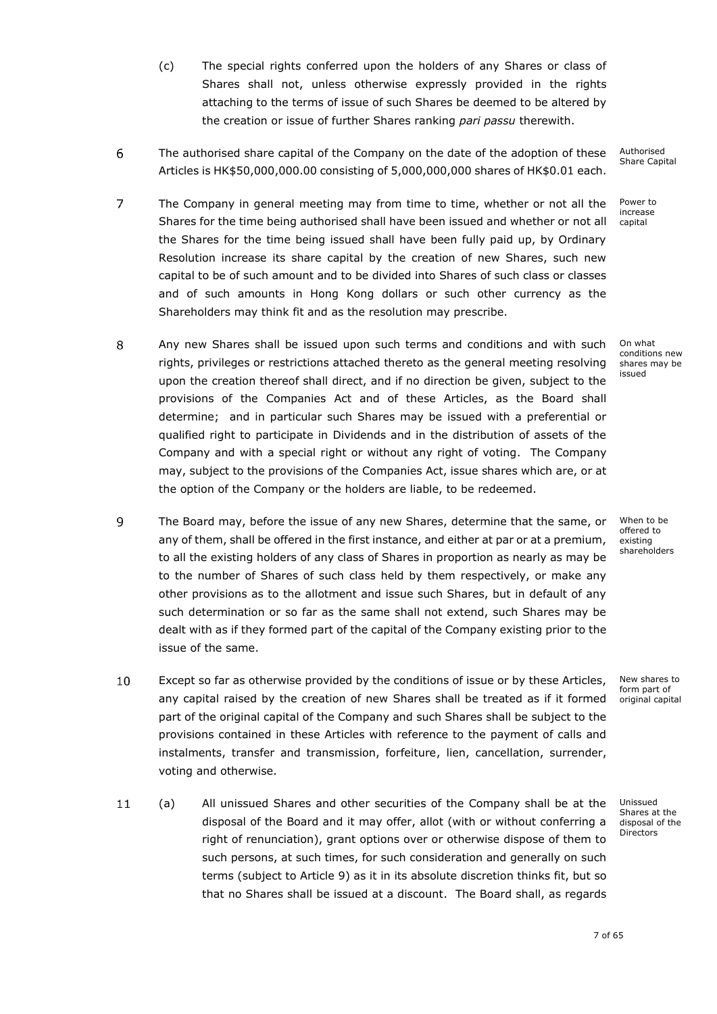- (c) The special rights conferred upon the holders of any Shares or class of Shares shall not, unless otherwise expressly provided in the rights attaching to the terms of issue of such Shares be deemed to be altered by the creation or issue of further Shares ranking *pari passu* therewith.
- 6 The authorised share capital of the Company on the date of the adoption of these x Articles is HK\$50,000,000.00 consisting of 5,000,000,000 shares of HK\$0.01 each.
- <span id="page-8-1"></span> $\overline{7}$ The Company in general meeting may from time to time, whether or not all the Shares for the time being authorised shall have been issued and whether or not all the Shares for the time being issued shall have been fully paid up, by Ordinary Resolution increase its share capital by the creation of new Shares, such new capital to be of such amount and to be divided into Shares of such class or classes and of such amounts in Hong Kong dollars or such other currency as the Shareholders may think fit and as the resolution may prescribe.
- 8 Any new Shares shall be issued upon such terms and conditions and with such x rights, privileges or restrictions attached thereto as the general meeting resolving upon the creation thereof shall direct, and if no direction be given, subject to the provisions of the Companies Act and of these Articles, as the Board shall determine; and in particular such Shares may be issued with a preferential or qualified right to participate in Dividends and in the distribution of assets of the Company and with a special right or without any right of voting. The Company may, subject to the provisions of the Companies Act, issue shares which are, or at the option of the Company or the holders are liable, to be redeemed.
- <span id="page-8-0"></span> $\mathbf{Q}$ The Board may, before the issue of any new Shares, determine that the same, or any of them, shall be offered in the first instance, and either at par or at a premium, to all the existing holders of any class of Shares in proportion as nearly as may be to the number of Shares of such class held by them respectively, or make any other provisions as to the allotment and issue such Shares, but in default of any such determination or so far as the same shall not extend, such Shares may be dealt with as if they formed part of the capital of the Company existing prior to the issue of the same.
- $10$ Except so far as otherwise provided by the conditions of issue or by these Articles, any capital raised by the creation of new Shares shall be treated as if it formed part of the original capital of the Company and such Shares shall be subject to the provisions contained in these Articles with reference to the payment of calls and instalments, transfer and transmission, forfeiture, lien, cancellation, surrender, voting and otherwise.
- $11$ (a) x All unissued Shares and other securities of the Company shall be at the disposal of the Board and it may offer, allot (with or without conferring a right of renunciation), grant options over or otherwise dispose of them to such persons, at such times, for such consideration and generally on such terms (subject to Article [9\)](#page-8-0) as it in its absolute discretion thinks fit, but so that no Shares shall be issued at a discount. The Board shall, as regards

Authorised Share Capital

Power to increase capital

On what conditions new shares may be issued

When to be offered to existing shareholders

New shares to form part of original capital

Unissued Shares at the disposal of the Directors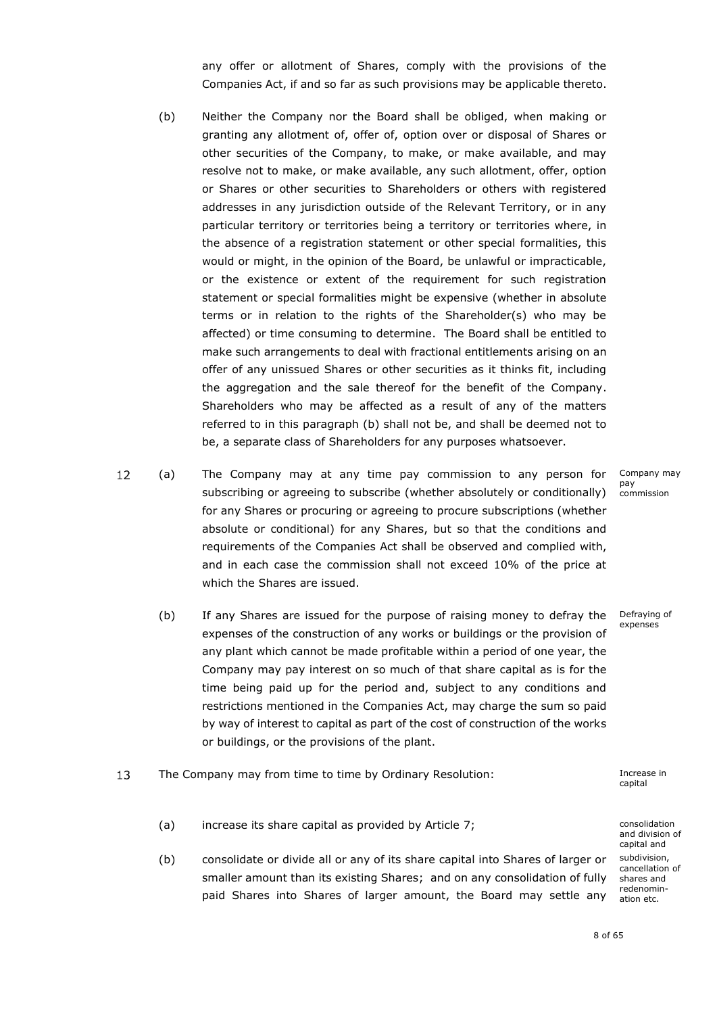any offer or allotment of Shares, comply with the provisions of the Companies Act, if and so far as such provisions may be applicable thereto.

- <span id="page-9-1"></span>(b) Neither the Company nor the Board shall be obliged, when making or granting any allotment of, offer of, option over or disposal of Shares or other securities of the Company, to make, or make available, and may resolve not to make, or make available, any such allotment, offer, option or Shares or other securities to Shareholders or others with registered addresses in any jurisdiction outside of the Relevant Territory, or in any particular territory or territories being a territory or territories where, in the absence of a registration statement or other special formalities, this would or might, in the opinion of the Board, be unlawful or impracticable, or the existence or extent of the requirement for such registration statement or special formalities might be expensive (whether in absolute terms or in relation to the rights of the Shareholder(s) who may be affected) or time consuming to determine. The Board shall be entitled to make such arrangements to deal with fractional entitlements arising on an offer of any unissued Shares or other securities as it thinks fit, including the aggregation and the sale thereof for the benefit of the Company. Shareholders who may be affected as a result of any of the matters referred to in this paragraph [\(b\)](#page-9-1) shall not be, and shall be deemed not to be, a separate class of Shareholders for any purposes whatsoever.
- $12$ (a) x The Company may at any time pay commission to any person for subscribing or agreeing to subscribe (whether absolutely or conditionally) for any Shares or procuring or agreeing to procure subscriptions (whether absolute or conditional) for any Shares, but so that the conditions and requirements of the Companies Act shall be observed and complied with, and in each case the commission shall not exceed 10% of the price at which the Shares are issued.
	- (b) If any Shares are issued for the purpose of raising money to defray the expenses of the construction of any works or buildings or the provision of any plant which cannot be made profitable within a period of one year, the Company may pay interest on so much of that share capital as is for the time being paid up for the period and, subject to any conditions and restrictions mentioned in the Companies Act, may charge the sum so paid by way of interest to capital as part of the cost of construction of the works or buildings, or the provisions of the plant.
- <span id="page-9-0"></span>13 The Company may from time to time by Ordinary Resolution: The Company Increase in
	- (a) increase its share capital as provided by Article [7;](#page-8-1) example the consolidation
	- (b) consolidate or divide all or any of its share capital into Shares of larger or smaller amount than its existing Shares; and on any consolidation of fully paid Shares into Shares of larger amount, the Board may settle any

Company may pay commission

Defraying of expenses

capital

and division of capital and subdivision, cancellation of shares and redenomination etc.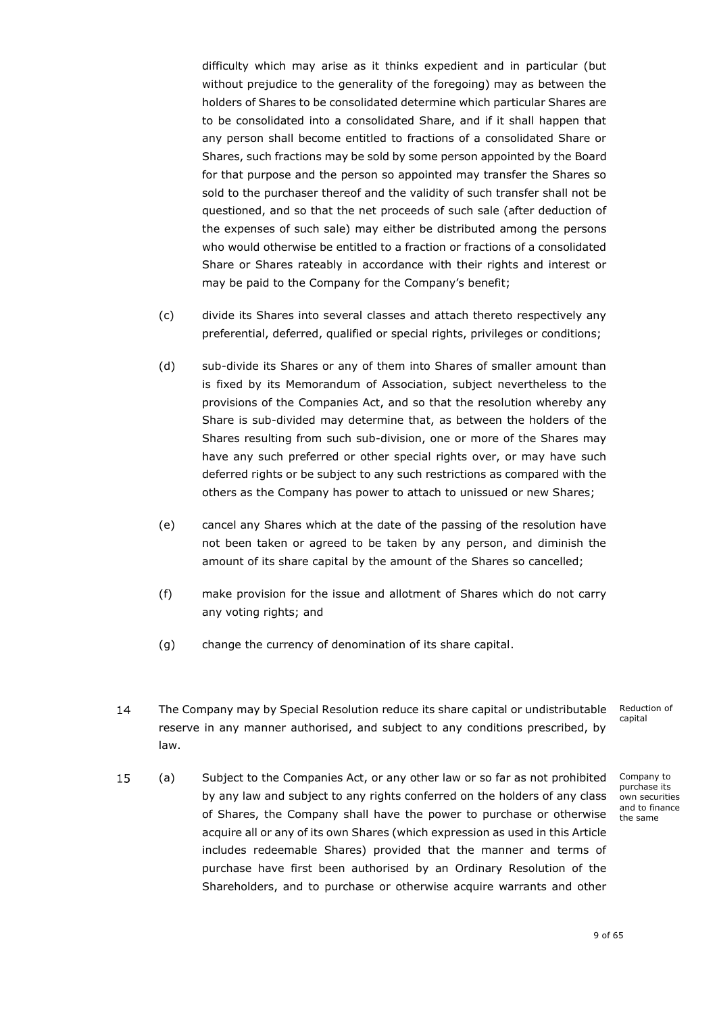difficulty which may arise as it thinks expedient and in particular (but without prejudice to the generality of the foregoing) may as between the holders of Shares to be consolidated determine which particular Shares are to be consolidated into a consolidated Share, and if it shall happen that any person shall become entitled to fractions of a consolidated Share or Shares, such fractions may be sold by some person appointed by the Board for that purpose and the person so appointed may transfer the Shares so sold to the purchaser thereof and the validity of such transfer shall not be questioned, and so that the net proceeds of such sale (after deduction of the expenses of such sale) may either be distributed among the persons who would otherwise be entitled to a fraction or fractions of a consolidated Share or Shares rateably in accordance with their rights and interest or may be paid to the Company for the Company's benefit;

- (c) divide its Shares into several classes and attach thereto respectively any preferential, deferred, qualified or special rights, privileges or conditions;
- (d) sub-divide its Shares or any of them into Shares of smaller amount than is fixed by its Memorandum of Association, subject nevertheless to the provisions of the Companies Act, and so that the resolution whereby any Share is sub-divided may determine that, as between the holders of the Shares resulting from such sub-division, one or more of the Shares may have any such preferred or other special rights over, or may have such deferred rights or be subject to any such restrictions as compared with the others as the Company has power to attach to unissued or new Shares;
- (e) cancel any Shares which at the date of the passing of the resolution have not been taken or agreed to be taken by any person, and diminish the amount of its share capital by the amount of the Shares so cancelled;
- (f) make provision for the issue and allotment of Shares which do not carry any voting rights; and
- (g) change the currency of denomination of its share capital.
- 14 The Company may by Special Resolution reduce its share capital or undistributable Reduction of capital reserve in any manner authorised, and subject to any conditions prescribed, by law.
- 15 (a) x Subject to the Companies Act, or any other law or so far as not prohibited by any law and subject to any rights conferred on the holders of any class of Shares, the Company shall have the power to purchase or otherwise acquire all or any of its own Shares (which expression as used in this Article includes redeemable Shares) provided that the manner and terms of purchase have first been authorised by an Ordinary Resolution of the Shareholders, and to purchase or otherwise acquire warrants and other

Company to purchase its own securities and to finance the same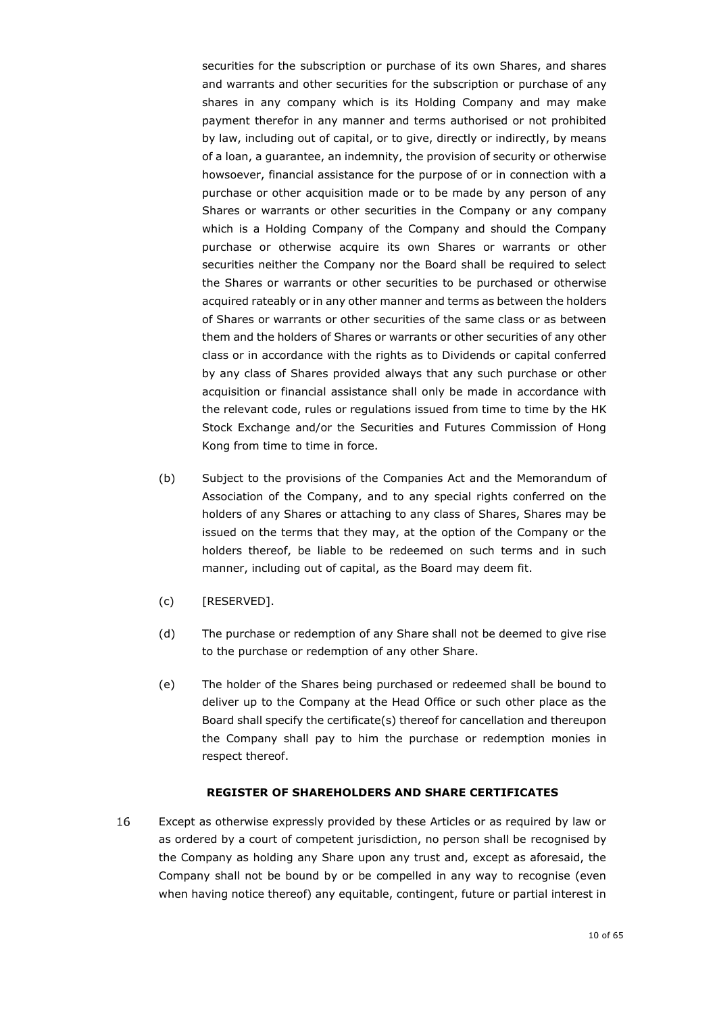securities for the subscription or purchase of its own Shares, and shares and warrants and other securities for the subscription or purchase of any shares in any company which is its Holding Company and may make payment therefor in any manner and terms authorised or not prohibited by law, including out of capital, or to give, directly or indirectly, by means of a loan, a guarantee, an indemnity, the provision of security or otherwise howsoever, financial assistance for the purpose of or in connection with a purchase or other acquisition made or to be made by any person of any Shares or warrants or other securities in the Company or any company which is a Holding Company of the Company and should the Company purchase or otherwise acquire its own Shares or warrants or other securities neither the Company nor the Board shall be required to select the Shares or warrants or other securities to be purchased or otherwise acquired rateably or in any other manner and terms as between the holders of Shares or warrants or other securities of the same class or as between them and the holders of Shares or warrants or other securities of any other class or in accordance with the rights as to Dividends or capital conferred by any class of Shares provided always that any such purchase or other acquisition or financial assistance shall only be made in accordance with the relevant code, rules or regulations issued from time to time by the HK Stock Exchange and/or the Securities and Futures Commission of Hong Kong from time to time in force.

- (b) Subject to the provisions of the Companies Act and the Memorandum of Association of the Company, and to any special rights conferred on the holders of any Shares or attaching to any class of Shares, Shares may be issued on the terms that they may, at the option of the Company or the holders thereof, be liable to be redeemed on such terms and in such manner, including out of capital, as the Board may deem fit.
- (c) [RESERVED].
- (d) The purchase or redemption of any Share shall not be deemed to give rise to the purchase or redemption of any other Share.
- (e) The holder of the Shares being purchased or redeemed shall be bound to deliver up to the Company at the Head Office or such other place as the Board shall specify the certificate(s) thereof for cancellation and thereupon the Company shall pay to him the purchase or redemption monies in respect thereof.

### <span id="page-11-0"></span>**REGISTER OF SHAREHOLDERS AND SHARE CERTIFICATES**

16 Except as otherwise expressly provided by these Articles or as required by law or as ordered by a court of competent jurisdiction, no person shall be recognised by the Company as holding any Share upon any trust and, except as aforesaid, the Company shall not be bound by or be compelled in any way to recognise (even when having notice thereof) any equitable, contingent, future or partial interest in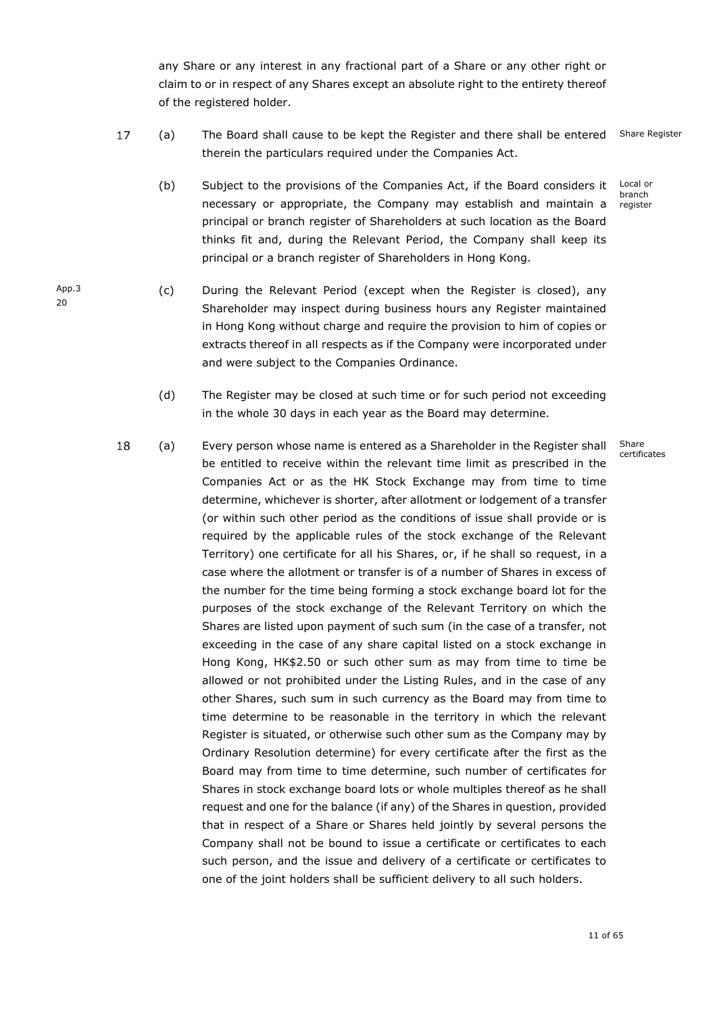any Share or any interest in any fractional part of a Share or any other right or claim to or in respect of any Shares except an absolute right to the entirety thereof of the registered holder.

- 17 (a) x The Board shall cause to be kept the Register and there shall be entered Share Register therein the particulars required under the Companies Act.
	- (b) Subject to the provisions of the Companies Act, if the Board considers it necessary or appropriate, the Company may establish and maintain a principal or branch register of Shareholders at such location as the Board thinks fit and, during the Relevant Period, the Company shall keep its principal or a branch register of Shareholders in Hong Kong. Local or

branch register

- (c) During the Relevant Period (except when the Register is closed), any Shareholder may inspect during business hours any Register maintained in Hong Kong without charge and require the provision to him of copies or extracts thereof in all respects as if the Company were incorporated under and were subject to the Companies Ordinance.
	- (d) The Register may be closed at such time or for such period not exceeding in the whole 30 days in each year as the Board may determine.
- <span id="page-12-1"></span><span id="page-12-0"></span>18 (a) x Every person whose name is entered as a Shareholder in the Register shall Share certificatesbe entitled to receive within the relevant time limit as prescribed in the Companies Act or as the HK Stock Exchange may from time to time determine, whichever is shorter, after allotment or lodgement of a transfer (or within such other period as the conditions of issue shall provide or is required by the applicable rules of the stock exchange of the Relevant Territory) one certificate for all his Shares, or, if he shall so request, in a case where the allotment or transfer is of a number of Shares in excess of the number for the time being forming a stock exchange board lot for the purposes of the stock exchange of the Relevant Territory on which the Shares are listed upon payment of such sum (in the case of a transfer, not exceeding in the case of any share capital listed on a stock exchange in Hong Kong, HK\$2.50 or such other sum as may from time to time be allowed or not prohibited under the Listing Rules, and in the case of any other Shares, such sum in such currency as the Board may from time to time determine to be reasonable in the territory in which the relevant Register is situated, or otherwise such other sum as the Company may by Ordinary Resolution determine) for every certificate after the first as the Board may from time to time determine, such number of certificates for Shares in stock exchange board lots or whole multiples thereof as he shall request and one for the balance (if any) of the Shares in question, provided that in respect of a Share or Shares held jointly by several persons the Company shall not be bound to issue a certificate or certificates to each such person, and the issue and delivery of a certificate or certificates to one of the joint holders shall be sufficient delivery to all such holders.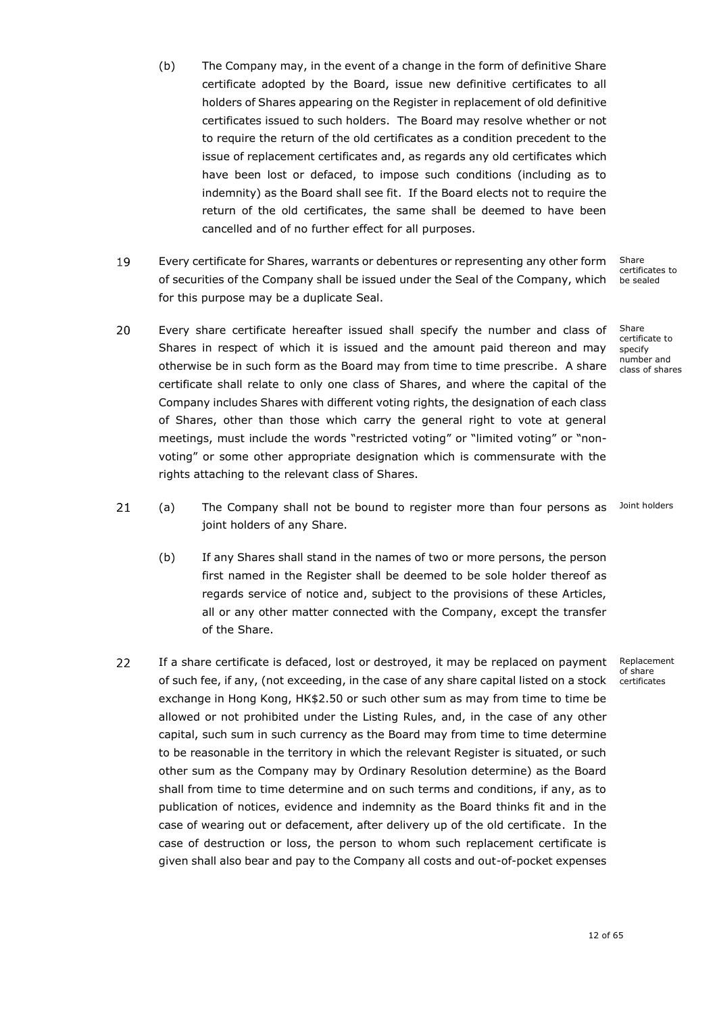- (b) The Company may, in the event of a change in the form of definitive Share certificate adopted by the Board, issue new definitive certificates to all holders of Shares appearing on the Register in replacement of old definitive certificates issued to such holders. The Board may resolve whether or not to require the return of the old certificates as a condition precedent to the issue of replacement certificates and, as regards any old certificates which have been lost or defaced, to impose such conditions (including as to indemnity) as the Board shall see fit. If the Board elects not to require the return of the old certificates, the same shall be deemed to have been cancelled and of no further effect for all purposes.
- 19 Share Every certificate for Shares, warrants or debentures or representing any other form x of securities of the Company shall be issued under the Seal of the Company, which for this purpose may be a duplicate Seal.
- 20 Every share certificate hereafter issued shall specify the number and class of Shares in respect of which it is issued and the amount paid thereon and may otherwise be in such form as the Board may from time to time prescribe. A share certificate shall relate to only one class of Shares, and where the capital of the Company includes Shares with different voting rights, the designation of each class of Shares, other than those which carry the general right to vote at general meetings, must include the words "restricted voting" or "limited voting" or "nonvoting" or some other appropriate designation which is commensurate with the rights attaching to the relevant class of Shares.
- $21$ (a) x The Company shall not be bound to register more than four persons as Joint holders joint holders of any Share.
	- (b) If any Shares shall stand in the names of two or more persons, the person first named in the Register shall be deemed to be sole holder thereof as regards service of notice and, subject to the provisions of these Articles, all or any other matter connected with the Company, except the transfer of the Share.
- 22 If a share certificate is defaced, lost or destroyed, it may be replaced on payment of such fee, if any, (not exceeding, in the case of any share capital listed on a stock exchange in Hong Kong, HK\$2.50 or such other sum as may from time to time be allowed or not prohibited under the Listing Rules, and, in the case of any other capital, such sum in such currency as the Board may from time to time determine to be reasonable in the territory in which the relevant Register is situated, or such other sum as the Company may by Ordinary Resolution determine) as the Board shall from time to time determine and on such terms and conditions, if any, as to publication of notices, evidence and indemnity as the Board thinks fit and in the case of wearing out or defacement, after delivery up of the old certificate. In the case of destruction or loss, the person to whom such replacement certificate is given shall also bear and pay to the Company all costs and out-of-pocket expenses

certificates to be sealed

Share certificate to specify number and class of shares

Replacement of share certificates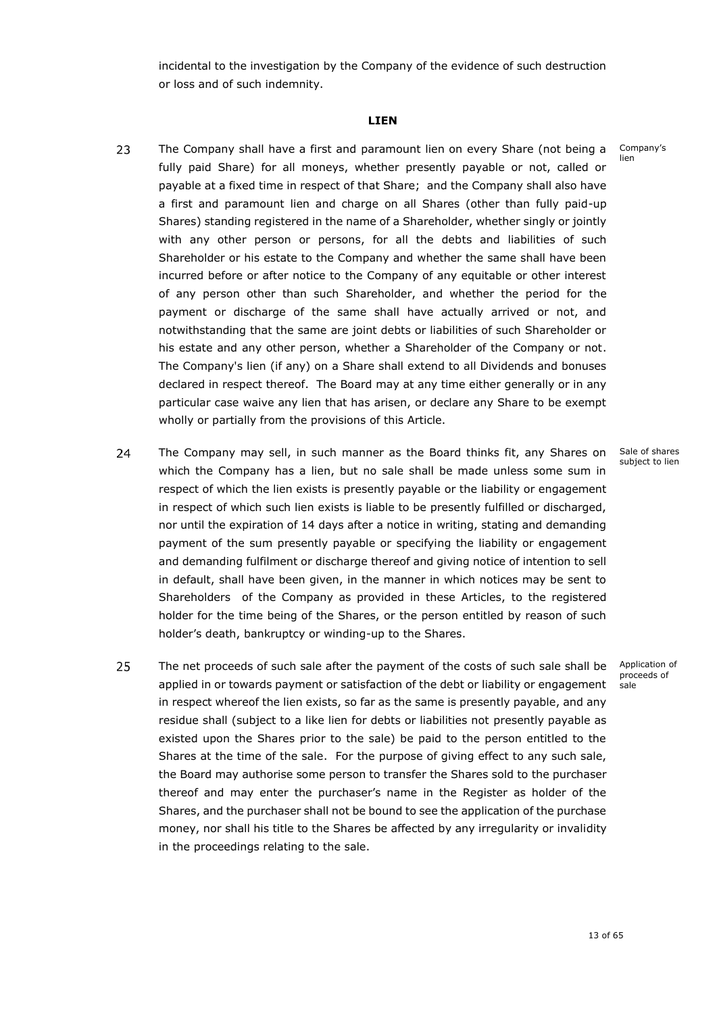<span id="page-14-0"></span>incidental to the investigation by the Company of the evidence of such destruction or loss and of such indemnity.

#### **LIEN**

- 23 The Company shall have a first and paramount lien on every Share (not being a fully paid Share) for all moneys, whether presently payable or not, called or payable at a fixed time in respect of that Share; and the Company shall also have a first and paramount lien and charge on all Shares (other than fully paid-up Shares) standing registered in the name of a Shareholder, whether singly or jointly with any other person or persons, for all the debts and liabilities of such Shareholder or his estate to the Company and whether the same shall have been incurred before or after notice to the Company of any equitable or other interest of any person other than such Shareholder, and whether the period for the payment or discharge of the same shall have actually arrived or not, and notwithstanding that the same are joint debts or liabilities of such Shareholder or his estate and any other person, whether a Shareholder of the Company or not. The Company's lien (if any) on a Share shall extend to all Dividends and bonuses declared in respect thereof. The Board may at any time either generally or in any particular case waive any lien that has arisen, or declare any Share to be exempt wholly or partially from the provisions of this Article.
- 24 The Company may sell, in such manner as the Board thinks fit, any Shares on x which the Company has a lien, but no sale shall be made unless some sum in respect of which the lien exists is presently payable or the liability or engagement in respect of which such lien exists is liable to be presently fulfilled or discharged, nor until the expiration of 14 days after a notice in writing, stating and demanding payment of the sum presently payable or specifying the liability or engagement and demanding fulfilment or discharge thereof and giving notice of intention to sell in default, shall have been given, in the manner in which notices may be sent to Shareholders of the Company as provided in these Articles, to the registered holder for the time being of the Shares, or the person entitled by reason of such holder's death, bankruptcy or winding-up to the Shares.
- 25 The net proceeds of such sale after the payment of the costs of such sale shall be applied in or towards payment or satisfaction of the debt or liability or engagement in respect whereof the lien exists, so far as the same is presently payable, and any residue shall (subject to a like lien for debts or liabilities not presently payable as existed upon the Shares prior to the sale) be paid to the person entitled to the Shares at the time of the sale. For the purpose of giving effect to any such sale, the Board may authorise some person to transfer the Shares sold to the purchaser thereof and may enter the purchaser's name in the Register as holder of the Shares, and the purchaser shall not be bound to see the application of the purchase money, nor shall his title to the Shares be affected by any irregularity or invalidity in the proceedings relating to the sale.

Company's lien

Sale of shares subject to lien

Application of proceeds of sale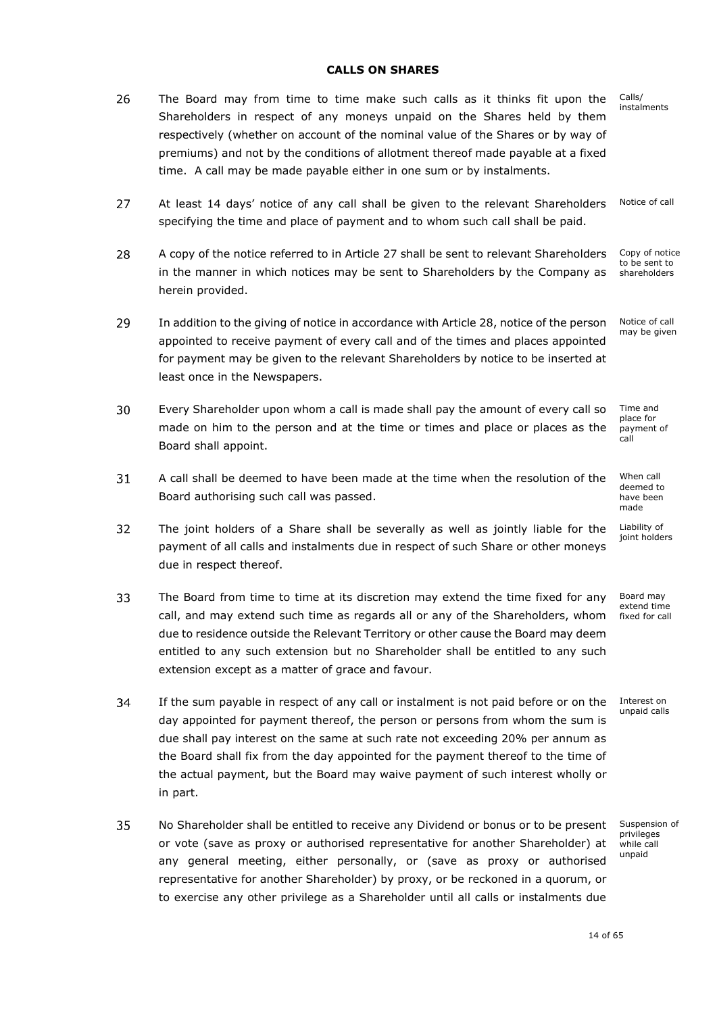### **CALLS ON SHARES**

<span id="page-15-0"></span>26 The Board may from time to time make such calls as it thinks fit upon the Calls/ Shareholders in respect of any moneys unpaid on the Shares held by them respectively (whether on account of the nominal value of the Shares or by way of premiums) and not by the conditions of allotment thereof made payable at a fixed time. A call may be made payable either in one sum or by instalments.

<span id="page-15-1"></span>Notice of call 27 At least 14 days' notice of any call shall be given to the relevant Shareholders specifying the time and place of payment and to whom such call shall be paid.

- <span id="page-15-2"></span>Copy of notice 28 A copy of the notice referred to in Article [27](#page-15-1) shall be sent to relevant Shareholders to be sent to in the manner in which notices may be sent to Shareholders by the Company as shareholders herein provided.
- 29 Notice of call In addition to the giving of notice in accordance with Article [28,](#page-15-2) notice of the person may be given appointed to receive payment of every call and of the times and places appointed for payment may be given to the relevant Shareholders by notice to be inserted at least once in the Newspapers.
- 30 Every Shareholder upon whom a call is made shall pay the amount of every call so x Time and place for made on him to the person and at the time or times and place or places as the payment of call Board shall appoint.
- 31 A call shall be deemed to have been made at the time when the resolution of the Board authorising such call was passed.
- 32 The joint holders of a Share shall be severally as well as jointly liable for the payment of all calls and instalments due in respect of such Share or other moneys due in respect thereof.
- 33 The Board from time to time at its discretion may extend the time fixed for any call, and may extend such time as regards all or any of the Shareholders, whom due to residence outside the Relevant Territory or other cause the Board may deem entitled to any such extension but no Shareholder shall be entitled to any such extension except as a matter of grace and favour.
- <span id="page-15-3"></span>34 If the sum payable in respect of any call or instalment is not paid before or on the day appointed for payment thereof, the person or persons from whom the sum is due shall pay interest on the same at such rate not exceeding 20% per annum as the Board shall fix from the day appointed for the payment thereof to the time of the actual payment, but the Board may waive payment of such interest wholly or in part.
- 35 No Shareholder shall be entitled to receive any Dividend or bonus or to be present x or vote (save as proxy or authorised representative for another Shareholder) at any general meeting, either personally, or (save as proxy or authorised representative for another Shareholder) by proxy, or be reckoned in a quorum, or to exercise any other privilege as a Shareholder until all calls or instalments due

Suspension of privileges while call unpaid

When call deemed to have been made

Liability of joint holders

Board may extend time fixed for call

Interest on unpaid calls

instalments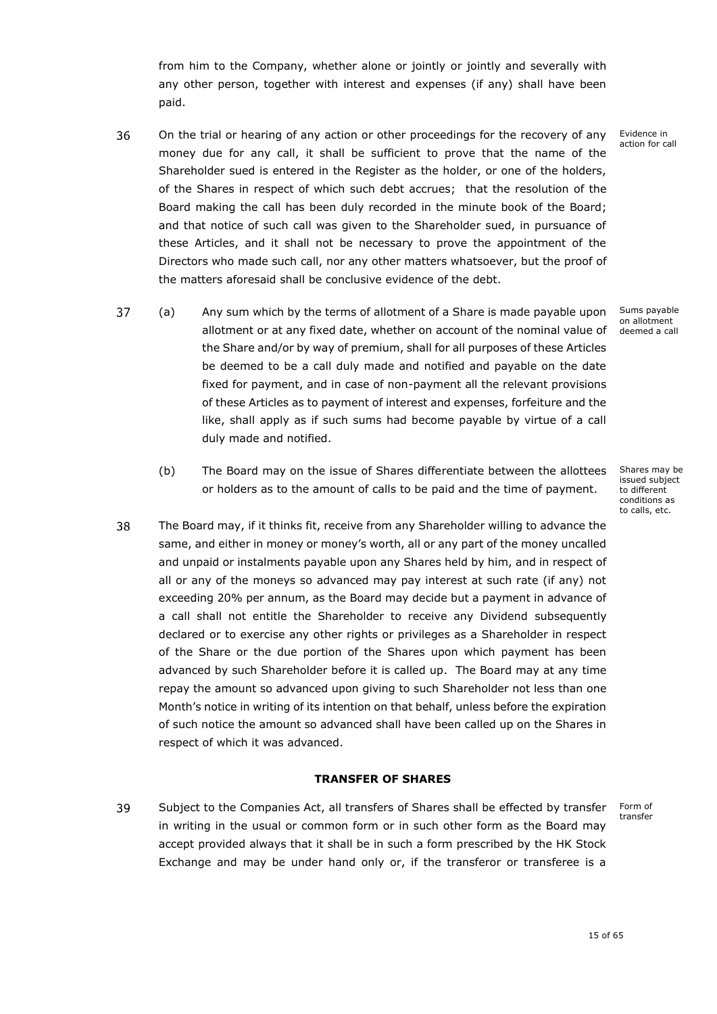from him to the Company, whether alone or jointly or jointly and severally with any other person, together with interest and expenses (if any) shall have been paid.

- 36 On the trial or hearing of any action or other proceedings for the recovery of any money due for any call, it shall be sufficient to prove that the name of the Shareholder sued is entered in the Register as the holder, or one of the holders, of the Shares in respect of which such debt accrues; that the resolution of the Board making the call has been duly recorded in the minute book of the Board; and that notice of such call was given to the Shareholder sued, in pursuance of these Articles, and it shall not be necessary to prove the appointment of the Directors who made such call, nor any other matters whatsoever, but the proof of the matters aforesaid shall be conclusive evidence of the debt.
- 37 (a) x Any sum which by the terms of allotment of a Share is made payable upon Sums payable on allotment allotment or at any fixed date, whether on account of the nominal value of deemed a call the Share and/or by way of premium, shall for all purposes of these Articles be deemed to be a call duly made and notified and payable on the date fixed for payment, and in case of non-payment all the relevant provisions of these Articles as to payment of interest and expenses, forfeiture and the like, shall apply as if such sums had become payable by virtue of a call duly made and notified.
	- (b) The Board may on the issue of Shares differentiate between the allottees or holders as to the amount of calls to be paid and the time of payment.
- <span id="page-16-1"></span>38 The Board may, if it thinks fit, receive from any Shareholder willing to advance the x same, and either in money or money's worth, all or any part of the money uncalled and unpaid or instalments payable upon any Shares held by him, and in respect of all or any of the moneys so advanced may pay interest at such rate (if any) not exceeding 20% per annum, as the Board may decide but a payment in advance of a call shall not entitle the Shareholder to receive any Dividend subsequently declared or to exercise any other rights or privileges as a Shareholder in respect of the Share or the due portion of the Shares upon which payment has been advanced by such Shareholder before it is called up. The Board may at any time repay the amount so advanced upon giving to such Shareholder not less than one Month's notice in writing of its intention on that behalf, unless before the expiration of such notice the amount so advanced shall have been called up on the Shares in respect of which it was advanced.

# **TRANSFER OF SHARES**

<span id="page-16-0"></span>39 Subject to the Companies Act, all transfers of Shares shall be effected by transfer in writing in the usual or common form or in such other form as the Board may accept provided always that it shall be in such a form prescribed by the HK Stock Exchange and may be under hand only or, if the transferor or transferee is a

Shares may be issued subject to different conditions as to calls, etc.

Form of transfer

Evidence in action for call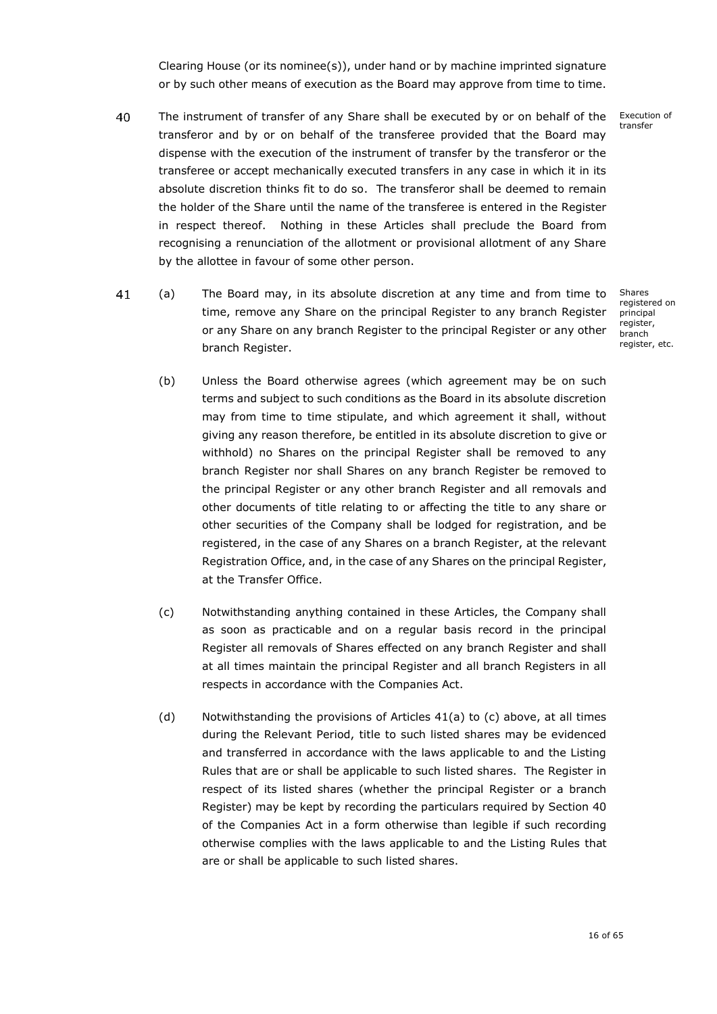Clearing House (or its nominee(s)), under hand or by machine imprinted signature or by such other means of execution as the Board may approve from time to time.

- 40 Execution of The instrument of transfer of any Share shall be executed by or on behalf of the x transfer transferor and by or on behalf of the transferee provided that the Board may dispense with the execution of the instrument of transfer by the transferor or the transferee or accept mechanically executed transfers in any case in which it in its absolute discretion thinks fit to do so. The transferor shall be deemed to remain the holder of the Share until the name of the transferee is entered in the Register in respect thereof. Nothing in these Articles shall preclude the Board from recognising a renunciation of the allotment or provisional allotment of any Share by the allottee in favour of some other person.
- 41 (a) x The Board may, in its absolute discretion at any time and from time to time, remove any Share on the principal Register to any branch Register or any Share on any branch Register to the principal Register or any other branch Register.

Shares registered on principal .<br>register, branch register, etc.

- (b) Unless the Board otherwise agrees (which agreement may be on such terms and subject to such conditions as the Board in its absolute discretion may from time to time stipulate, and which agreement it shall, without giving any reason therefore, be entitled in its absolute discretion to give or withhold) no Shares on the principal Register shall be removed to any branch Register nor shall Shares on any branch Register be removed to the principal Register or any other branch Register and all removals and other documents of title relating to or affecting the title to any share or other securities of the Company shall be lodged for registration, and be registered, in the case of any Shares on a branch Register, at the relevant Registration Office, and, in the case of any Shares on the principal Register, at the Transfer Office.
- (c) Notwithstanding anything contained in these Articles, the Company shall as soon as practicable and on a regular basis record in the principal Register all removals of Shares effected on any branch Register and shall at all times maintain the principal Register and all branch Registers in all respects in accordance with the Companies Act.
- (d) Notwithstanding the provisions of Articles 41(a) to (c) above, at all times during the Relevant Period, title to such listed shares may be evidenced and transferred in accordance with the laws applicable to and the Listing Rules that are or shall be applicable to such listed shares. The Register in respect of its listed shares (whether the principal Register or a branch Register) may be kept by recording the particulars required by Section 40 of the Companies Act in a form otherwise than legible if such recording otherwise complies with the laws applicable to and the Listing Rules that are or shall be applicable to such listed shares.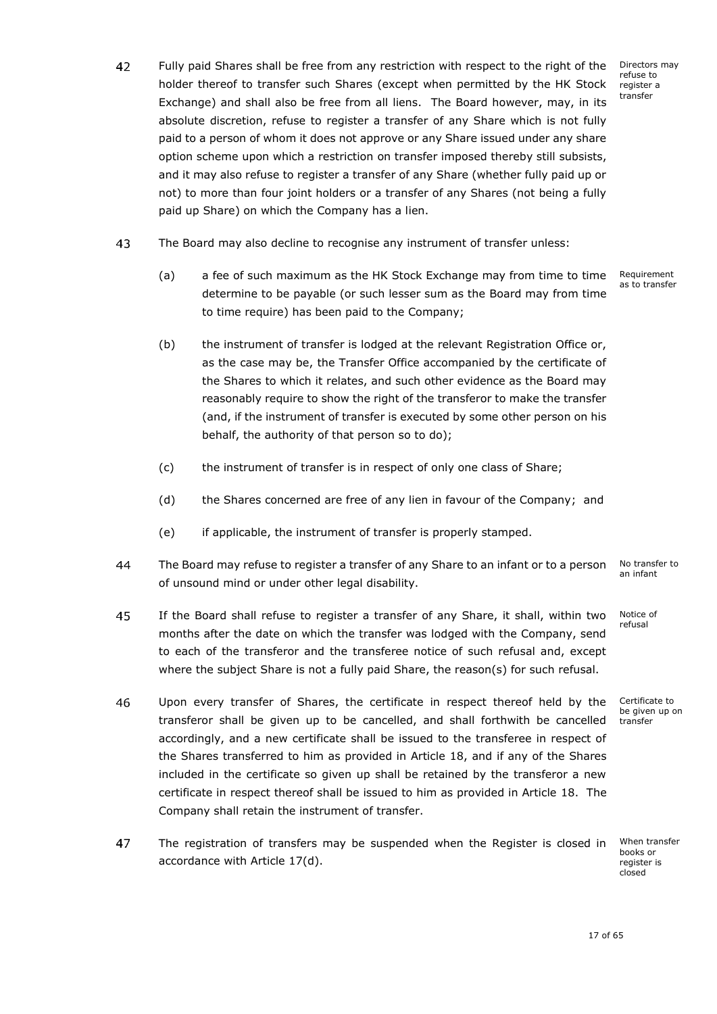Directors may refuse to register a transfer

- 42 Fully paid Shares shall be free from any restriction with respect to the right of the holder thereof to transfer such Shares (except when permitted by the HK Stock Exchange) and shall also be free from all liens. The Board however, may, in its absolute discretion, refuse to register a transfer of any Share which is not fully paid to a person of whom it does not approve or any Share issued under any share option scheme upon which a restriction on transfer imposed thereby still subsists, and it may also refuse to register a transfer of any Share (whether fully paid up or not) to more than four joint holders or a transfer of any Shares (not being a fully paid up Share) on which the Company has a lien.
- 43 The Board may also decline to recognise any instrument of transfer unless:
	- (a) a fee of such maximum as the HK Stock Exchange may from time to time determine to be payable (or such lesser sum as the Board may from time to time require) has been paid to the Company; Requirement as to transfer
	- (b) the instrument of transfer is lodged at the relevant Registration Office or, as the case may be, the Transfer Office accompanied by the certificate of the Shares to which it relates, and such other evidence as the Board may reasonably require to show the right of the transferor to make the transfer (and, if the instrument of transfer is executed by some other person on his behalf, the authority of that person so to do);
	- (c) the instrument of transfer is in respect of only one class of Share;
	- (d) the Shares concerned are free of any lien in favour of the Company; and
	- (e) if applicable, the instrument of transfer is properly stamped.
- 44 The Board may refuse to register a transfer of any Share to an infant or to a person an infant of unsound mind or under other legal disability.
- 45 If the Board shall refuse to register a transfer of any Share, it shall, within two x months after the date on which the transfer was lodged with the Company, send to each of the transferor and the transferee notice of such refusal and, except where the subject Share is not a fully paid Share, the reason(s) for such refusal.
- 46 Upon every transfer of Shares, the certificate in respect thereof held by the transferor shall be given up to be cancelled, and shall forthwith be cancelled accordingly, and a new certificate shall be issued to the transferee in respect of the Shares transferred to him as provided in Article [18,](#page-12-0) and if any of the Shares included in the certificate so given up shall be retained by the transferor a new certificate in respect thereof shall be issued to him as provided in Article [18.](#page-12-0) The Company shall retain the instrument of transfer.
- 47 The registration of transfers may be suspended when the Register is closed in accordance with Article [17\(d\).](#page-12-1)

No transfer to

Notice of refusal

Certificate to be given up on transfer

When transfer books or register is closed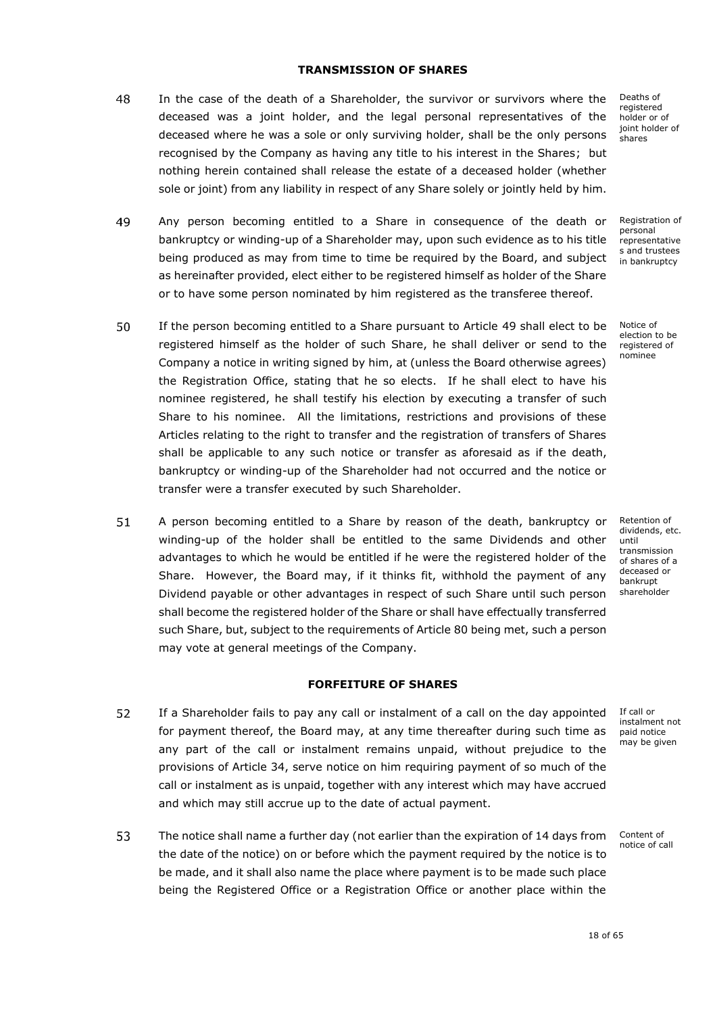# **TRANSMISSION OF SHARES**

- <span id="page-19-0"></span>48 In the case of the death of a Shareholder, the survivor or survivors where the deceased was a joint holder, and the legal personal representatives of the deceased where he was a sole or only surviving holder, shall be the only persons recognised by the Company as having any title to his interest in the Shares; but nothing herein contained shall release the estate of a deceased holder (whether sole or joint) from any liability in respect of any Share solely or jointly held by him.
- <span id="page-19-2"></span>49 Any person becoming entitled to a Share in consequence of the death or bankruptcy or winding-up of a Shareholder may, upon such evidence as to his title being produced as may from time to time be required by the Board, and subject as hereinafter provided, elect either to be registered himself as holder of the Share or to have some person nominated by him registered as the transferee thereof.
- 50 If the person becoming entitled to a Share pursuant to Article [49](#page-19-2) shall elect to be registered himself as the holder of such Share, he shall deliver or send to the Company a notice in writing signed by him, at (unless the Board otherwise agrees) the Registration Office, stating that he so elects. If he shall elect to have his nominee registered, he shall testify his election by executing a transfer of such Share to his nominee. All the limitations, restrictions and provisions of these Articles relating to the right to transfer and the registration of transfers of Shares shall be applicable to any such notice or transfer as aforesaid as if the death, bankruptcy or winding-up of the Shareholder had not occurred and the notice or transfer were a transfer executed by such Shareholder.
- <span id="page-19-3"></span>51 A person becoming entitled to a Share by reason of the death, bankruptcy or winding-up of the holder shall be entitled to the same Dividends and other advantages to which he would be entitled if he were the registered holder of the Share. However, the Board may, if it thinks fit, withhold the payment of any Dividend payable or other advantages in respect of such Share until such person shall become the registered holder of the Share or shall have effectually transferred such Share, but, subject to the requirements of Article [80](#page-26-0) being met, such a person may vote at general meetings of the Company.

### **FORFEITURE OF SHARES**

- <span id="page-19-1"></span>52 If a Shareholder fails to pay any call or instalment of a call on the day appointed for payment thereof, the Board may, at any time thereafter during such time as any part of the call or instalment remains unpaid, without prejudice to the provisions of Article [34,](#page-15-3) serve notice on him requiring payment of so much of the call or instalment as is unpaid, together with any interest which may have accrued and which may still accrue up to the date of actual payment.
- 53 The notice shall name a further day (not earlier than the expiration of 14 days from the date of the notice) on or before which the payment required by the notice is to be made, and it shall also name the place where payment is to be made such place being the Registered Office or a Registration Office or another place within the

Deaths of registered holder or of joint holder of shares

Registration of personal representative s and trustees in bankruptcy

Notice of election to be registered of nominee

Retention of dividends, etc. until transmission of shares of a deceased or bankrupt shareholder

If call or instalment not paid notice may be given

Content of notice of call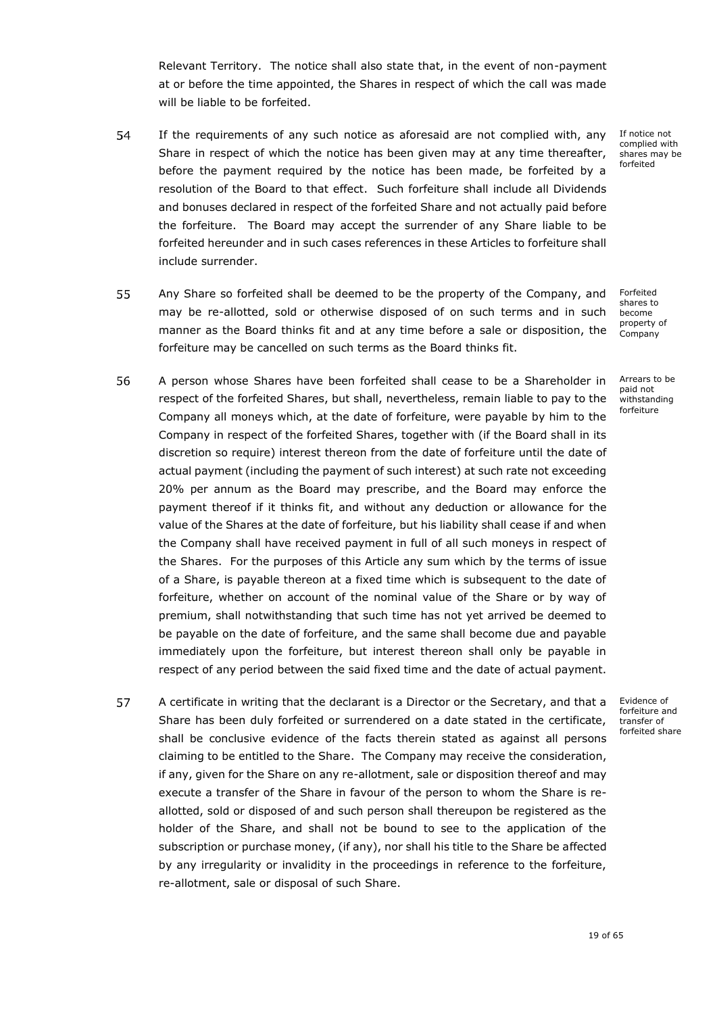Relevant Territory. The notice shall also state that, in the event of non-payment at or before the time appointed, the Shares in respect of which the call was made will be liable to be forfeited.

- 54 If the requirements of any such notice as aforesaid are not complied with, any Share in respect of which the notice has been given may at any time thereafter, before the payment required by the notice has been made, be forfeited by a resolution of the Board to that effect. Such forfeiture shall include all Dividends and bonuses declared in respect of the forfeited Share and not actually paid before the forfeiture. The Board may accept the surrender of any Share liable to be forfeited hereunder and in such cases references in these Articles to forfeiture shall include surrender.
- 55 Any Share so forfeited shall be deemed to be the property of the Company, and may be re-allotted, sold or otherwise disposed of on such terms and in such manner as the Board thinks fit and at any time before a sale or disposition, the forfeiture may be cancelled on such terms as the Board thinks fit.
- 56 A person whose Shares have been forfeited shall cease to be a Shareholder in x respect of the forfeited Shares, but shall, nevertheless, remain liable to pay to the Company all moneys which, at the date of forfeiture, were payable by him to the Company in respect of the forfeited Shares, together with (if the Board shall in its discretion so require) interest thereon from the date of forfeiture until the date of actual payment (including the payment of such interest) at such rate not exceeding 20% per annum as the Board may prescribe, and the Board may enforce the payment thereof if it thinks fit, and without any deduction or allowance for the value of the Shares at the date of forfeiture, but his liability shall cease if and when the Company shall have received payment in full of all such moneys in respect of the Shares. For the purposes of this Article any sum which by the terms of issue of a Share, is payable thereon at a fixed time which is subsequent to the date of forfeiture, whether on account of the nominal value of the Share or by way of premium, shall notwithstanding that such time has not yet arrived be deemed to be payable on the date of forfeiture, and the same shall become due and payable immediately upon the forfeiture, but interest thereon shall only be payable in respect of any period between the said fixed time and the date of actual payment.
- 57 A certificate in writing that the declarant is a Director or the Secretary, and that a x Share has been duly forfeited or surrendered on a date stated in the certificate, shall be conclusive evidence of the facts therein stated as against all persons claiming to be entitled to the Share. The Company may receive the consideration, if any, given for the Share on any re-allotment, sale or disposition thereof and may execute a transfer of the Share in favour of the person to whom the Share is reallotted, sold or disposed of and such person shall thereupon be registered as the holder of the Share, and shall not be bound to see to the application of the subscription or purchase money, (if any), nor shall his title to the Share be affected by any irregularity or invalidity in the proceedings in reference to the forfeiture, re-allotment, sale or disposal of such Share.

If notice not complied with shares may be forfeited

Forfeited shares to become property of Company

Arrears to be paid not withstanding forfeiture

Evidence of forfeiture and transfer of forfeited share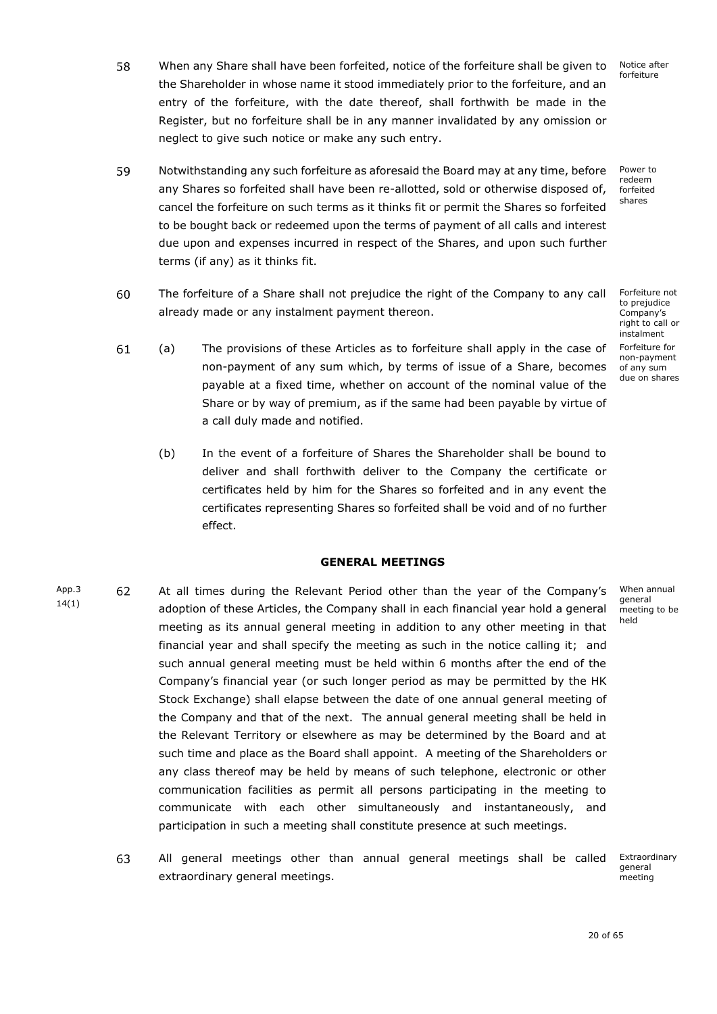Notice after forfeiture

- 58 When any Share shall have been forfeited, notice of the forfeiture shall be given to the Shareholder in whose name it stood immediately prior to the forfeiture, and an entry of the forfeiture, with the date thereof, shall forthwith be made in the Register, but no forfeiture shall be in any manner invalidated by any omission or neglect to give such notice or make any such entry.
- 59 Power to Notwithstanding any such forfeiture as aforesaid the Board may at any time, before x redeem any Shares so forfeited shall have been re-allotted, sold or otherwise disposed of, forfeited shares cancel the forfeiture on such terms as it thinks fit or permit the Shares so forfeited to be bought back or redeemed upon the terms of payment of all calls and interest due upon and expenses incurred in respect of the Shares, and upon such further terms (if any) as it thinks fit.

The forfeiture of a Share shall not prejudice the right of the Company to any call x

Forfeiture not

- to prejudice Company's right to call or instalment Forfeiture for non-payment of any sum due on shares
- 61 (a) x The provisions of these Articles as to forfeiture shall apply in the case of non-payment of any sum which, by terms of issue of a Share, becomes payable at a fixed time, whether on account of the nominal value of the Share or by way of premium, as if the same had been payable by virtue of a call duly made and notified.

already made or any instalment payment thereon.

60

<span id="page-21-0"></span>(b) In the event of a forfeiture of Shares the Shareholder shall be bound to deliver and shall forthwith deliver to the Company the certificate or certificates held by him for the Shares so forfeited and in any event the certificates representing Shares so forfeited shall be void and of no further effect.

# **GENERAL MEETINGS**

- When annual App<sub>.3</sub> 62 At all times during the Relevant Period other than the year of the Company's general 14(1) adoption of these Articles, the Company shall in each financial year hold a general meeting to be held meeting as its annual general meeting in addition to any other meeting in that financial year and shall specify the meeting as such in the notice calling it; and such annual general meeting must be held within 6 months after the end of the Company's financial year (or such longer period as may be permitted by the HK Stock Exchange) shall elapse between the date of one annual general meeting of the Company and that of the next. The annual general meeting shall be held in the Relevant Territory or elsewhere as may be determined by the Board and at such time and place as the Board shall appoint. A meeting of the Shareholders or any class thereof may be held by means of such telephone, electronic or other communication facilities as permit all persons participating in the meeting to communicate with each other simultaneously and instantaneously, and participation in such a meeting shall constitute presence at such meetings.
	- 63 All general meetings other than annual general meetings shall be called Extraordinary general extraordinary general meetings. meeting

20 of 65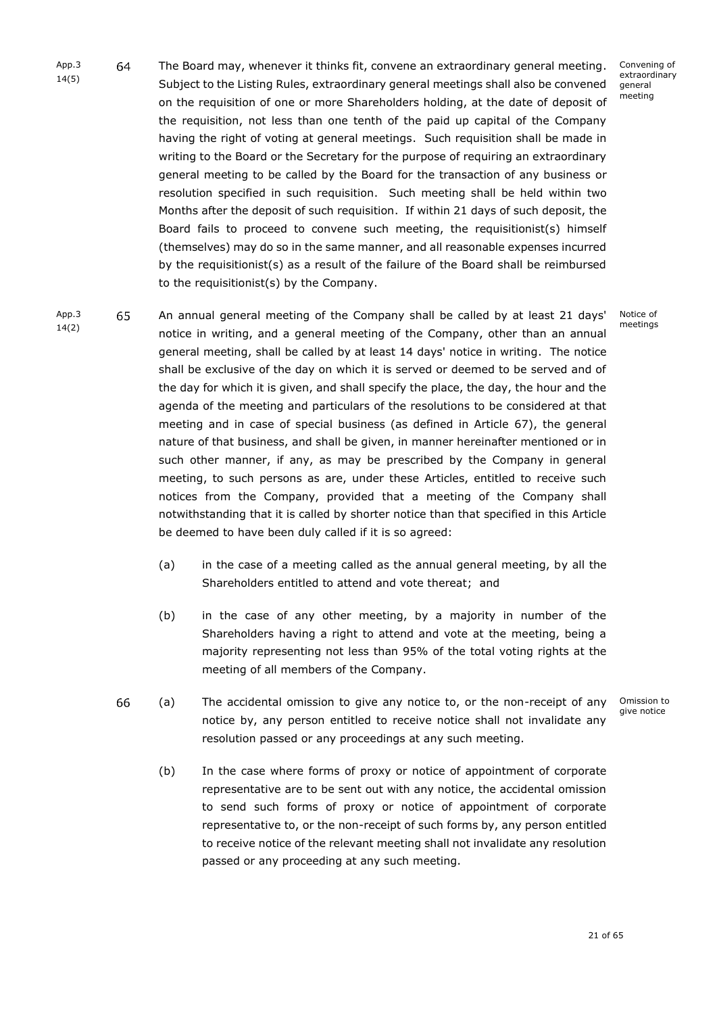- App.3 64 The Board may, whenever it thinks fit, convene an extraordinary general meeting. 14(5) Subject to the Listing Rules, extraordinary general meetings shall also be convened on the requisition of one or more Shareholders holding, at the date of deposit of the requisition, not less than one tenth of the paid up capital of the Company having the right of voting at general meetings. Such requisition shall be made in writing to the Board or the Secretary for the purpose of requiring an extraordinary general meeting to be called by the Board for the transaction of any business or resolution specified in such requisition. Such meeting shall be held within two Months after the deposit of such requisition. If within 21 days of such deposit, the Board fails to proceed to convene such meeting, the requisitionist(s) himself (themselves) may do so in the same manner, and all reasonable expenses incurred by the requisitionist(s) as a result of the failure of the Board shall be reimbursed to the requisitionist(s) by the Company.
- App.3 14(2)

65

An annual general meeting of the Company shall be called by at least 21 days' notice in writing, and a general meeting of the Company, other than an annual general meeting, shall be called by at least 14 days' notice in writing. The notice shall be exclusive of the day on which it is served or deemed to be served and of the day for which it is given, and shall specify the place, the day, the hour and the agenda of the meeting and particulars of the resolutions to be considered at that meeting and in case of special business (as defined in Article [67\)](#page-23-1), the general nature of that business, and shall be given, in manner hereinafter mentioned or in such other manner, if any, as may be prescribed by the Company in general meeting, to such persons as are, under these Articles, entitled to receive such notices from the Company, provided that a meeting of the Company shall notwithstanding that it is called by shorter notice than that specified in this Article be deemed to have been duly called if it is so agreed:

- (a) in the case of a meeting called as the annual general meeting, by all the Shareholders entitled to attend and vote thereat; and
- (b) in the case of any other meeting, by a majority in number of the Shareholders having a right to attend and vote at the meeting, being a majority representing not less than 95% of the total voting rights at the meeting of all members of the Company.
- 66 (a) The accidental omission to give any notice to, or the non-receipt of any notice by, any person entitled to receive notice shall not invalidate any resolution passed or any proceedings at any such meeting.
	- Omission to give notice
	- (b) In the case where forms of proxy or notice of appointment of corporate representative are to be sent out with any notice, the accidental omission to send such forms of proxy or notice of appointment of corporate representative to, or the non-receipt of such forms by, any person entitled to receive notice of the relevant meeting shall not invalidate any resolution passed or any proceeding at any such meeting.

Convening of extraordinary general meeting

Notice of meetings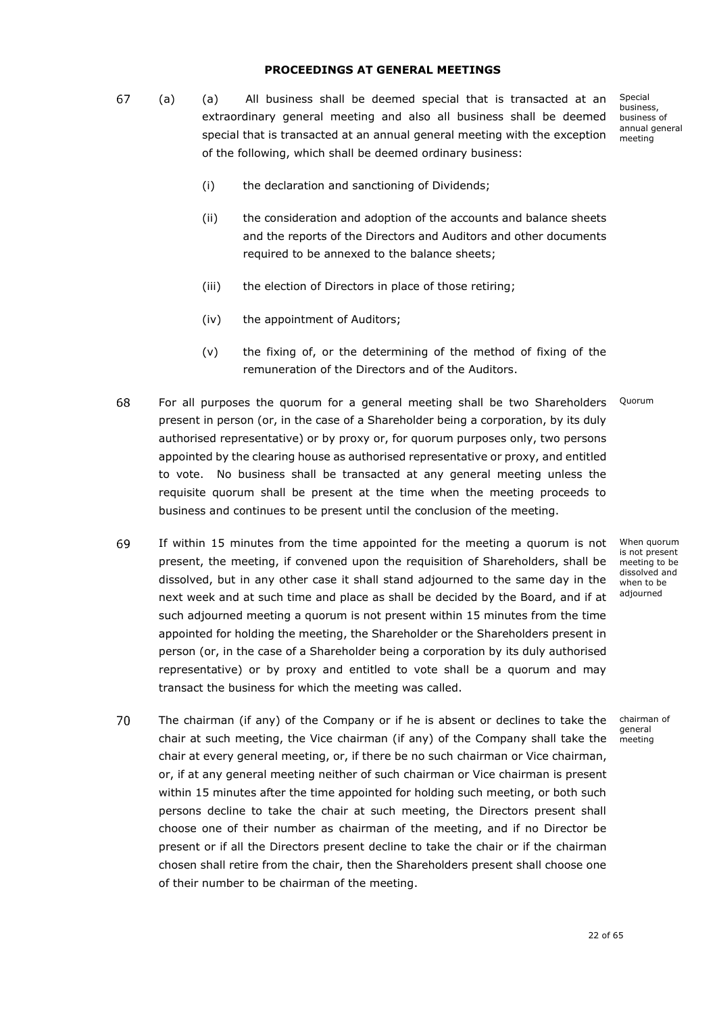### **PROCEEDINGS AT GENERAL MEETINGS**

<span id="page-23-1"></span><span id="page-23-0"></span>67 (a) (a) All business shall be deemed special that is transacted at an extraordinary general meeting and also all business shall be deemed special that is transacted at an annual general meeting with the exception of the following, which shall be deemed ordinary business:

Special business, business of annual general meeting

- (i) the declaration and sanctioning of Dividends;
- (ii) the consideration and adoption of the accounts and balance sheets and the reports of the Directors and Auditors and other documents required to be annexed to the balance sheets;
- (iii) the election of Directors in place of those retiring;
- (iv) the appointment of Auditors;
- (v) the fixing of, or the determining of the method of fixing of the remuneration of the Directors and of the Auditors.
- 68 For all purposes the quorum for a general meeting shall be two Shareholders Quorum present in person (or, in the case of a Shareholder being a corporation, by its duly authorised representative) or by proxy or, for quorum purposes only, two persons appointed by the clearing house as authorised representative or proxy, and entitled to vote. No business shall be transacted at any general meeting unless the requisite quorum shall be present at the time when the meeting proceeds to business and continues to be present until the conclusion of the meeting.
- 69 If within 15 minutes from the time appointed for the meeting a quorum is not present, the meeting, if convened upon the requisition of Shareholders, shall be dissolved, but in any other case it shall stand adjourned to the same day in the next week and at such time and place as shall be decided by the Board, and if at such adjourned meeting a quorum is not present within 15 minutes from the time appointed for holding the meeting, the Shareholder or the Shareholders present in person (or, in the case of a Shareholder being a corporation by its duly authorised representative) or by proxy and entitled to vote shall be a quorum and may transact the business for which the meeting was called.
- 70 The chairman (if any) of the Company or if he is absent or declines to take the chair at such meeting, the Vice chairman (if any) of the Company shall take the chair at every general meeting, or, if there be no such chairman or Vice chairman, or, if at any general meeting neither of such chairman or Vice chairman is present within 15 minutes after the time appointed for holding such meeting, or both such persons decline to take the chair at such meeting, the Directors present shall choose one of their number as chairman of the meeting, and if no Director be present or if all the Directors present decline to take the chair or if the chairman chosen shall retire from the chair, then the Shareholders present shall choose one of their number to be chairman of the meeting.

When quorum is not present meeting to be dissolved and when to be adjourned

chairman of general meeting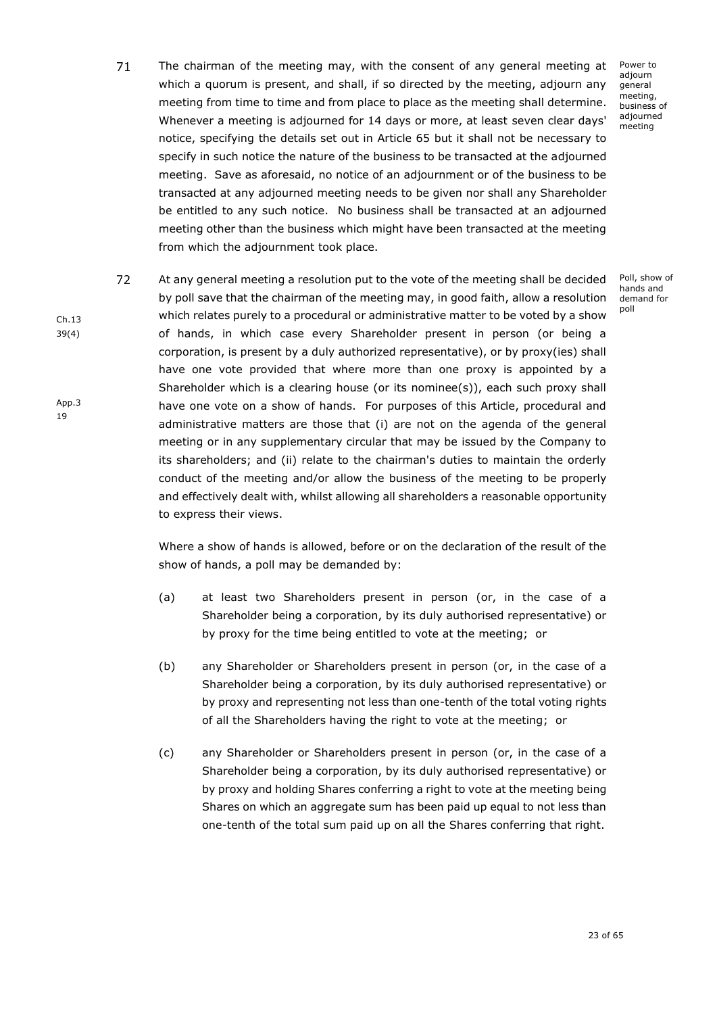- $71$ The chairman of the meeting may, with the consent of any general meeting at which a quorum is present, and shall, if so directed by the meeting, adjourn any meeting from time to time and from place to place as the meeting shall determine. Whenever a meeting is adjourned for 14 days or more, at least seven clear days' notice, specifying the details set out in Article 65 but it shall not be necessary to specify in such notice the nature of the business to be transacted at the adjourned meeting. Save as aforesaid, no notice of an adjournment or of the business to be transacted at any adjourned meeting needs to be given nor shall any Shareholder be entitled to any such notice. No business shall be transacted at an adjourned meeting other than the business which might have been transacted at the meeting from which the adjournment took place.
- 72 At any general meeting a resolution put to the vote of the meeting shall be decided by poll save that the chairman of the meeting may, in good faith, allow a resolution which relates purely to a procedural or administrative matter to be voted by a show of hands, in which case every Shareholder present in person (or being a corporation, is present by a duly authorized representative), or by proxy(ies) shall have one vote provided that where more than one proxy is appointed by a Shareholder which is a clearing house (or its nominee(s)), each such proxy shall have one vote on a show of hands. For purposes of this Article, procedural and administrative matters are those that (i) are not on the agenda of the general meeting or in any supplementary circular that may be issued by the Company to its shareholders; and (ii) relate to the chairman's duties to maintain the orderly conduct of the meeting and/or allow the business of the meeting to be properly and effectively dealt with, whilst allowing all shareholders a reasonable opportunity to express their views.

Ch.13 39(4)

App.3 19

> Where a show of hands is allowed, before or on the declaration of the result of the show of hands, a poll may be demanded by:

- (a) at least two Shareholders present in person (or, in the case of a Shareholder being a corporation, by its duly authorised representative) or by proxy for the time being entitled to vote at the meeting; or
- (b) any Shareholder or Shareholders present in person (or, in the case of a Shareholder being a corporation, by its duly authorised representative) or by proxy and representing not less than one-tenth of the total voting rights of all the Shareholders having the right to vote at the meeting; or
- (c) any Shareholder or Shareholders present in person (or, in the case of a Shareholder being a corporation, by its duly authorised representative) or by proxy and holding Shares conferring a right to vote at the meeting being Shares on which an aggregate sum has been paid up equal to not less than one-tenth of the total sum paid up on all the Shares conferring that right.

Power to adjourn general meeting, business of adjourned meeting

Poll, show of hands and demand for poll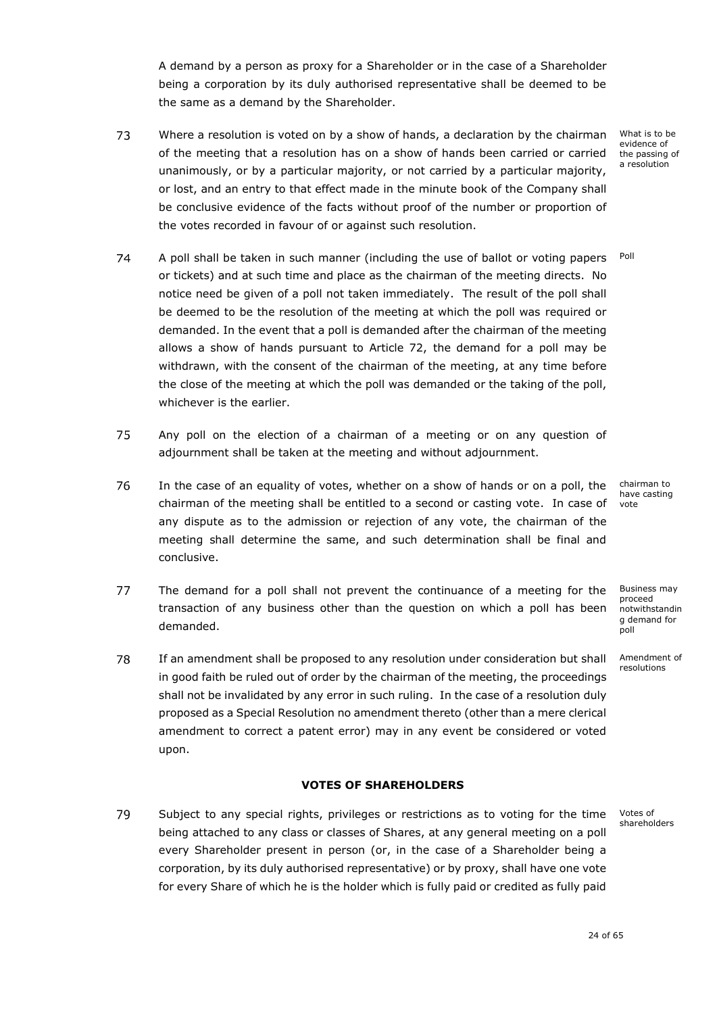A demand by a person as proxy for a Shareholder or in the case of a Shareholder being a corporation by its duly authorised representative shall be deemed to be the same as a demand by the Shareholder.

- 73 Where a resolution is voted on by a show of hands, a declaration by the chairman of the meeting that a resolution has on a show of hands been carried or carried unanimously, or by a particular majority, or not carried by a particular majority, or lost, and an entry to that effect made in the minute book of the Company shall be conclusive evidence of the facts without proof of the number or proportion of the votes recorded in favour of or against such resolution.
- 74 Poll A poll shall be taken in such manner (including the use of ballot or voting papers or tickets) and at such time and place as the chairman of the meeting directs. No notice need be given of a poll not taken immediately. The result of the poll shall be deemed to be the resolution of the meeting at which the poll was required or demanded. In the event that a poll is demanded after the chairman of the meeting allows a show of hands pursuant to Article 72, the demand for a poll may be withdrawn, with the consent of the chairman of the meeting, at any time before the close of the meeting at which the poll was demanded or the taking of the poll, whichever is the earlier.
- 75 Any poll on the election of a chairman of a meeting or on any question of adjournment shall be taken at the meeting and without adjournment.
- 76 In the case of an equality of votes, whether on a show of hands or on a poll, the chairman of the meeting shall be entitled to a second or casting vote. In case of any dispute as to the admission or rejection of any vote, the chairman of the meeting shall determine the same, and such determination shall be final and conclusive.
- 77 The demand for a poll shall not prevent the continuance of a meeting for the Business may proceed transaction of any business other than the question on which a poll has been notwithstandin g demand for demanded. poll
- 78 If an amendment shall be proposed to any resolution under consideration but shall x in good faith be ruled out of order by the chairman of the meeting, the proceedings shall not be invalidated by any error in such ruling. In the case of a resolution duly proposed as a Special Resolution no amendment thereto (other than a mere clerical amendment to correct a patent error) may in any event be considered or voted upon.

# **VOTES OF SHAREHOLDERS**

<span id="page-25-0"></span>79 Subject to any special rights, privileges or restrictions as to voting for the time being attached to any class or classes of Shares, at any general meeting on a poll every Shareholder present in person (or, in the case of a Shareholder being a corporation, by its duly authorised representative) or by proxy, shall have one vote for every Share of which he is the holder which is fully paid or credited as fully paid

Amendment of resolutions

What is to be evidence of the passing of a resolution

chairman to have casting vote

Votes of shareholders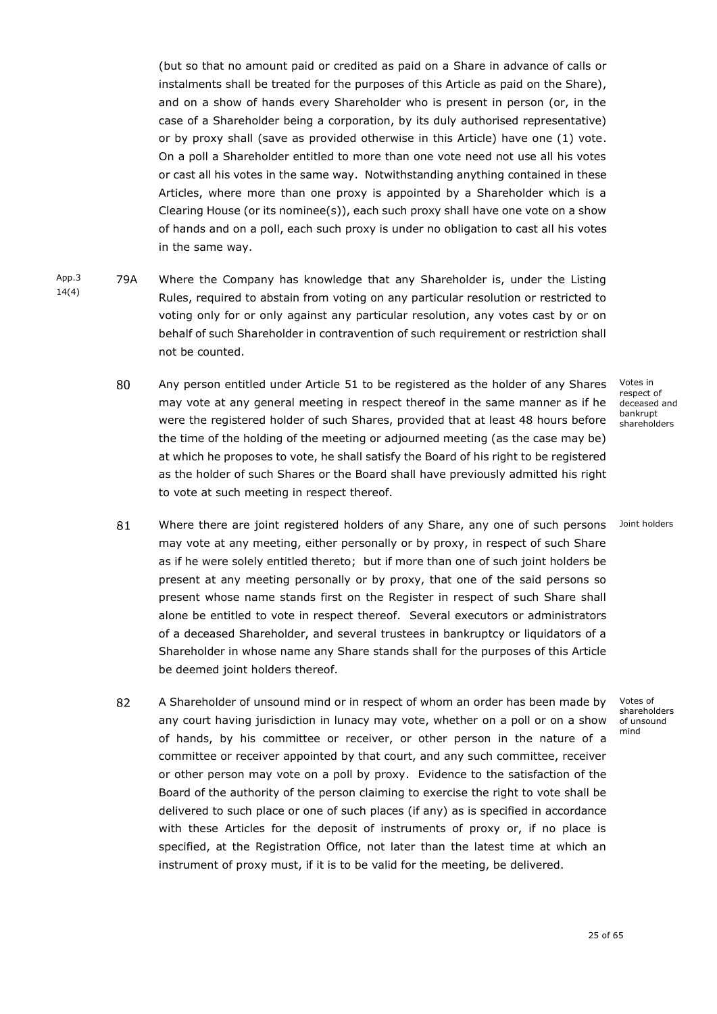(but so that no amount paid or credited as paid on a Share in advance of calls or instalments shall be treated for the purposes of this Article as paid on the Share), and on a show of hands every Shareholder who is present in person (or, in the case of a Shareholder being a corporation, by its duly authorised representative) or by proxy shall (save as provided otherwise in this Article) have one (1) vote. On a poll a Shareholder entitled to more than one vote need not use all his votes or cast all his votes in the same way. Notwithstanding anything contained in these Articles, where more than one proxy is appointed by a Shareholder which is a Clearing House (or its nominee(s)), each such proxy shall have one vote on a show of hands and on a poll, each such proxy is under no obligation to cast all his votes in the same way.

- <span id="page-26-0"></span>App.3 14(4) 79A Where the Company has knowledge that any Shareholder is, under the Listing Rules, required to abstain from voting on any particular resolution or restricted to voting only for or only against any particular resolution, any votes cast by or on behalf of such Shareholder in contravention of such requirement or restriction shall not be counted.
	- 80 Any person entitled under Article [51](#page-19-3) to be registered as the holder of any Shares may vote at any general meeting in respect thereof in the same manner as if he were the registered holder of such Shares, provided that at least 48 hours before the time of the holding of the meeting or adjourned meeting (as the case may be) at which he proposes to vote, he shall satisfy the Board of his right to be registered as the holder of such Shares or the Board shall have previously admitted his right to vote at such meeting in respect thereof.

Votes in respect of deceased and bankrupt shareholders

Joint holders

- 81 Where there are joint registered holders of any Share, any one of such persons may vote at any meeting, either personally or by proxy, in respect of such Share as if he were solely entitled thereto; but if more than one of such joint holders be present at any meeting personally or by proxy, that one of the said persons so present whose name stands first on the Register in respect of such Share shall alone be entitled to vote in respect thereof. Several executors or administrators of a deceased Shareholder, and several trustees in bankruptcy or liquidators of a Shareholder in whose name any Share stands shall for the purposes of this Article be deemed joint holders thereof.
- 82 A Shareholder of unsound mind or in respect of whom an order has been made by any court having jurisdiction in lunacy may vote, whether on a poll or on a show of hands, by his committee or receiver, or other person in the nature of a committee or receiver appointed by that court, and any such committee, receiver or other person may vote on a poll by proxy. Evidence to the satisfaction of the Board of the authority of the person claiming to exercise the right to vote shall be delivered to such place or one of such places (if any) as is specified in accordance with these Articles for the deposit of instruments of proxy or, if no place is specified, at the Registration Office, not later than the latest time at which an instrument of proxy must, if it is to be valid for the meeting, be delivered.

Votes of shareholders of unsound mind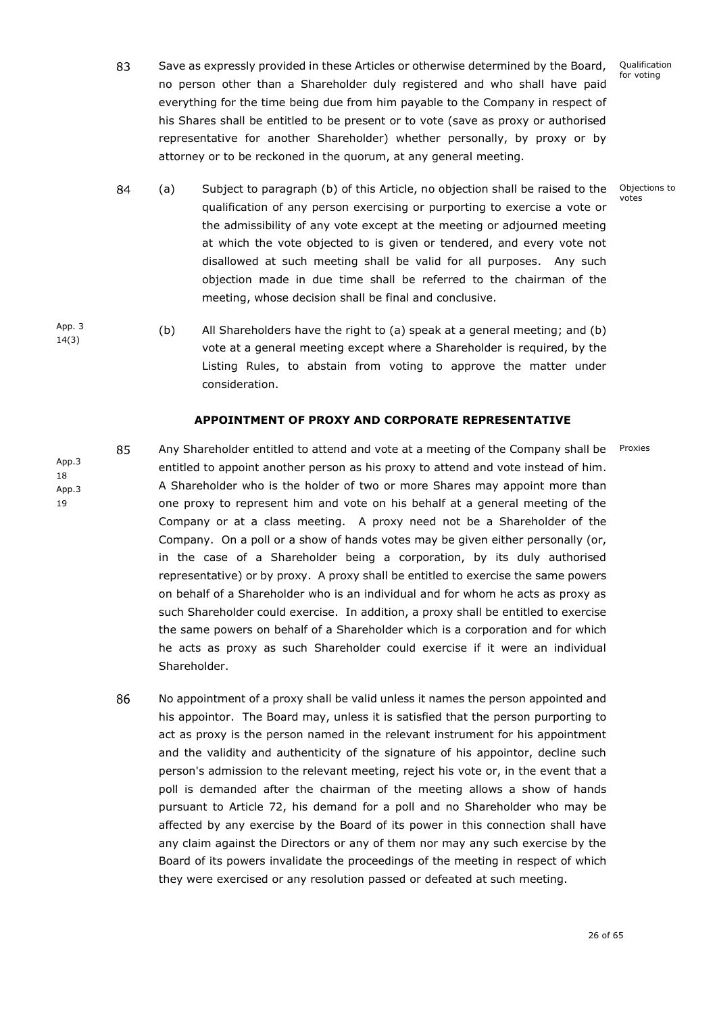Qualification for voting

83 Save as expressly provided in these Articles or otherwise determined by the Board, no person other than a Shareholder duly registered and who shall have paid everything for the time being due from him payable to the Company in respect of his Shares shall be entitled to be present or to vote (save as proxy or authorised representative for another Shareholder) whether personally, by proxy or by attorney or to be reckoned in the quorum, at any general meeting.

> Objections to votes

Proxies

- 84 (a) x Subject to paragraph (b) of this Article, no objection shall be raised to the qualification of any person exercising or purporting to exercise a vote or the admissibility of any vote except at the meeting or adjourned meeting at which the vote objected to is given or tendered, and every vote not disallowed at such meeting shall be valid for all purposes. Any such objection made in due time shall be referred to the chairman of the meeting, whose decision shall be final and conclusive.
- App. 3 14(3) (b) All Shareholders have the right to (a) speak at a general meeting; and (b) vote at a general meeting except where a Shareholder is required, by the Listing Rules, to abstain from voting to approve the matter under consideration.

# **APPOINTMENT OF PROXY AND CORPORATE REPRESENTATIVE**

App.3 18 App.3 19

85

<span id="page-27-0"></span>Any Shareholder entitled to attend and vote at a meeting of the Company shall be x entitled to appoint another person as his proxy to attend and vote instead of him. A Shareholder who is the holder of two or more Shares may appoint more than one proxy to represent him and vote on his behalf at a general meeting of the Company or at a class meeting. A proxy need not be a Shareholder of the Company. On a poll or a show of hands votes may be given either personally (or, in the case of a Shareholder being a corporation, by its duly authorised representative) or by proxy. A proxy shall be entitled to exercise the same powers on behalf of a Shareholder who is an individual and for whom he acts as proxy as such Shareholder could exercise. In addition, a proxy shall be entitled to exercise the same powers on behalf of a Shareholder which is a corporation and for which he acts as proxy as such Shareholder could exercise if it were an individual Shareholder.

86 No appointment of a proxy shall be valid unless it names the person appointed and x his appointor. The Board may, unless it is satisfied that the person purporting to act as proxy is the person named in the relevant instrument for his appointment and the validity and authenticity of the signature of his appointor, decline such person's admission to the relevant meeting, reject his vote or, in the event that a poll is demanded after the chairman of the meeting allows a show of hands pursuant to Article 72, his demand for a poll and no Shareholder who may be affected by any exercise by the Board of its power in this connection shall have any claim against the Directors or any of them nor may any such exercise by the Board of its powers invalidate the proceedings of the meeting in respect of which they were exercised or any resolution passed or defeated at such meeting.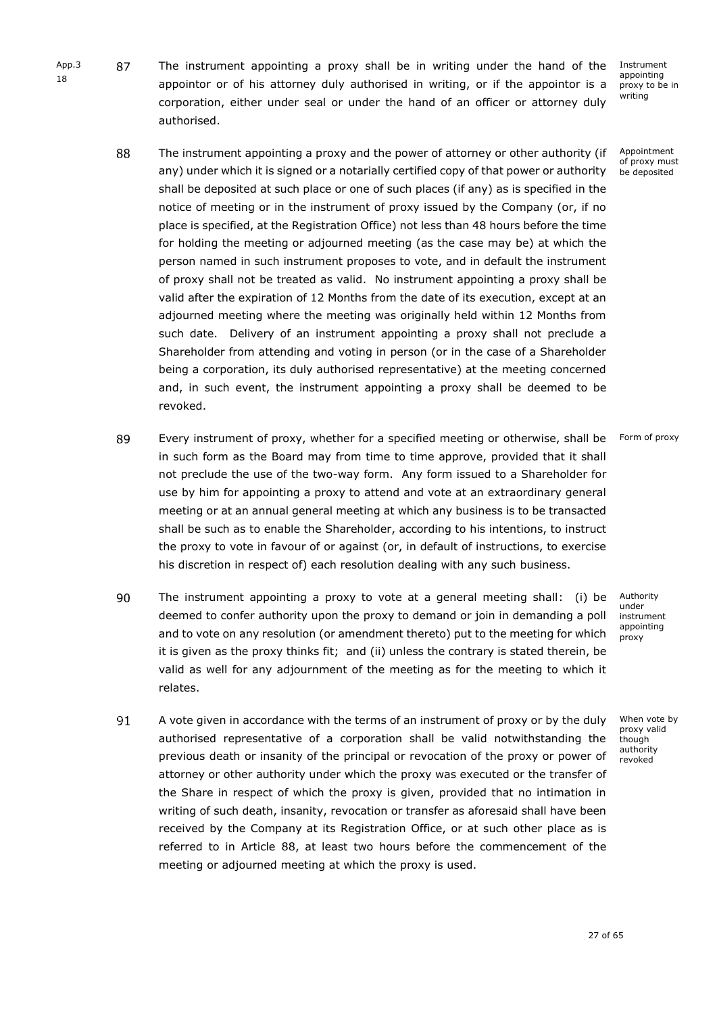87 The instrument appointing a proxy shall be in writing under the hand of the 18 appointor or of his attorney duly authorised in writing, or if the appointor is a corporation, either under seal or under the hand of an officer or attorney duly authorised.

> <span id="page-28-0"></span>88 The instrument appointing a proxy and the power of attorney or other authority (if Appointment of proxy must any) under which it is signed or a notarially certified copy of that power or authority be deposited shall be deposited at such place or one of such places (if any) as is specified in the notice of meeting or in the instrument of proxy issued by the Company (or, if no place is specified, at the Registration Office) not less than 48 hours before the time for holding the meeting or adjourned meeting (as the case may be) at which the person named in such instrument proposes to vote, and in default the instrument of proxy shall not be treated as valid. No instrument appointing a proxy shall be valid after the expiration of 12 Months from the date of its execution, except at an adjourned meeting where the meeting was originally held within 12 Months from such date. Delivery of an instrument appointing a proxy shall not preclude a Shareholder from attending and voting in person (or in the case of a Shareholder being a corporation, its duly authorised representative) at the meeting concerned and, in such event, the instrument appointing a proxy shall be deemed to be

- 89 Every instrument of proxy, whether for a specified meeting or otherwise, shall be x Form of proxy in such form as the Board may from time to time approve, provided that it shall not preclude the use of the two-way form. Any form issued to a Shareholder for use by him for appointing a proxy to attend and vote at an extraordinary general meeting or at an annual general meeting at which any business is to be transacted shall be such as to enable the Shareholder, according to his intentions, to instruct the proxy to vote in favour of or against (or, in default of instructions, to exercise his discretion in respect of) each resolution dealing with any such business.
- 90 The instrument appointing a proxy to vote at a general meeting shall: (i) be deemed to confer authority upon the proxy to demand or join in demanding a poll and to vote on any resolution (or amendment thereto) put to the meeting for which it is given as the proxy thinks fit; and (ii) unless the contrary is stated therein, be valid as well for any adjournment of the meeting as for the meeting to which it relates.
- 91 A vote given in accordance with the terms of an instrument of proxy or by the duly x authorised representative of a corporation shall be valid notwithstanding the previous death or insanity of the principal or revocation of the proxy or power of attorney or other authority under which the proxy was executed or the transfer of the Share in respect of which the proxy is given, provided that no intimation in writing of such death, insanity, revocation or transfer as aforesaid shall have been received by the Company at its Registration Office, or at such other place as is referred to in Article [88,](#page-28-0) at least two hours before the commencement of the meeting or adjourned meeting at which the proxy is used.

Authority under instrument appointing proxy

When vote by proxy valid though authority revoked

Instrument appointing proxy to be in writing

App.3

revoked.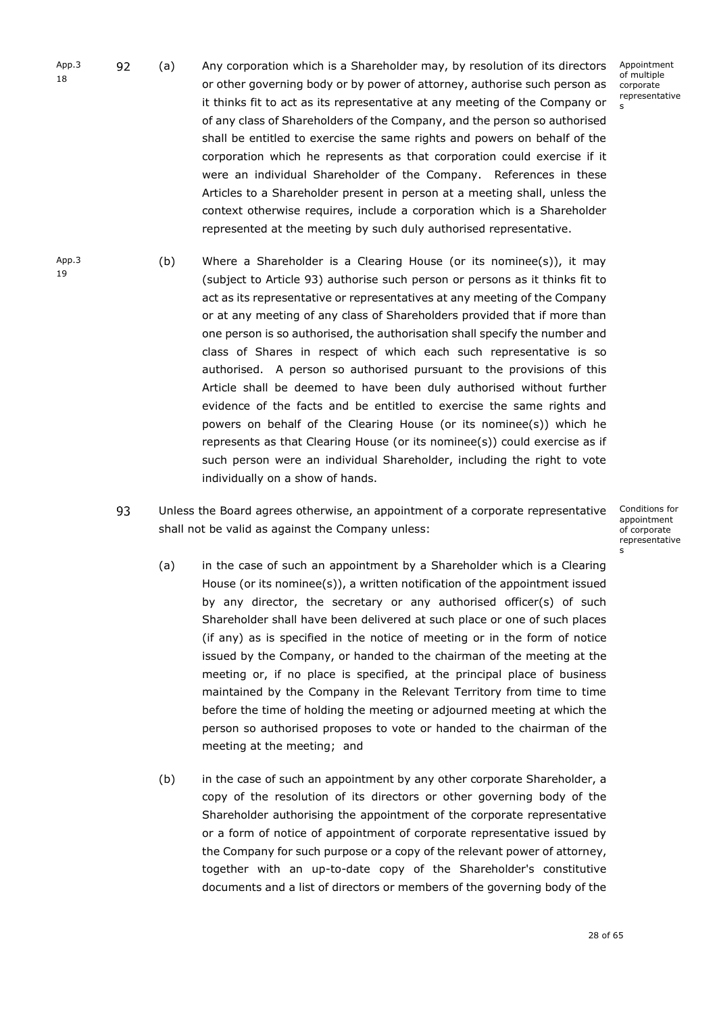- App.3 92 (a) Any corporation which is a Shareholder may, by resolution of its directors Appointment of multiple 18 or other governing body or by power of attorney, authorise such person as corporate representative it thinks fit to act as its representative at any meeting of the Company or s of any class of Shareholders of the Company, and the person so authorised shall be entitled to exercise the same rights and powers on behalf of the corporation which he represents as that corporation could exercise if it were an individual Shareholder of the Company. References in these Articles to a Shareholder present in person at a meeting shall, unless the context otherwise requires, include a corporation which is a Shareholder represented at the meeting by such duly authorised representative.
- App.3 19 (b) Where a Shareholder is a Clearing House (or its nominee(s)), it may (subject to Article [93\)](#page-29-0) authorise such person or persons as it thinks fit to act as its representative or representatives at any meeting of the Company or at any meeting of any class of Shareholders provided that if more than one person is so authorised, the authorisation shall specify the number and class of Shares in respect of which each such representative is so authorised. A person so authorised pursuant to the provisions of this Article shall be deemed to have been duly authorised without further evidence of the facts and be entitled to exercise the same rights and powers on behalf of the Clearing House (or its nominee(s)) which he represents as that Clearing House (or its nominee(s)) could exercise as if such person were an individual Shareholder, including the right to vote individually on a show of hands.
	- 93 Unless the Board agrees otherwise, an appointment of a corporate representative shall not be valid as against the Company unless:
- <span id="page-29-0"></span>Conditions for appointment of corporate representative s
	- (a) in the case of such an appointment by a Shareholder which is a Clearing House (or its nominee(s)), a written notification of the appointment issued by any director, the secretary or any authorised officer(s) of such Shareholder shall have been delivered at such place or one of such places (if any) as is specified in the notice of meeting or in the form of notice issued by the Company, or handed to the chairman of the meeting at the meeting or, if no place is specified, at the principal place of business maintained by the Company in the Relevant Territory from time to time before the time of holding the meeting or adjourned meeting at which the person so authorised proposes to vote or handed to the chairman of the meeting at the meeting; and
	- (b) in the case of such an appointment by any other corporate Shareholder, a copy of the resolution of its directors or other governing body of the Shareholder authorising the appointment of the corporate representative or a form of notice of appointment of corporate representative issued by the Company for such purpose or a copy of the relevant power of attorney, together with an up-to-date copy of the Shareholder's constitutive documents and a list of directors or members of the governing body of the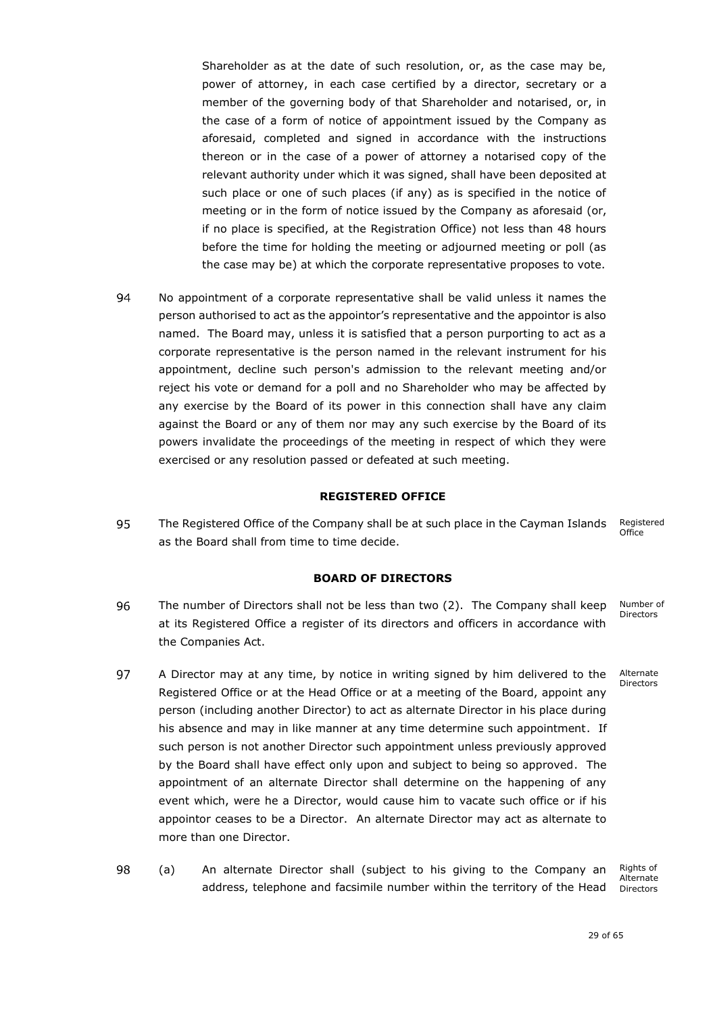Shareholder as at the date of such resolution, or, as the case may be, power of attorney, in each case certified by a director, secretary or a member of the governing body of that Shareholder and notarised, or, in the case of a form of notice of appointment issued by the Company as aforesaid, completed and signed in accordance with the instructions thereon or in the case of a power of attorney a notarised copy of the relevant authority under which it was signed, shall have been deposited at such place or one of such places (if any) as is specified in the notice of meeting or in the form of notice issued by the Company as aforesaid (or, if no place is specified, at the Registration Office) not less than 48 hours before the time for holding the meeting or adjourned meeting or poll (as the case may be) at which the corporate representative proposes to vote.

94 No appointment of a corporate representative shall be valid unless it names the person authorised to act as the appointor's representative and the appointor is also named. The Board may, unless it is satisfied that a person purporting to act as a corporate representative is the person named in the relevant instrument for his appointment, decline such person's admission to the relevant meeting and/or reject his vote or demand for a poll and no Shareholder who may be affected by any exercise by the Board of its power in this connection shall have any claim against the Board or any of them nor may any such exercise by the Board of its powers invalidate the proceedings of the meeting in respect of which they were exercised or any resolution passed or defeated at such meeting.

### **REGISTERED OFFICE**

<span id="page-30-0"></span>95 The Registered Office of the Company shall be at such place in the Cayman Islands x Registered Office as the Board shall from time to time decide.

### **BOARD OF DIRECTORS**

- <span id="page-30-1"></span>The number of Directors shall not be less than two (2). The Company shall keep 96 Number of Directors at its Registered Office a register of its directors and officers in accordance with the Companies Act.
- 97 A Director may at any time, by notice in writing signed by him delivered to the Alternate Directors Registered Office or at the Head Office or at a meeting of the Board, appoint any person (including another Director) to act as alternate Director in his place during his absence and may in like manner at any time determine such appointment. If such person is not another Director such appointment unless previously approved by the Board shall have effect only upon and subject to being so approved. The appointment of an alternate Director shall determine on the happening of any event which, were he a Director, would cause him to vacate such office or if his appointor ceases to be a Director. An alternate Director may act as alternate to more than one Director.
- 98 (a) x An alternate Director shall (subject to his giving to the Company an Rights of address, telephone and facsimile number within the territory of the Head

Alternate Directors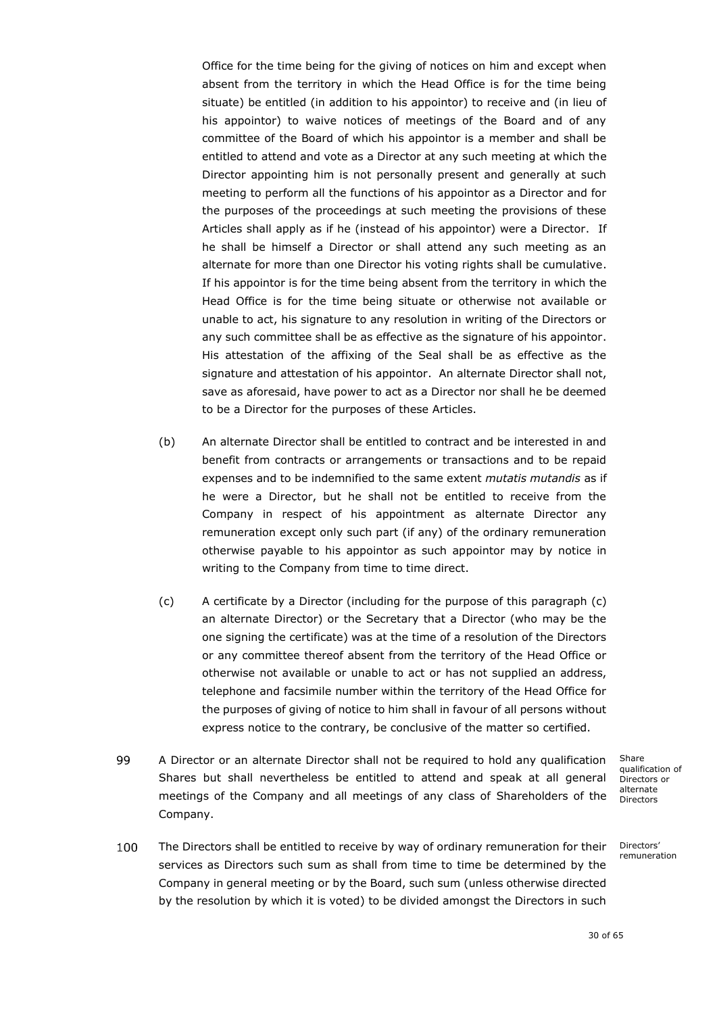Office for the time being for the giving of notices on him and except when absent from the territory in which the Head Office is for the time being situate) be entitled (in addition to his appointor) to receive and (in lieu of his appointor) to waive notices of meetings of the Board and of any committee of the Board of which his appointor is a member and shall be entitled to attend and vote as a Director at any such meeting at which the Director appointing him is not personally present and generally at such meeting to perform all the functions of his appointor as a Director and for the purposes of the proceedings at such meeting the provisions of these Articles shall apply as if he (instead of his appointor) were a Director. If he shall be himself a Director or shall attend any such meeting as an alternate for more than one Director his voting rights shall be cumulative. If his appointor is for the time being absent from the territory in which the Head Office is for the time being situate or otherwise not available or unable to act, his signature to any resolution in writing of the Directors or any such committee shall be as effective as the signature of his appointor. His attestation of the affixing of the Seal shall be as effective as the signature and attestation of his appointor. An alternate Director shall not, save as aforesaid, have power to act as a Director nor shall he be deemed to be a Director for the purposes of these Articles.

- (b) An alternate Director shall be entitled to contract and be interested in and benefit from contracts or arrangements or transactions and to be repaid expenses and to be indemnified to the same extent *mutatis mutandis* as if he were a Director, but he shall not be entitled to receive from the Company in respect of his appointment as alternate Director any remuneration except only such part (if any) of the ordinary remuneration otherwise payable to his appointor as such appointor may by notice in writing to the Company from time to time direct.
- <span id="page-31-0"></span>(c) A certificate by a Director (including for the purpose of this paragraph [\(c\)](#page-31-0) an alternate Director) or the Secretary that a Director (who may be the one signing the certificate) was at the time of a resolution of the Directors or any committee thereof absent from the territory of the Head Office or otherwise not available or unable to act or has not supplied an address, telephone and facsimile number within the territory of the Head Office for the purposes of giving of notice to him shall in favour of all persons without express notice to the contrary, be conclusive of the matter so certified.
- 99 A Director or an alternate Director shall not be required to hold any qualification x Shares but shall nevertheless be entitled to attend and speak at all general meetings of the Company and all meetings of any class of Shareholders of the Company.

Share qualification of Directors or alternate Directors

<span id="page-31-1"></span>100 The Directors shall be entitled to receive by way of ordinary remuneration for their x services as Directors such sum as shall from time to time be determined by the Company in general meeting or by the Board, such sum (unless otherwise directed by the resolution by which it is voted) to be divided amongst the Directors in such

Directors' remuneration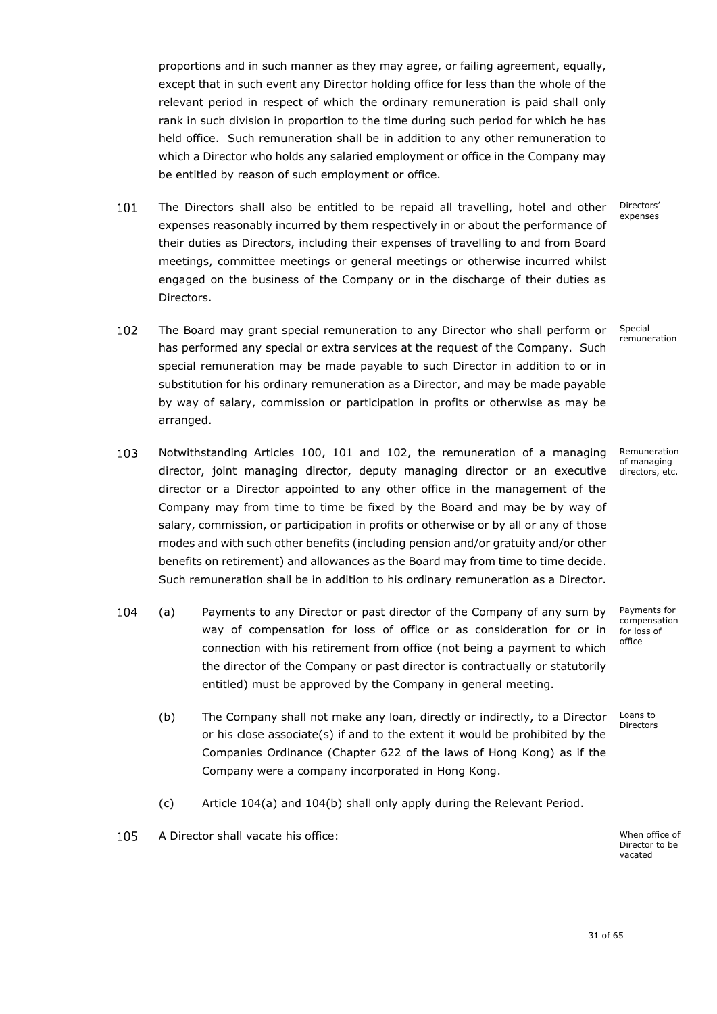proportions and in such manner as they may agree, or failing agreement, equally, except that in such event any Director holding office for less than the whole of the relevant period in respect of which the ordinary remuneration is paid shall only rank in such division in proportion to the time during such period for which he has held office. Such remuneration shall be in addition to any other remuneration to which a Director who holds any salaried employment or office in the Company may be entitled by reason of such employment or office.

- <span id="page-32-0"></span>101 The Directors shall also be entitled to be repaid all travelling, hotel and other Directors' expenses expenses reasonably incurred by them respectively in or about the performance of their duties as Directors, including their expenses of travelling to and from Board meetings, committee meetings or general meetings or otherwise incurred whilst engaged on the business of the Company or in the discharge of their duties as Directors.
- <span id="page-32-1"></span>102 The Board may grant special remuneration to any Director who shall perform or x Special remuneration has performed any special or extra services at the request of the Company. Such special remuneration may be made payable to such Director in addition to or in substitution for his ordinary remuneration as a Director, and may be made payable by way of salary, commission or participation in profits or otherwise as may be arranged.
- <span id="page-32-2"></span>103 Notwithstanding Articles [100,](#page-31-1) [101](#page-32-0) and [102,](#page-32-1) the remuneration of a managing director, joint managing director, deputy managing director or an executive directors, etc. director or a Director appointed to any other office in the management of the Company may from time to time be fixed by the Board and may be by way of salary, commission, or participation in profits or otherwise or by all or any of those modes and with such other benefits (including pension and/or gratuity and/or other benefits on retirement) and allowances as the Board may from time to time decide. Such remuneration shall be in addition to his ordinary remuneration as a Director.
- 104 (a) x Payments to any Director or past director of the Company of any sum by way of compensation for loss of office or as consideration for or in connection with his retirement from office (not being a payment to which the director of the Company or past director is contractually or statutorily entitled) must be approved by the Company in general meeting.
	- (b) The Company shall not make any loan, directly or indirectly, to a Director or his close associate(s) if and to the extent it would be prohibited by the Companies Ordinance (Chapter 622 of the laws of Hong Kong) as if the Company were a company incorporated in Hong Kong.
	- (c) Article 104(a) and 104(b) shall only apply during the Relevant Period.
- $105$ A Director shall vacate his office: x When office of When office of

Director to be vacated

31 of 65

Remuneration of managing

Payments for compensation for loss of office

Loans to Directors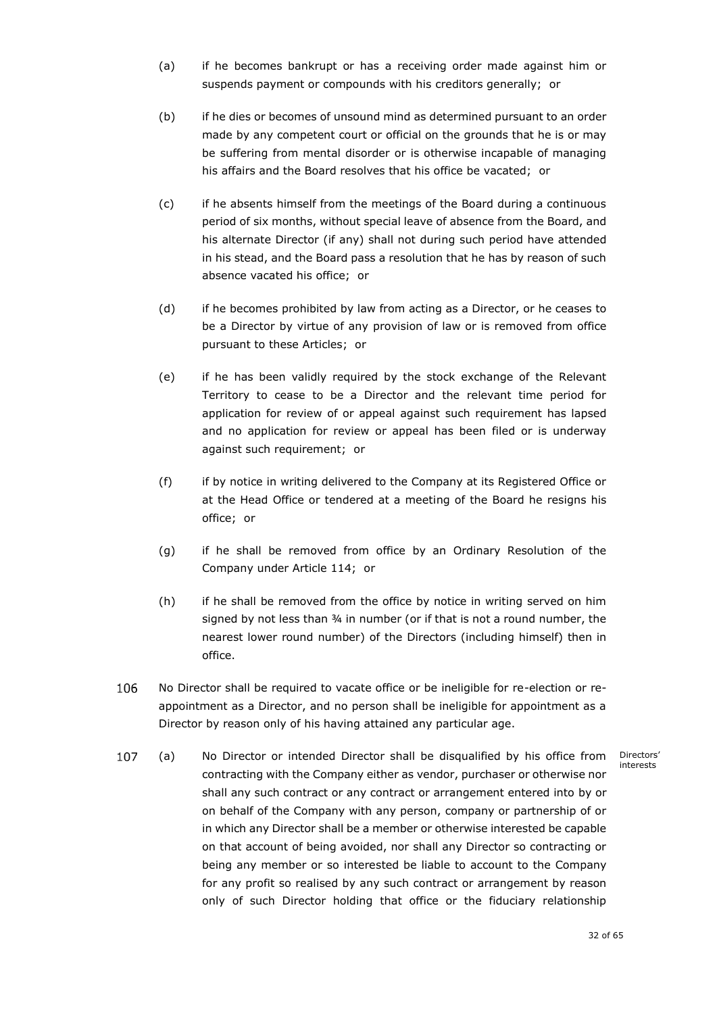- (a) if he becomes bankrupt or has a receiving order made against him or suspends payment or compounds with his creditors generally; or
- (b) if he dies or becomes of unsound mind as determined pursuant to an order made by any competent court or official on the grounds that he is or may be suffering from mental disorder or is otherwise incapable of managing his affairs and the Board resolves that his office be vacated; or
- (c) if he absents himself from the meetings of the Board during a continuous period of six months, without special leave of absence from the Board, and his alternate Director (if any) shall not during such period have attended in his stead, and the Board pass a resolution that he has by reason of such absence vacated his office; or
- (d) if he becomes prohibited by law from acting as a Director, or he ceases to be a Director by virtue of any provision of law or is removed from office pursuant to these Articles; or
- (e) if he has been validly required by the stock exchange of the Relevant Territory to cease to be a Director and the relevant time period for application for review of or appeal against such requirement has lapsed and no application for review or appeal has been filed or is underway against such requirement; or
- (f) if by notice in writing delivered to the Company at its Registered Office or at the Head Office or tendered at a meeting of the Board he resigns his office; or
- (g) if he shall be removed from office by an Ordinary Resolution of the Company under Article [114;](#page-37-0) or
- (h) if he shall be removed from the office by notice in writing served on him signed by not less than 34 in number (or if that is not a round number, the nearest lower round number) of the Directors (including himself) then in office.
- 106 No Director shall be required to vacate office or be ineligible for re-election or reappointment as a Director, and no person shall be ineligible for appointment as a Director by reason only of his having attained any particular age.
- <span id="page-33-0"></span>107 (a) x No Director or intended Director shall be disqualified by his office from Directors' interestscontracting with the Company either as vendor, purchaser or otherwise nor shall any such contract or any contract or arrangement entered into by or on behalf of the Company with any person, company or partnership of or in which any Director shall be a member or otherwise interested be capable on that account of being avoided, nor shall any Director so contracting or being any member or so interested be liable to account to the Company for any profit so realised by any such contract or arrangement by reason only of such Director holding that office or the fiduciary relationship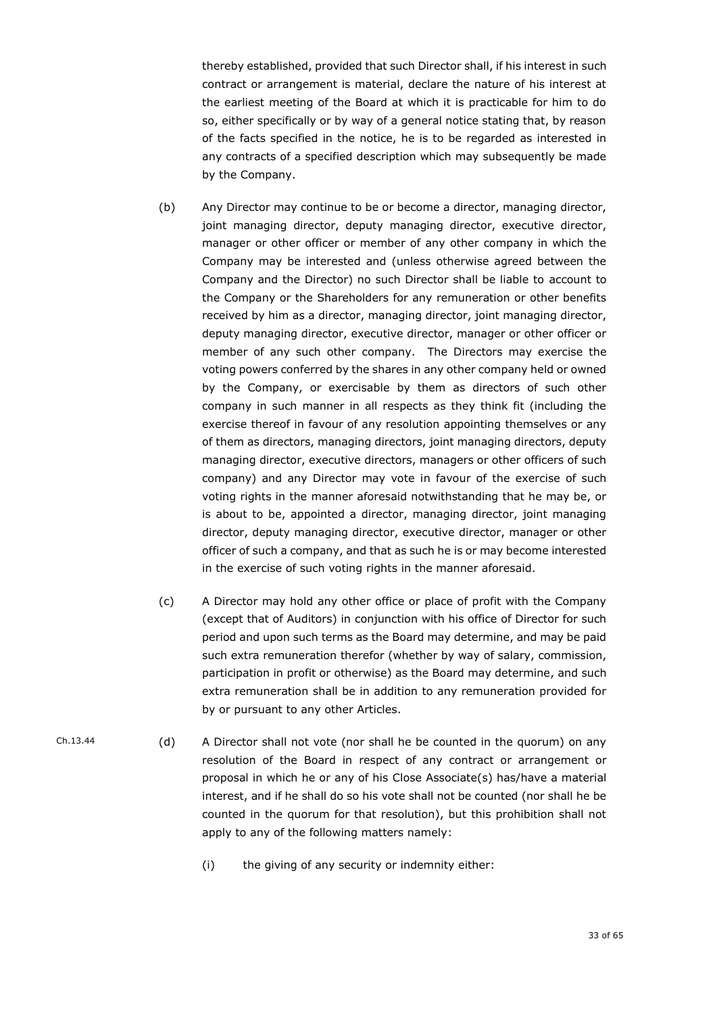thereby established, provided that such Director shall, if his interest in such contract or arrangement is material, declare the nature of his interest at the earliest meeting of the Board at which it is practicable for him to do so, either specifically or by way of a general notice stating that, by reason of the facts specified in the notice, he is to be regarded as interested in any contracts of a specified description which may subsequently be made by the Company.

- (b) Any Director may continue to be or become a director, managing director, joint managing director, deputy managing director, executive director, manager or other officer or member of any other company in which the Company may be interested and (unless otherwise agreed between the Company and the Director) no such Director shall be liable to account to the Company or the Shareholders for any remuneration or other benefits received by him as a director, managing director, joint managing director, deputy managing director, executive director, manager or other officer or member of any such other company. The Directors may exercise the voting powers conferred by the shares in any other company held or owned by the Company, or exercisable by them as directors of such other company in such manner in all respects as they think fit (including the exercise thereof in favour of any resolution appointing themselves or any of them as directors, managing directors, joint managing directors, deputy managing director, executive directors, managers or other officers of such company) and any Director may vote in favour of the exercise of such voting rights in the manner aforesaid notwithstanding that he may be, or is about to be, appointed a director, managing director, joint managing director, deputy managing director, executive director, manager or other officer of such a company, and that as such he is or may become interested in the exercise of such voting rights in the manner aforesaid.
- (c) A Director may hold any other office or place of profit with the Company (except that of Auditors) in conjunction with his office of Director for such period and upon such terms as the Board may determine, and may be paid such extra remuneration therefor (whether by way of salary, commission, participation in profit or otherwise) as the Board may determine, and such extra remuneration shall be in addition to any remuneration provided for by or pursuant to any other Articles.
- <span id="page-34-0"></span>Ch.13.44 (d) A Director shall not vote (nor shall he be counted in the quorum) on any resolution of the Board in respect of any contract or arrangement or proposal in which he or any of his Close Associate(s) has/have a material interest, and if he shall do so his vote shall not be counted (nor shall he be counted in the quorum for that resolution), but this prohibition shall not apply to any of the following matters namely:
	- (i) the giving of any security or indemnity either: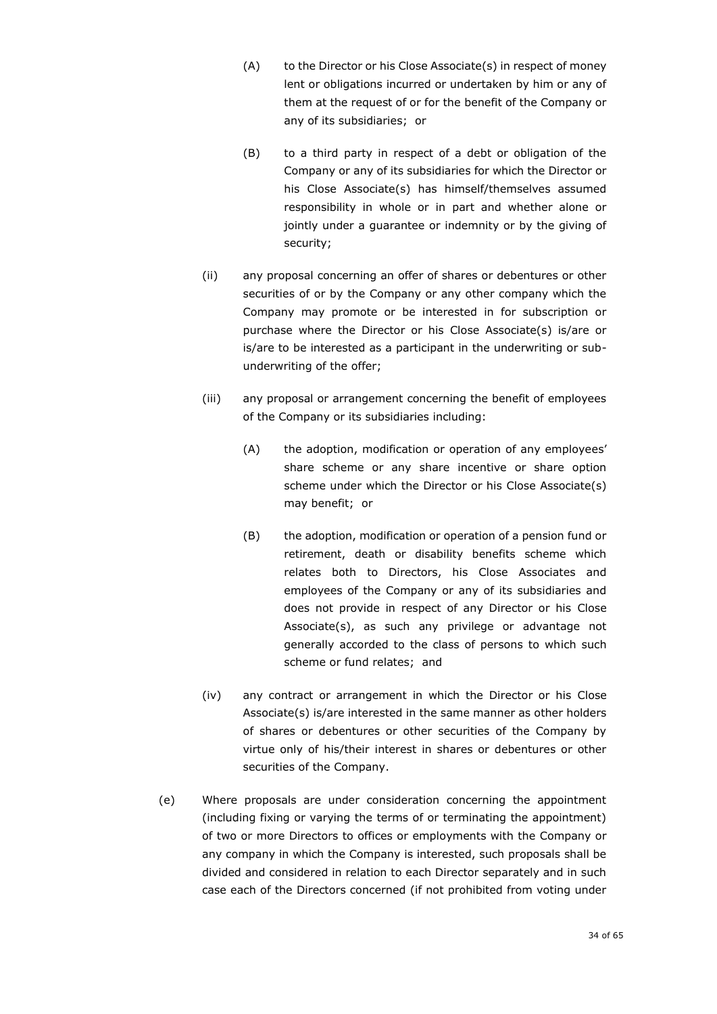- (A) to the Director or his Close Associate(s) in respect of money lent or obligations incurred or undertaken by him or any of them at the request of or for the benefit of the Company or any of its subsidiaries; or
- (B) to a third party in respect of a debt or obligation of the Company or any of its subsidiaries for which the Director or his Close Associate(s) has himself/themselves assumed responsibility in whole or in part and whether alone or jointly under a guarantee or indemnity or by the giving of security;
- (ii) any proposal concerning an offer of shares or debentures or other securities of or by the Company or any other company which the Company may promote or be interested in for subscription or purchase where the Director or his Close Associate(s) is/are or is/are to be interested as a participant in the underwriting or subunderwriting of the offer;
- (iii) any proposal or arrangement concerning the benefit of employees of the Company or its subsidiaries including:
	- (A) the adoption, modification or operation of any employees' share scheme or any share incentive or share option scheme under which the Director or his Close Associate(s) may benefit; or
	- (B) the adoption, modification or operation of a pension fund or retirement, death or disability benefits scheme which relates both to Directors, his Close Associates and employees of the Company or any of its subsidiaries and does not provide in respect of any Director or his Close Associate(s), as such any privilege or advantage not generally accorded to the class of persons to which such scheme or fund relates; and
- (iv) any contract or arrangement in which the Director or his Close Associate(s) is/are interested in the same manner as other holders of shares or debentures or other securities of the Company by virtue only of his/their interest in shares or debentures or other securities of the Company.
- (e) Where proposals are under consideration concerning the appointment (including fixing or varying the terms of or terminating the appointment) of two or more Directors to offices or employments with the Company or any company in which the Company is interested, such proposals shall be divided and considered in relation to each Director separately and in such case each of the Directors concerned (if not prohibited from voting under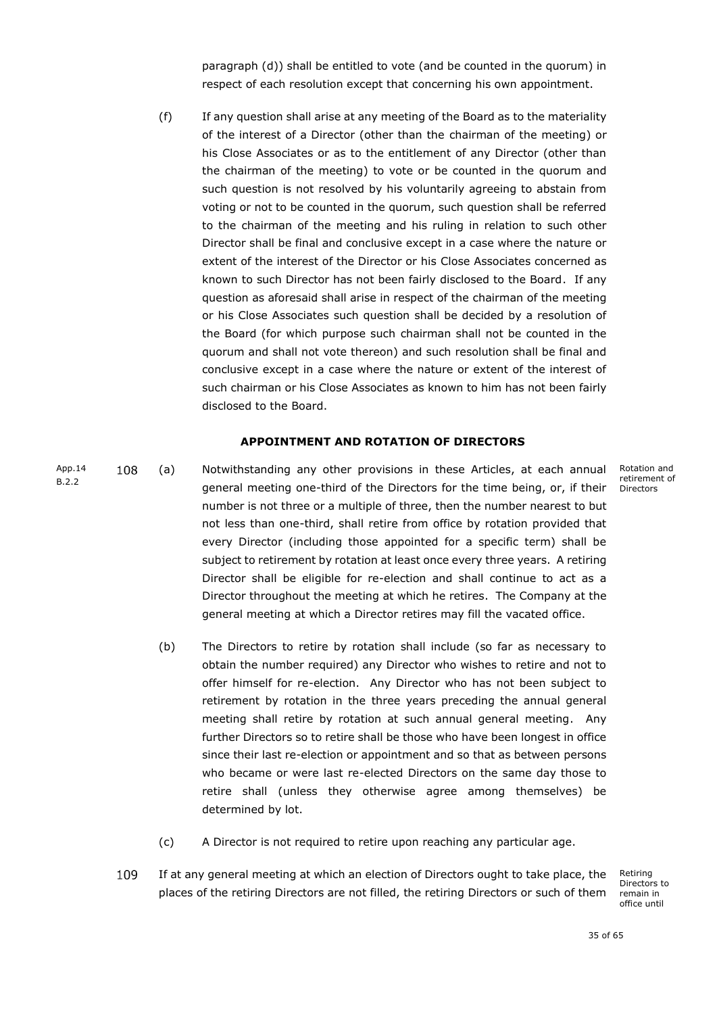paragraph [\(d\)\)](#page-34-0) shall be entitled to vote (and be counted in the quorum) in respect of each resolution except that concerning his own appointment.

(f) If any question shall arise at any meeting of the Board as to the materiality of the interest of a Director (other than the chairman of the meeting) or his Close Associates or as to the entitlement of any Director (other than the chairman of the meeting) to vote or be counted in the quorum and such question is not resolved by his voluntarily agreeing to abstain from voting or not to be counted in the quorum, such question shall be referred to the chairman of the meeting and his ruling in relation to such other Director shall be final and conclusive except in a case where the nature or extent of the interest of the Director or his Close Associates concerned as known to such Director has not been fairly disclosed to the Board. If any question as aforesaid shall arise in respect of the chairman of the meeting or his Close Associates such question shall be decided by a resolution of the Board (for which purpose such chairman shall not be counted in the quorum and shall not vote thereon) and such resolution shall be final and conclusive except in a case where the nature or extent of the interest of such chairman or his Close Associates as known to him has not been fairly disclosed to the Board.

# <span id="page-36-0"></span>**APPOINTMENT AND ROTATION OF DIRECTORS**

- <span id="page-36-1"></span>App.14 108 (a) x Notwithstanding any other provisions in these Articles, at each annual **B.2.2** general meeting one-third of the Directors for the time being, or, if their number is not three or a multiple of three, then the number nearest to but not less than one-third, shall retire from office by rotation provided that every Director (including those appointed for a specific term) shall be subject to retirement by rotation at least once every three years. A retiring Director shall be eligible for re-election and shall continue to act as a Director throughout the meeting at which he retires. The Company at the general meeting at which a Director retires may fill the vacated office.
	- (b) The Directors to retire by rotation shall include (so far as necessary to obtain the number required) any Director who wishes to retire and not to offer himself for re-election. Any Director who has not been subject to retirement by rotation in the three years preceding the annual general meeting shall retire by rotation at such annual general meeting. Any further Directors so to retire shall be those who have been longest in office since their last re-election or appointment and so that as between persons who became or were last re-elected Directors on the same day those to retire shall (unless they otherwise agree among themselves) be determined by lot.
	- (c) A Director is not required to retire upon reaching any particular age.
	- 109 If at any general meeting at which an election of Directors ought to take place, the places of the retiring Directors are not filled, the retiring Directors or such of them

Retiring Directors to remain in office until

Rotation and retirement of Directors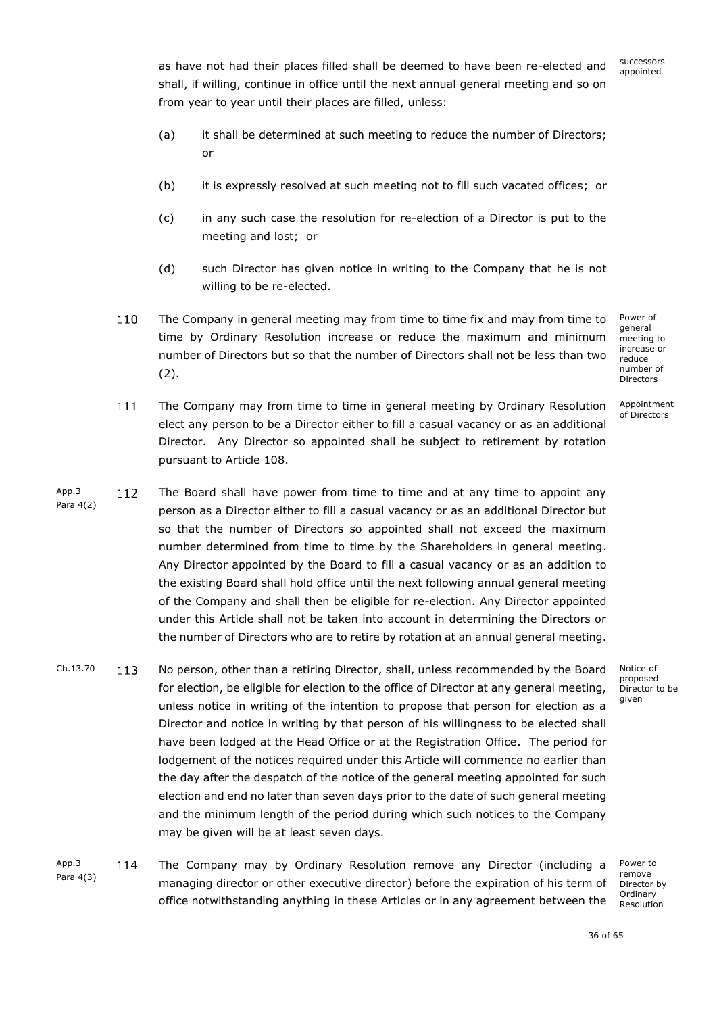successors appointed

as have not had their places filled shall be deemed to have been re-elected and shall, if willing, continue in office until the next annual general meeting and so on from year to year until their places are filled, unless:

- (a) it shall be determined at such meeting to reduce the number of Directors; or
- (b) it is expressly resolved at such meeting not to fill such vacated offices; or
- (c) in any such case the resolution for re-election of a Director is put to the meeting and lost; or
- (d) such Director has given notice in writing to the Company that he is not willing to be re-elected.
- 110 The Company in general meeting may from time to time fix and may from time to time by Ordinary Resolution increase or reduce the maximum and minimum number of Directors but so that the number of Directors shall not be less than two (2).

Power of general meeting to increase or reduce number of Directors

Appointment of Directors

- $111$ The Company may from time to time in general meeting by Ordinary Resolution x elect any person to be a Director either to fill a casual vacancy or as an additional Director. Any Director so appointed shall be subject to retirement by rotation pursuant to Article [108.](#page-36-1)
- App.3 112 The Board shall have power from time to time and at any time to appoint any Para 4(2) person as a Director either to fill a casual vacancy or as an additional Director but so that the number of Directors so appointed shall not exceed the maximum number determined from time to time by the Shareholders in general meeting. Any Director appointed by the Board to fill a casual vacancy or as an addition to the existing Board shall hold office until the next following annual general meeting of the Company and shall then be eligible for re-election. Any Director appointed under this Article shall not be taken into account in determining the Directors or the number of Directors who are to retire by rotation at an annual general meeting.
- $Ch.13.70$  113 No person, other than a retiring Director, shall, unless recommended by the Board for election, be eligible for election to the office of Director at any general meeting, unless notice in writing of the intention to propose that person for election as a Director and notice in writing by that person of his willingness to be elected shall have been lodged at the Head Office or at the Registration Office. The period for lodgement of the notices required under this Article will commence no earlier than the day after the despatch of the notice of the general meeting appointed for such election and end no later than seven days prior to the date of such general meeting and the minimum length of the period during which such notices to the Company may be given will be at least seven days.
- <span id="page-37-0"></span>App.3 114 The Company may by Ordinary Resolution remove any Director (including a x Para 4(3) managing director or other executive director) before the expiration of his term of office notwithstanding anything in these Articles or in any agreement between the

Power to remove Director by Ordinary Resolution

Notice of proposed Director to be given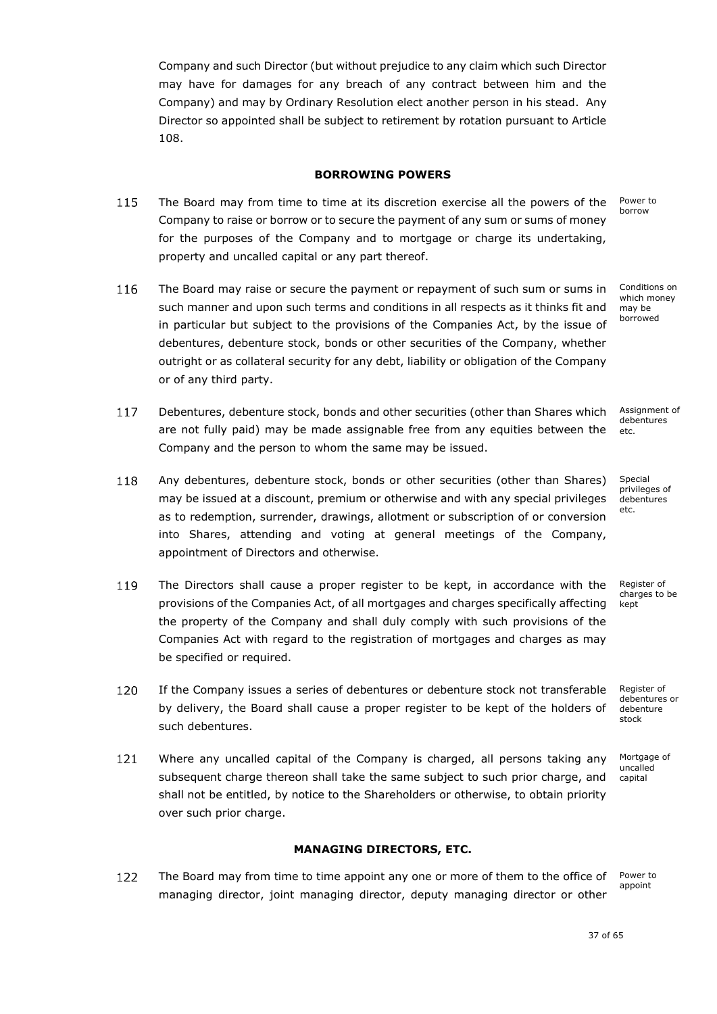Company and such Director (but without prejudice to any claim which such Director may have for damages for any breach of any contract between him and the Company) and may by Ordinary Resolution elect another person in his stead. Any Director so appointed shall be subject to retirement by rotation pursuant to Article 108.

# **BORROWING POWERS**

- <span id="page-38-0"></span>115 The Board may from time to time at its discretion exercise all the powers of the Company to raise or borrow or to secure the payment of any sum or sums of money for the purposes of the Company and to mortgage or charge its undertaking, property and uncalled capital or any part thereof.
- The Board may raise or secure the payment or repayment of such sum or sums in x 116 such manner and upon such terms and conditions in all respects as it thinks fit and in particular but subject to the provisions of the Companies Act, by the issue of debentures, debenture stock, bonds or other securities of the Company, whether outright or as collateral security for any debt, liability or obligation of the Company or of any third party.
- 117 Debentures, debenture stock, bonds and other securities (other than Shares which are not fully paid) may be made assignable free from any equities between the etc. Company and the person to whom the same may be issued.
- 118 Any debentures, debenture stock, bonds or other securities (other than Shares) may be issued at a discount, premium or otherwise and with any special privileges as to redemption, surrender, drawings, allotment or subscription of or conversion into Shares, attending and voting at general meetings of the Company, appointment of Directors and otherwise.
- 119 The Directors shall cause a proper register to be kept, in accordance with the provisions of the Companies Act, of all mortgages and charges specifically affecting the property of the Company and shall duly comply with such provisions of the Companies Act with regard to the registration of mortgages and charges as may be specified or required.
- 120 If the Company issues a series of debentures or debenture stock not transferable by delivery, the Board shall cause a proper register to be kept of the holders of such debentures.
- 121 Where any uncalled capital of the Company is charged, all persons taking any subsequent charge thereon shall take the same subject to such prior charge, and shall not be entitled, by notice to the Shareholders or otherwise, to obtain priority over such prior charge.

# **MANAGING DIRECTORS, ETC.**

<span id="page-38-2"></span><span id="page-38-1"></span>122 The Board may from time to time appoint any one or more of them to the office of Power to appoint managing director, joint managing director, deputy managing director or other

Power to borrow

Conditions on which money may be borrowed

Assignment of debentures

Special privileges of debentures etc.

Register of charges to be kept

Register of debentures or debenture stock

Mortgage of uncalled capital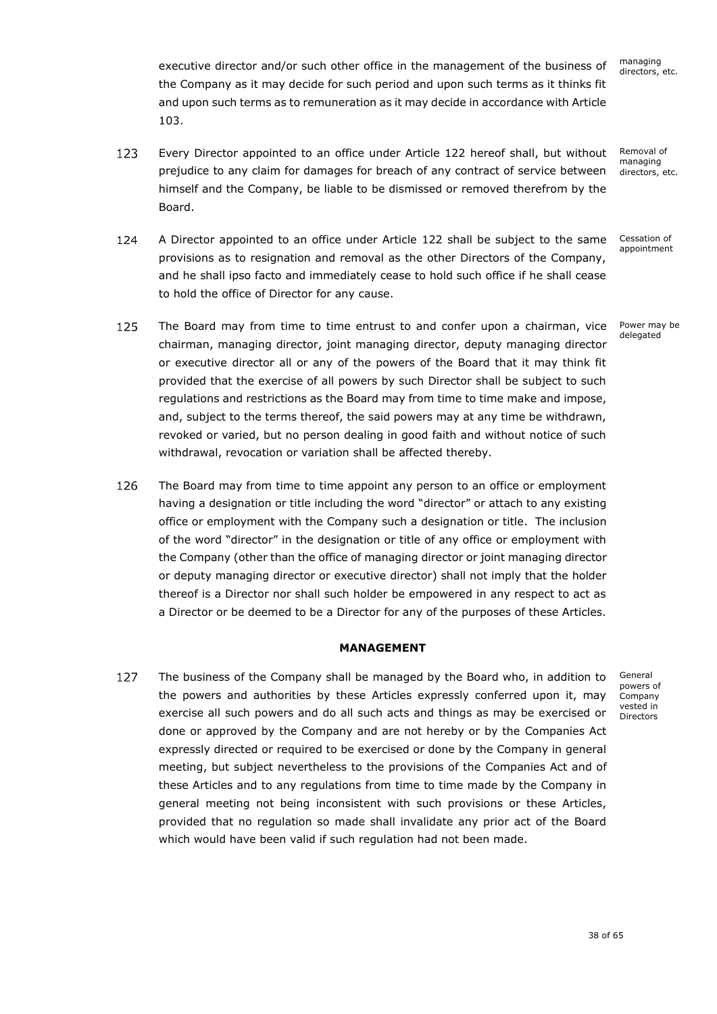managing directors, etc.

executive director and/or such other office in the management of the business of the Company as it may decide for such period and upon such terms as it thinks fit and upon such terms as to remuneration as it may decide in accordance with Article [103.](#page-32-2)

- <span id="page-39-1"></span>123 Every Director appointed to an office under Article [122](#page-38-2) hereof shall, but without Removal of managing prejudice to any claim for damages for breach of any contract of service between directors, etc. himself and the Company, be liable to be dismissed or removed therefrom by the Board.
- <span id="page-39-2"></span>124 A Director appointed to an office under Article [122](#page-38-2) shall be subject to the same Cessation of appointment provisions as to resignation and removal as the other Directors of the Company, and he shall ipso facto and immediately cease to hold such office if he shall cease to hold the office of Director for any cause.
- <span id="page-39-3"></span>125 Power may be The Board may from time to time entrust to and confer upon a chairman, vice delegated chairman, managing director, joint managing director, deputy managing director or executive director all or any of the powers of the Board that it may think fit provided that the exercise of all powers by such Director shall be subject to such regulations and restrictions as the Board may from time to time make and impose, and, subject to the terms thereof, the said powers may at any time be withdrawn, revoked or varied, but no person dealing in good faith and without notice of such withdrawal, revocation or variation shall be affected thereby.
- 126 The Board may from time to time appoint any person to an office or employment having a designation or title including the word "director" or attach to any existing office or employment with the Company such a designation or title. The inclusion of the word "director" in the designation or title of any office or employment with the Company (other than the office of managing director or joint managing director or deputy managing director or executive director) shall not imply that the holder thereof is a Director nor shall such holder be empowered in any respect to act as a Director or be deemed to be a Director for any of the purposes of these Articles.

# **MANAGEMENT**

<span id="page-39-0"></span>127 The business of the Company shall be managed by the Board who, in addition to x the powers and authorities by these Articles expressly conferred upon it, may exercise all such powers and do all such acts and things as may be exercised or done or approved by the Company and are not hereby or by the Companies Act expressly directed or required to be exercised or done by the Company in general meeting, but subject nevertheless to the provisions of the Companies Act and of these Articles and to any regulations from time to time made by the Company in general meeting not being inconsistent with such provisions or these Articles, provided that no regulation so made shall invalidate any prior act of the Board which would have been valid if such regulation had not been made.

General powers of Company vested in Directors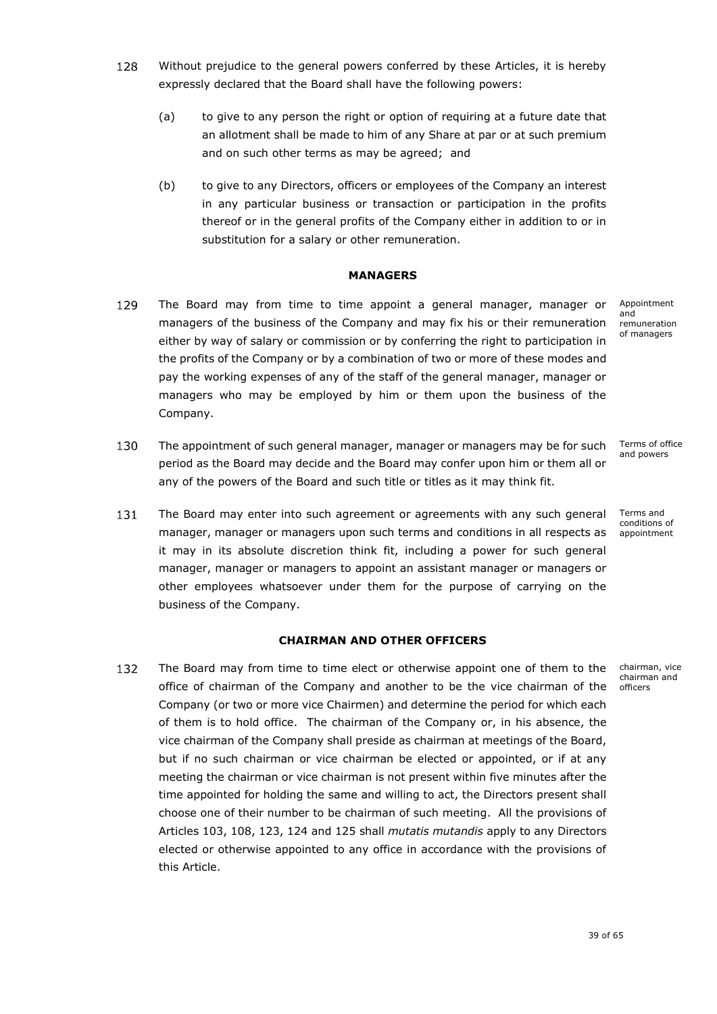- 128 Without prejudice to the general powers conferred by these Articles, it is hereby expressly declared that the Board shall have the following powers:
	- (a) to give to any person the right or option of requiring at a future date that an allotment shall be made to him of any Share at par or at such premium and on such other terms as may be agreed; and
	- (b) to give to any Directors, officers or employees of the Company an interest in any particular business or transaction or participation in the profits thereof or in the general profits of the Company either in addition to or in substitution for a salary or other remuneration.

### **MANAGERS**

- <span id="page-40-0"></span>129 The Board may from time to time appoint a general manager, manager or managers of the business of the Company and may fix his or their remuneration either by way of salary or commission or by conferring the right to participation in the profits of the Company or by a combination of two or more of these modes and pay the working expenses of any of the staff of the general manager, manager or managers who may be employed by him or them upon the business of the Company.
- 130 The appointment of such general manager, manager or managers may be for such x period as the Board may decide and the Board may confer upon him or them all or any of the powers of the Board and such title or titles as it may think fit.
- 131 The Board may enter into such agreement or agreements with any such general manager, manager or managers upon such terms and conditions in all respects as it may in its absolute discretion think fit, including a power for such general manager, manager or managers to appoint an assistant manager or managers or other employees whatsoever under them for the purpose of carrying on the business of the Company.

# **CHAIRMAN AND OTHER OFFICERS**

<span id="page-40-1"></span>132 The Board may from time to time elect or otherwise appoint one of them to the x office of chairman of the Company and another to be the vice chairman of the Company (or two or more vice Chairmen) and determine the period for which each of them is to hold office. The chairman of the Company or, in his absence, the vice chairman of the Company shall preside as chairman at meetings of the Board, but if no such chairman or vice chairman be elected or appointed, or if at any meeting the chairman or vice chairman is not present within five minutes after the time appointed for holding the same and willing to act, the Directors present shall choose one of their number to be chairman of such meeting. All the provisions of Articles [103,](#page-32-2) [108,](#page-36-1) [123,](#page-39-1) [124](#page-39-2) and [125](#page-39-3) shall *mutatis mutandis* apply to any Directors elected or otherwise appointed to any office in accordance with the provisions of this Article.

Appointment and remuneration of managers

Terms of office and powers

Terms and conditions of appointment

chairman, vice chairman and officers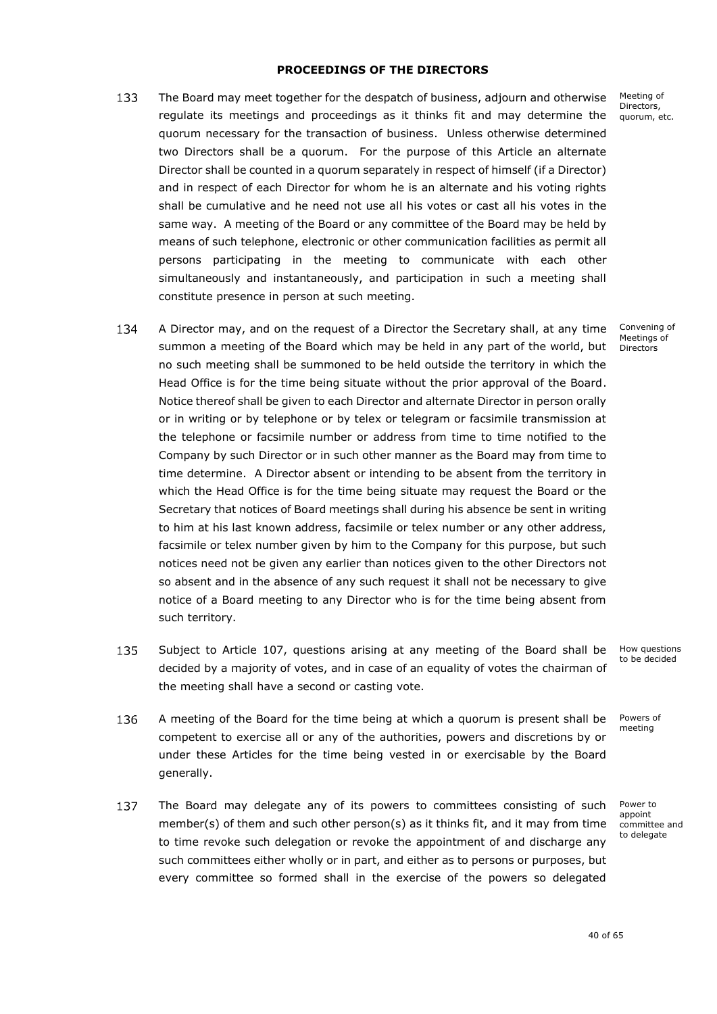### **PROCEEDINGS OF THE DIRECTORS**

- <span id="page-41-0"></span>133 The Board may meet together for the despatch of business, adjourn and otherwise regulate its meetings and proceedings as it thinks fit and may determine the quorum necessary for the transaction of business. Unless otherwise determined two Directors shall be a quorum. For the purpose of this Article an alternate Director shall be counted in a quorum separately in respect of himself (if a Director) and in respect of each Director for whom he is an alternate and his voting rights shall be cumulative and he need not use all his votes or cast all his votes in the same way. A meeting of the Board or any committee of the Board may be held by means of such telephone, electronic or other communication facilities as permit all persons participating in the meeting to communicate with each other simultaneously and instantaneously, and participation in such a meeting shall constitute presence in person at such meeting.
- 134 A Director may, and on the request of a Director the Secretary shall, at any time summon a meeting of the Board which may be held in any part of the world, but no such meeting shall be summoned to be held outside the territory in which the Head Office is for the time being situate without the prior approval of the Board. Notice thereof shall be given to each Director and alternate Director in person orally or in writing or by telephone or by telex or telegram or facsimile transmission at the telephone or facsimile number or address from time to time notified to the Company by such Director or in such other manner as the Board may from time to time determine. A Director absent or intending to be absent from the territory in which the Head Office is for the time being situate may request the Board or the Secretary that notices of Board meetings shall during his absence be sent in writing to him at his last known address, facsimile or telex number or any other address, facsimile or telex number given by him to the Company for this purpose, but such notices need not be given any earlier than notices given to the other Directors not so absent and in the absence of any such request it shall not be necessary to give notice of a Board meeting to any Director who is for the time being absent from such territory.
- 135 Subject to Article [107,](#page-33-0) questions arising at any meeting of the Board shall be decided by a majority of votes, and in case of an equality of votes the chairman of the meeting shall have a second or casting vote.
- 136 A meeting of the Board for the time being at which a quorum is present shall be x competent to exercise all or any of the authorities, powers and discretions by or under these Articles for the time being vested in or exercisable by the Board generally.
- <span id="page-41-1"></span>137 The Board may delegate any of its powers to committees consisting of such member(s) of them and such other person(s) as it thinks fit, and it may from time to time revoke such delegation or revoke the appointment of and discharge any such committees either wholly or in part, and either as to persons or purposes, but every committee so formed shall in the exercise of the powers so delegated

Meeting of Directors, quorum, etc.

Convening of Meetings of **Directors** 

How questions to be decided

Powers of meeting

Power to appoint committee and to delegate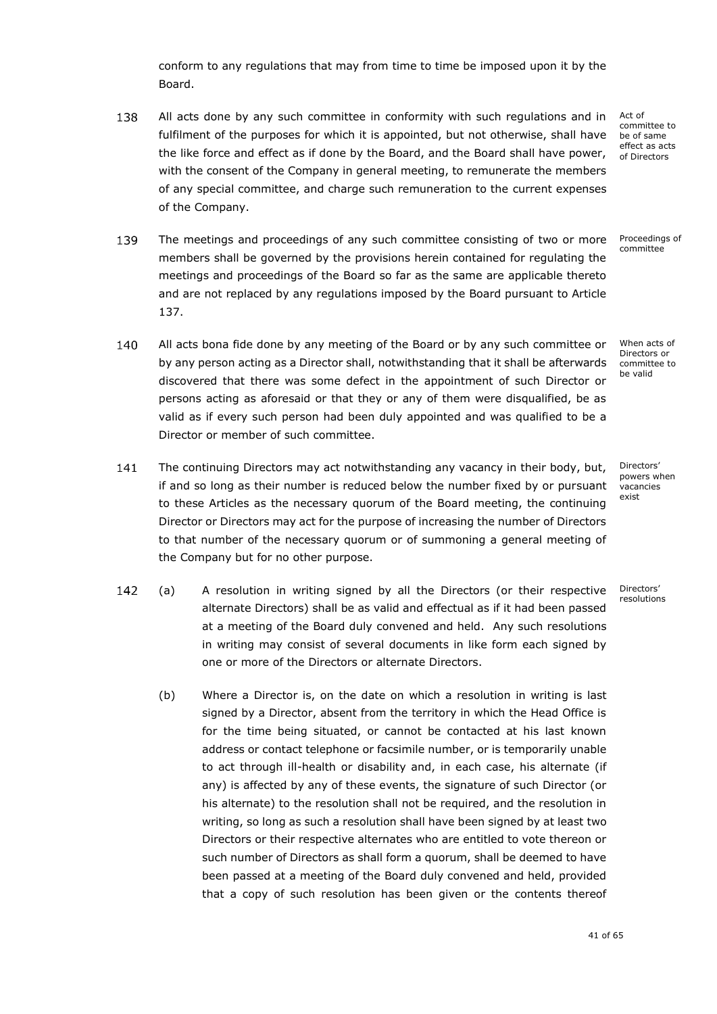conform to any regulations that may from time to time be imposed upon it by the Board.

138 All acts done by any such committee in conformity with such regulations and in x fulfilment of the purposes for which it is appointed, but not otherwise, shall have the like force and effect as if done by the Board, and the Board shall have power, with the consent of the Company in general meeting, to remunerate the members of any special committee, and charge such remuneration to the current expenses of the Company.

139 The meetings and proceedings of any such committee consisting of two or more members shall be governed by the provisions herein contained for regulating the meetings and proceedings of the Board so far as the same are applicable thereto and are not replaced by any regulations imposed by the Board pursuant to Article [137.](#page-41-1)

- 140 All acts bona fide done by any meeting of the Board or by any such committee or x by any person acting as a Director shall, notwithstanding that it shall be afterwards discovered that there was some defect in the appointment of such Director or persons acting as aforesaid or that they or any of them were disqualified, be as valid as if every such person had been duly appointed and was qualified to be a Director or member of such committee.
- 141 The continuing Directors may act notwithstanding any vacancy in their body, but, if and so long as their number is reduced below the number fixed by or pursuant to these Articles as the necessary quorum of the Board meeting, the continuing Director or Directors may act for the purpose of increasing the number of Directors to that number of the necessary quorum or of summoning a general meeting of the Company but for no other purpose.
- <span id="page-42-1"></span><span id="page-42-0"></span>142 (a) x A resolution in writing signed by all the Directors (or their respective alternate Directors) shall be as valid and effectual as if it had been passed at a meeting of the Board duly convened and held. Any such resolutions in writing may consist of several documents in like form each signed by one or more of the Directors or alternate Directors.
	- (b) Where a Director is, on the date on which a resolution in writing is last signed by a Director, absent from the territory in which the Head Office is for the time being situated, or cannot be contacted at his last known address or contact telephone or facsimile number, or is temporarily unable to act through ill-health or disability and, in each case, his alternate (if any) is affected by any of these events, the signature of such Director (or his alternate) to the resolution shall not be required, and the resolution in writing, so long as such a resolution shall have been signed by at least two Directors or their respective alternates who are entitled to vote thereon or such number of Directors as shall form a quorum, shall be deemed to have been passed at a meeting of the Board duly convened and held, provided that a copy of such resolution has been given or the contents thereof

Act of committee to be of same effect as acts of Directors

Proceedings of committee

When acts of Directors or committee to be valid

Directors' powers when vacancies exist

Directors' resolutions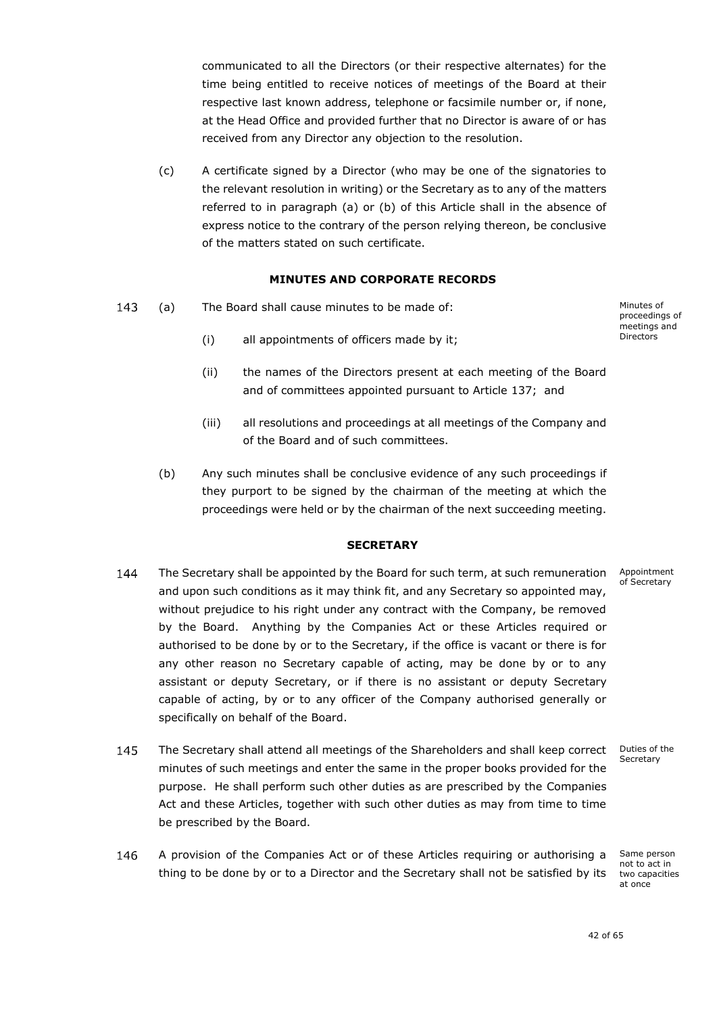communicated to all the Directors (or their respective alternates) for the time being entitled to receive notices of meetings of the Board at their respective last known address, telephone or facsimile number or, if none, at the Head Office and provided further that no Director is aware of or has received from any Director any objection to the resolution.

(c) A certificate signed by a Director (who may be one of the signatories to the relevant resolution in writing) or the Secretary as to any of the matters referred to in paragraph [\(a\)](#page-42-0) or [\(b\)](#page-42-1) of this Article shall in the absence of express notice to the contrary of the person relying thereon, be conclusive of the matters stated on such certificate.

### **MINUTES AND CORPORATE RECORDS**

<span id="page-43-0"></span>143 (a) The Board shall cause minutes to be made of: Minutes of proceedings of meetings and Directors

- (i) all appointments of officers made by it;
- (ii) the names of the Directors present at each meeting of the Board and of committees appointed pursuant to Article [137;](#page-41-1) and
- (iii) all resolutions and proceedings at all meetings of the Company and of the Board and of such committees.
- (b) Any such minutes shall be conclusive evidence of any such proceedings if they purport to be signed by the chairman of the meeting at which the proceedings were held or by the chairman of the next succeeding meeting.

### **SECRETARY**

- <span id="page-43-1"></span>The Secretary shall be appointed by the Board for such term, at such remuneration Appointment 144 of Secretary and upon such conditions as it may think fit, and any Secretary so appointed may, without prejudice to his right under any contract with the Company, be removed by the Board. Anything by the Companies Act or these Articles required or authorised to be done by or to the Secretary, if the office is vacant or there is for any other reason no Secretary capable of acting, may be done by or to any assistant or deputy Secretary, or if there is no assistant or deputy Secretary capable of acting, by or to any officer of the Company authorised generally or specifically on behalf of the Board.
- 145 The Secretary shall attend all meetings of the Shareholders and shall keep correct x Secretary minutes of such meetings and enter the same in the proper books provided for the purpose. He shall perform such other duties as are prescribed by the Companies Act and these Articles, together with such other duties as may from time to time be prescribed by the Board.
	- Same person not to act in two capacities at once
- 146 A provision of the Companies Act or of these Articles requiring or authorising a thing to be done by or to a Director and the Secretary shall not be satisfied by its

Duties of the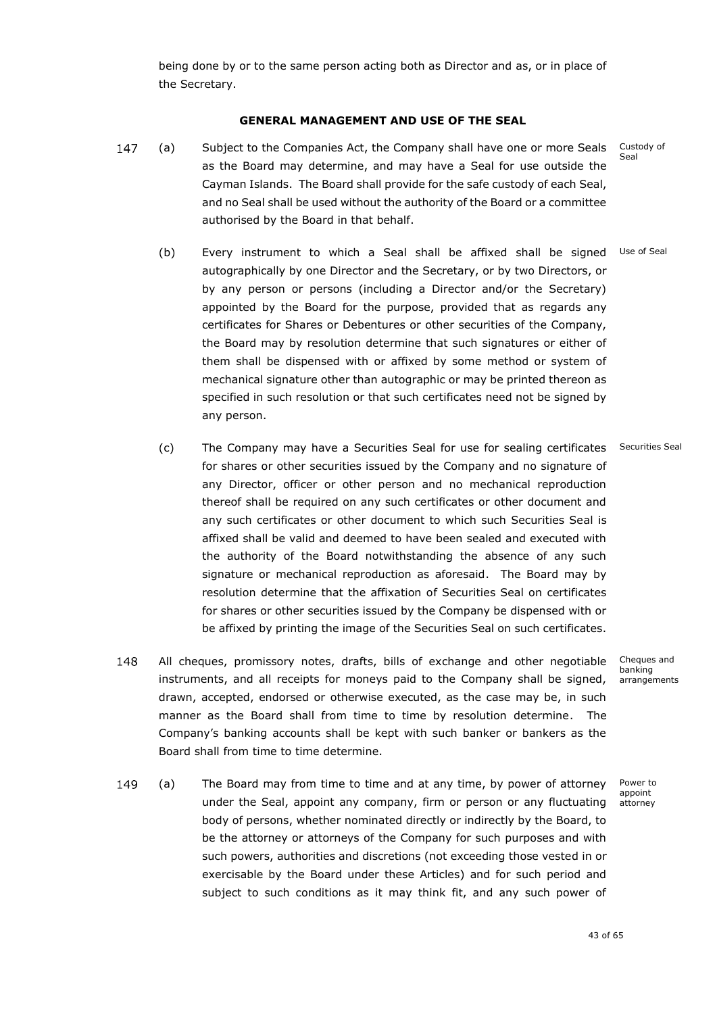<span id="page-44-0"></span>being done by or to the same person acting both as Director and as, or in place of the Secretary.

# **GENERAL MANAGEMENT AND USE OF THE SEAL**

- (a) x Subject to the Companies Act, the Company shall have one or more Seals Custody of 147 Seal as the Board may determine, and may have a Seal for use outside the Cayman Islands. The Board shall provide for the safe custody of each Seal, and no Seal shall be used without the authority of the Board or a committee authorised by the Board in that behalf.
	- (b) Every instrument to which a Seal shall be affixed shall be signed Use of Seal autographically by one Director and the Secretary, or by two Directors, or by any person or persons (including a Director and/or the Secretary) appointed by the Board for the purpose, provided that as regards any certificates for Shares or Debentures or other securities of the Company, the Board may by resolution determine that such signatures or either of them shall be dispensed with or affixed by some method or system of mechanical signature other than autographic or may be printed thereon as specified in such resolution or that such certificates need not be signed by any person.
	- (c) The Company may have a Securities Seal for use for sealing certificates for shares or other securities issued by the Company and no signature of any Director, officer or other person and no mechanical reproduction thereof shall be required on any such certificates or other document and any such certificates or other document to which such Securities Seal is affixed shall be valid and deemed to have been sealed and executed with the authority of the Board notwithstanding the absence of any such signature or mechanical reproduction as aforesaid. The Board may by resolution determine that the affixation of Securities Seal on certificates for shares or other securities issued by the Company be dispensed with or be affixed by printing the image of the Securities Seal on such certificates. Securities Seal
- 148 All cheques, promissory notes, drafts, bills of exchange and other negotiable instruments, and all receipts for moneys paid to the Company shall be signed, drawn, accepted, endorsed or otherwise executed, as the case may be, in such manner as the Board shall from time to time by resolution determine. The Company's banking accounts shall be kept with such banker or bankers as the Board shall from time to time determine.
- 149 (a) x The Board may from time to time and at any time, by power of attorney under the Seal, appoint any company, firm or person or any fluctuating body of persons, whether nominated directly or indirectly by the Board, to be the attorney or attorneys of the Company for such purposes and with such powers, authorities and discretions (not exceeding those vested in or exercisable by the Board under these Articles) and for such period and subject to such conditions as it may think fit, and any such power of

Cheques and banking arrangements

Power to appoint attorney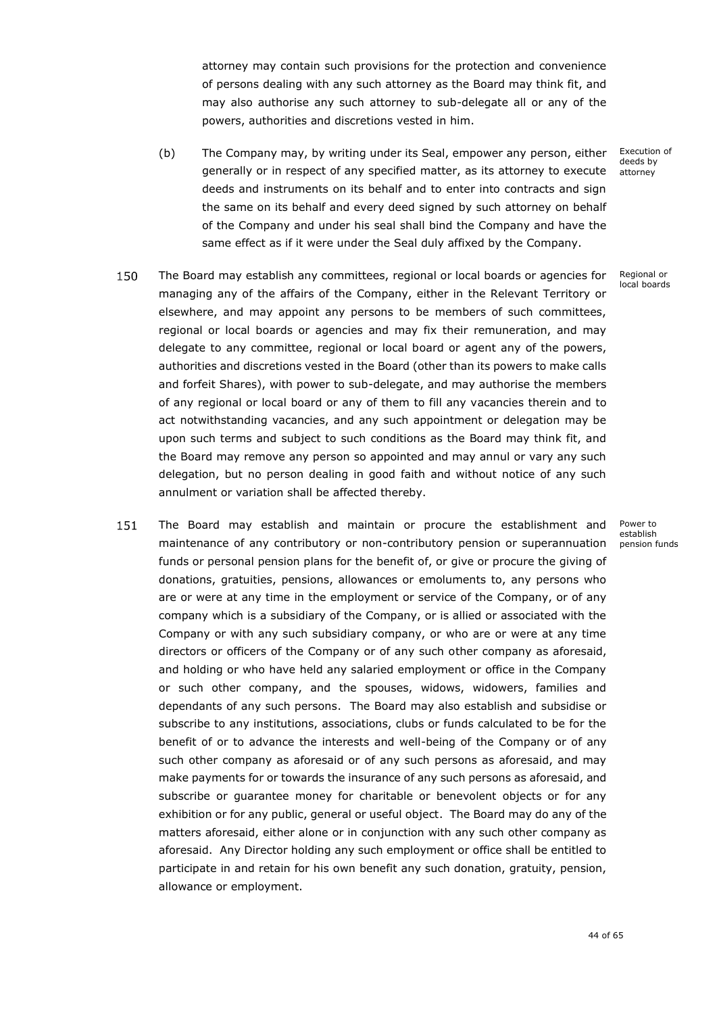attorney may contain such provisions for the protection and convenience of persons dealing with any such attorney as the Board may think fit, and may also authorise any such attorney to sub-delegate all or any of the powers, authorities and discretions vested in him.

(b) The Company may, by writing under its Seal, empower any person, either generally or in respect of any specified matter, as its attorney to execute deeds and instruments on its behalf and to enter into contracts and sign the same on its behalf and every deed signed by such attorney on behalf of the Company and under his seal shall bind the Company and have the same effect as if it were under the Seal duly affixed by the Company.

Execution of deeds by attorney

Regional or local boards

- 150 The Board may establish any committees, regional or local boards or agencies for x managing any of the affairs of the Company, either in the Relevant Territory or elsewhere, and may appoint any persons to be members of such committees, regional or local boards or agencies and may fix their remuneration, and may delegate to any committee, regional or local board or agent any of the powers, authorities and discretions vested in the Board (other than its powers to make calls and forfeit Shares), with power to sub-delegate, and may authorise the members of any regional or local board or any of them to fill any vacancies therein and to act notwithstanding vacancies, and any such appointment or delegation may be upon such terms and subject to such conditions as the Board may think fit, and the Board may remove any person so appointed and may annul or vary any such delegation, but no person dealing in good faith and without notice of any such annulment or variation shall be affected thereby.
- 151 The Board may establish and maintain or procure the establishment and maintenance of any contributory or non-contributory pension or superannuation funds or personal pension plans for the benefit of, or give or procure the giving of donations, gratuities, pensions, allowances or emoluments to, any persons who are or were at any time in the employment or service of the Company, or of any company which is a subsidiary of the Company, or is allied or associated with the Company or with any such subsidiary company, or who are or were at any time directors or officers of the Company or of any such other company as aforesaid, and holding or who have held any salaried employment or office in the Company or such other company, and the spouses, widows, widowers, families and dependants of any such persons. The Board may also establish and subsidise or subscribe to any institutions, associations, clubs or funds calculated to be for the benefit of or to advance the interests and well-being of the Company or of any such other company as aforesaid or of any such persons as aforesaid, and may make payments for or towards the insurance of any such persons as aforesaid, and subscribe or guarantee money for charitable or benevolent objects or for any exhibition or for any public, general or useful object. The Board may do any of the matters aforesaid, either alone or in conjunction with any such other company as aforesaid. Any Director holding any such employment or office shall be entitled to participate in and retain for his own benefit any such donation, gratuity, pension, allowance or employment.

Power to establish pension funds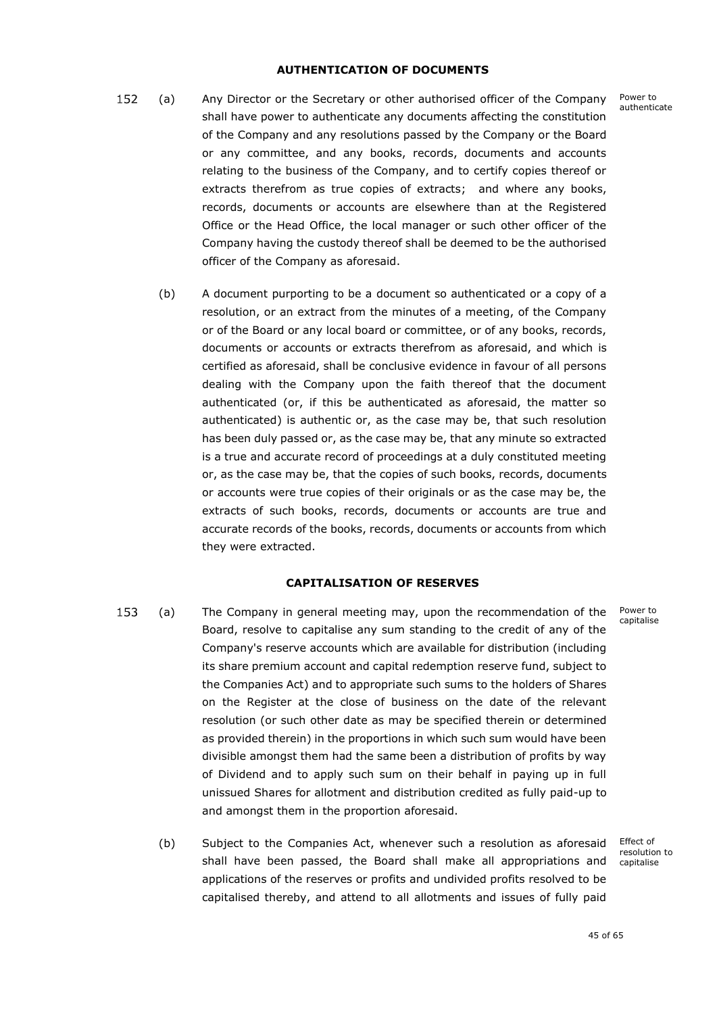### **AUTHENTICATION OF DOCUMENTS**

- <span id="page-46-0"></span>152 (a) x Any Director or the Secretary or other authorised officer of the Company shall have power to authenticate any documents affecting the constitution of the Company and any resolutions passed by the Company or the Board or any committee, and any books, records, documents and accounts relating to the business of the Company, and to certify copies thereof or extracts therefrom as true copies of extracts; and where any books, records, documents or accounts are elsewhere than at the Registered Office or the Head Office, the local manager or such other officer of the Company having the custody thereof shall be deemed to be the authorised officer of the Company as aforesaid.
	- (b) A document purporting to be a document so authenticated or a copy of a resolution, or an extract from the minutes of a meeting, of the Company or of the Board or any local board or committee, or of any books, records, documents or accounts or extracts therefrom as aforesaid, and which is certified as aforesaid, shall be conclusive evidence in favour of all persons dealing with the Company upon the faith thereof that the document authenticated (or, if this be authenticated as aforesaid, the matter so authenticated) is authentic or, as the case may be, that such resolution has been duly passed or, as the case may be, that any minute so extracted is a true and accurate record of proceedings at a duly constituted meeting or, as the case may be, that the copies of such books, records, documents or accounts were true copies of their originals or as the case may be, the extracts of such books, records, documents or accounts are true and accurate records of the books, records, documents or accounts from which they were extracted.

### **CAPITALISATION OF RESERVES**

- <span id="page-46-1"></span>153 (a) x The Company in general meeting may, upon the recommendation of the Board, resolve to capitalise any sum standing to the credit of any of the Company's reserve accounts which are available for distribution (including its share premium account and capital redemption reserve fund, subject to the Companies Act) and to appropriate such sums to the holders of Shares on the Register at the close of business on the date of the relevant resolution (or such other date as may be specified therein or determined as provided therein) in the proportions in which such sum would have been divisible amongst them had the same been a distribution of profits by way of Dividend and to apply such sum on their behalf in paying up in full unissued Shares for allotment and distribution credited as fully paid-up to and amongst them in the proportion aforesaid.
	- (b) Subject to the Companies Act, whenever such a resolution as aforesaid shall have been passed, the Board shall make all appropriations and applications of the reserves or profits and undivided profits resolved to be capitalised thereby, and attend to all allotments and issues of fully paid

Power to capitalise

Effect of resolution to capitalise

Power to authenticate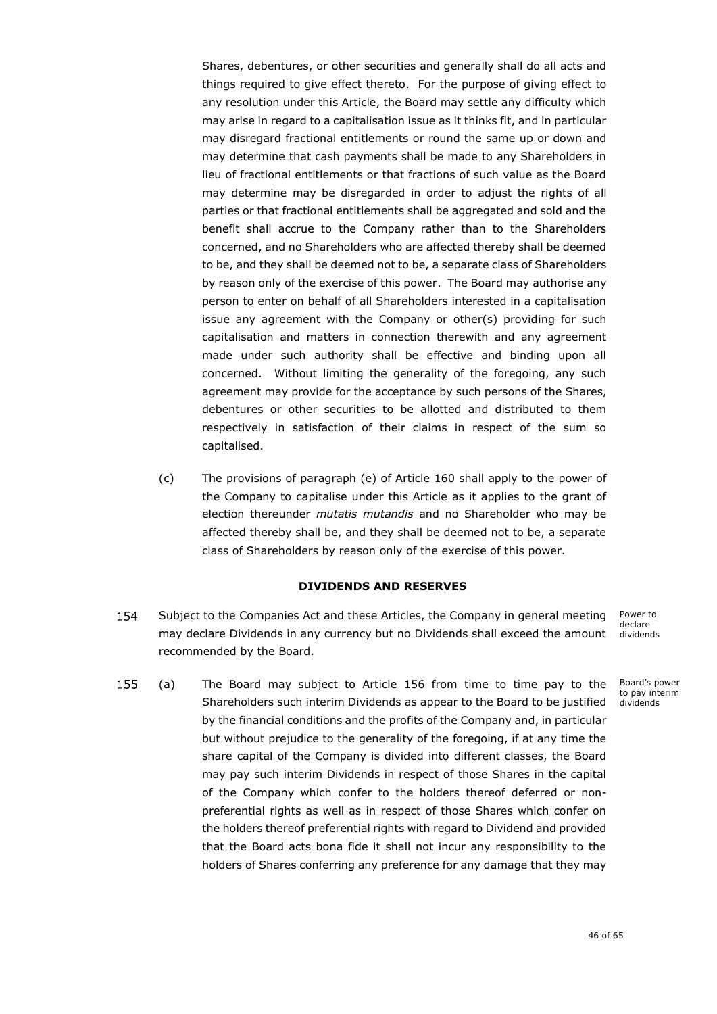Shares, debentures, or other securities and generally shall do all acts and things required to give effect thereto. For the purpose of giving effect to any resolution under this Article, the Board may settle any difficulty which may arise in regard to a capitalisation issue as it thinks fit, and in particular may disregard fractional entitlements or round the same up or down and may determine that cash payments shall be made to any Shareholders in lieu of fractional entitlements or that fractions of such value as the Board may determine may be disregarded in order to adjust the rights of all parties or that fractional entitlements shall be aggregated and sold and the benefit shall accrue to the Company rather than to the Shareholders concerned, and no Shareholders who are affected thereby shall be deemed to be, and they shall be deemed not to be, a separate class of Shareholders by reason only of the exercise of this power. The Board may authorise any person to enter on behalf of all Shareholders interested in a capitalisation issue any agreement with the Company or other(s) providing for such capitalisation and matters in connection therewith and any agreement made under such authority shall be effective and binding upon all concerned. Without limiting the generality of the foregoing, any such agreement may provide for the acceptance by such persons of the Shares, debentures or other securities to be allotted and distributed to them respectively in satisfaction of their claims in respect of the sum so capitalised.

(c) The provisions of paragraph [\(e\)](#page-52-0) of Article [160](#page-49-0) shall apply to the power of the Company to capitalise under this Article as it applies to the grant of election thereunder *mutatis mutandis* and no Shareholder who may be affected thereby shall be, and they shall be deemed not to be, a separate class of Shareholders by reason only of the exercise of this power.

### **DIVIDENDS AND RESERVES**

<span id="page-47-0"></span>154 Subject to the Companies Act and these Articles, the Company in general meeting may declare Dividends in any currency but no Dividends shall exceed the amount recommended by the Board.

Power to declare dividends

<span id="page-47-1"></span>155 (a) x The Board may subject to Article [156](#page-48-0) from time to time pay to the Shareholders such interim Dividends as appear to the Board to be justified dividendsby the financial conditions and the profits of the Company and, in particular but without prejudice to the generality of the foregoing, if at any time the share capital of the Company is divided into different classes, the Board may pay such interim Dividends in respect of those Shares in the capital of the Company which confer to the holders thereof deferred or nonpreferential rights as well as in respect of those Shares which confer on the holders thereof preferential rights with regard to Dividend and provided that the Board acts bona fide it shall not incur any responsibility to the holders of Shares conferring any preference for any damage that they may

Board's power to pay interim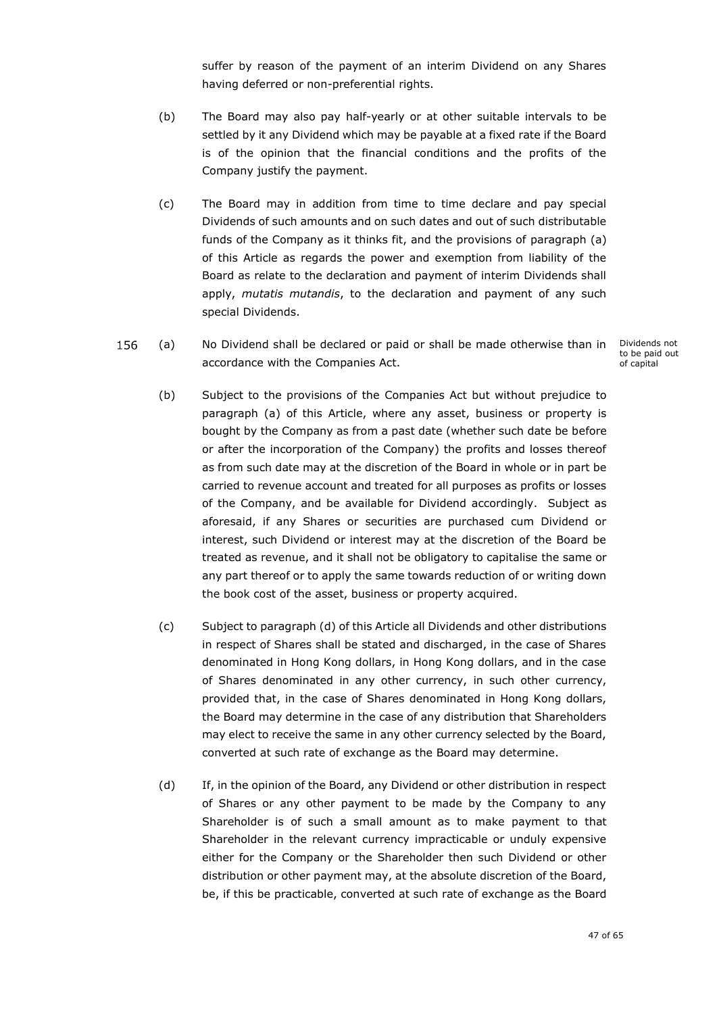suffer by reason of the payment of an interim Dividend on any Shares having deferred or non-preferential rights.

- (b) The Board may also pay half-yearly or at other suitable intervals to be settled by it any Dividend which may be payable at a fixed rate if the Board is of the opinion that the financial conditions and the profits of the Company justify the payment.
- (c) The Board may in addition from time to time declare and pay special Dividends of such amounts and on such dates and out of such distributable funds of the Company as it thinks fit, and the provisions of paragraph [\(a\)](#page-47-1) of this Article as regards the power and exemption from liability of the Board as relate to the declaration and payment of interim Dividends shall apply, *mutatis mutandis*, to the declaration and payment of any such special Dividends.
- <span id="page-48-1"></span><span id="page-48-0"></span>156 No Dividend shall be declared or paid or shall be made otherwise than in  $(a)$ accordance with the Companies Act.

Dividends not to be paid out of capital

- (b) Subject to the provisions of the Companies Act but without prejudice to paragraph [\(a\)](#page-48-1) of this Article, where any asset, business or property is bought by the Company as from a past date (whether such date be before or after the incorporation of the Company) the profits and losses thereof as from such date may at the discretion of the Board in whole or in part be carried to revenue account and treated for all purposes as profits or losses of the Company, and be available for Dividend accordingly. Subject as aforesaid, if any Shares or securities are purchased cum Dividend or interest, such Dividend or interest may at the discretion of the Board be treated as revenue, and it shall not be obligatory to capitalise the same or any part thereof or to apply the same towards reduction of or writing down the book cost of the asset, business or property acquired.
- (c) Subject to paragraph [\(d\)](#page-48-2) of this Article all Dividends and other distributions in respect of Shares shall be stated and discharged, in the case of Shares denominated in Hong Kong dollars, in Hong Kong dollars, and in the case of Shares denominated in any other currency, in such other currency, provided that, in the case of Shares denominated in Hong Kong dollars, the Board may determine in the case of any distribution that Shareholders may elect to receive the same in any other currency selected by the Board, converted at such rate of exchange as the Board may determine.
- <span id="page-48-2"></span>(d) If, in the opinion of the Board, any Dividend or other distribution in respect of Shares or any other payment to be made by the Company to any Shareholder is of such a small amount as to make payment to that Shareholder in the relevant currency impracticable or unduly expensive either for the Company or the Shareholder then such Dividend or other distribution or other payment may, at the absolute discretion of the Board, be, if this be practicable, converted at such rate of exchange as the Board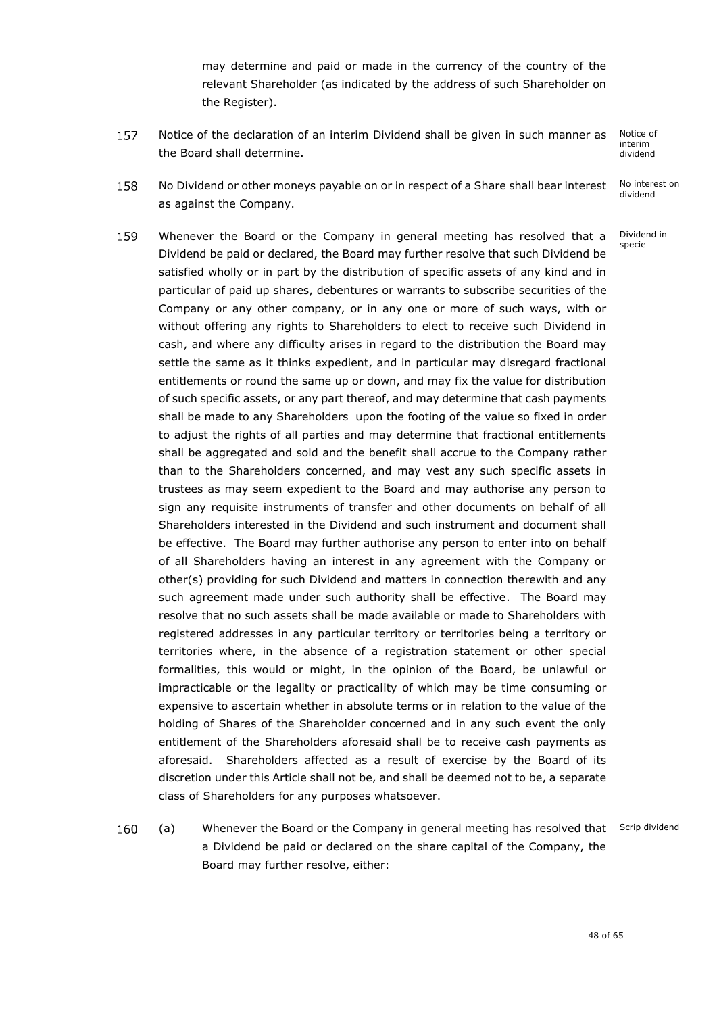may determine and paid or made in the currency of the country of the relevant Shareholder (as indicated by the address of such Shareholder on the Register).

157 Notice of the declaration of an interim Dividend shall be given in such manner as . the Board shall determine.

Notice of interim dividend

158 No Dividend or other moneys payable on or in respect of a Share shall bear interest x No interest on dividend as against the Company.

> Dividend in specie

- 159 Whenever the Board or the Company in general meeting has resolved that a Dividend be paid or declared, the Board may further resolve that such Dividend be satisfied wholly or in part by the distribution of specific assets of any kind and in particular of paid up shares, debentures or warrants to subscribe securities of the Company or any other company, or in any one or more of such ways, with or without offering any rights to Shareholders to elect to receive such Dividend in cash, and where any difficulty arises in regard to the distribution the Board may settle the same as it thinks expedient, and in particular may disregard fractional entitlements or round the same up or down, and may fix the value for distribution of such specific assets, or any part thereof, and may determine that cash payments shall be made to any Shareholders upon the footing of the value so fixed in order to adjust the rights of all parties and may determine that fractional entitlements shall be aggregated and sold and the benefit shall accrue to the Company rather than to the Shareholders concerned, and may vest any such specific assets in trustees as may seem expedient to the Board and may authorise any person to sign any requisite instruments of transfer and other documents on behalf of all Shareholders interested in the Dividend and such instrument and document shall be effective. The Board may further authorise any person to enter into on behalf of all Shareholders having an interest in any agreement with the Company or other(s) providing for such Dividend and matters in connection therewith and any such agreement made under such authority shall be effective. The Board may resolve that no such assets shall be made available or made to Shareholders with registered addresses in any particular territory or territories being a territory or territories where, in the absence of a registration statement or other special formalities, this would or might, in the opinion of the Board, be unlawful or impracticable or the legality or practicality of which may be time consuming or expensive to ascertain whether in absolute terms or in relation to the value of the holding of Shares of the Shareholder concerned and in any such event the only entitlement of the Shareholders aforesaid shall be to receive cash payments as aforesaid. Shareholders affected as a result of exercise by the Board of its discretion under this Article shall not be, and shall be deemed not to be, a separate class of Shareholders for any purposes whatsoever.
- <span id="page-49-1"></span><span id="page-49-0"></span>160 (a) Whenever the Board or the Company in general meeting has resolved that Scrip dividend a Dividend be paid or declared on the share capital of the Company, the Board may further resolve, either: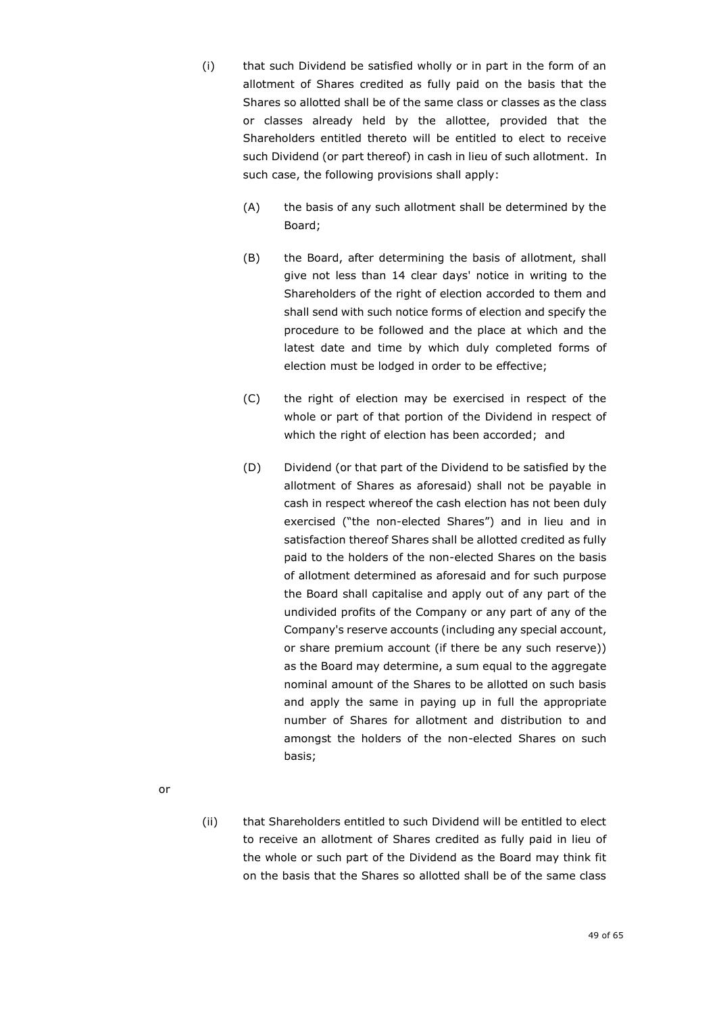- (i) that such Dividend be satisfied wholly or in part in the form of an allotment of Shares credited as fully paid on the basis that the Shares so allotted shall be of the same class or classes as the class or classes already held by the allottee, provided that the Shareholders entitled thereto will be entitled to elect to receive such Dividend (or part thereof) in cash in lieu of such allotment. In such case, the following provisions shall apply:
	- (A) the basis of any such allotment shall be determined by the Board;
	- (B) the Board, after determining the basis of allotment, shall give not less than 14 clear days' notice in writing to the Shareholders of the right of election accorded to them and shall send with such notice forms of election and specify the procedure to be followed and the place at which and the latest date and time by which duly completed forms of election must be lodged in order to be effective;
	- (C) the right of election may be exercised in respect of the whole or part of that portion of the Dividend in respect of which the right of election has been accorded; and
	- (D) Dividend (or that part of the Dividend to be satisfied by the allotment of Shares as aforesaid) shall not be payable in cash in respect whereof the cash election has not been duly exercised ("the non-elected Shares") and in lieu and in satisfaction thereof Shares shall be allotted credited as fully paid to the holders of the non-elected Shares on the basis of allotment determined as aforesaid and for such purpose the Board shall capitalise and apply out of any part of the undivided profits of the Company or any part of any of the Company's reserve accounts (including any special account, or share premium account (if there be any such reserve)) as the Board may determine, a sum equal to the aggregate nominal amount of the Shares to be allotted on such basis and apply the same in paying up in full the appropriate number of Shares for allotment and distribution to and amongst the holders of the non-elected Shares on such basis;
- or
- (ii) that Shareholders entitled to such Dividend will be entitled to elect to receive an allotment of Shares credited as fully paid in lieu of the whole or such part of the Dividend as the Board may think fit on the basis that the Shares so allotted shall be of the same class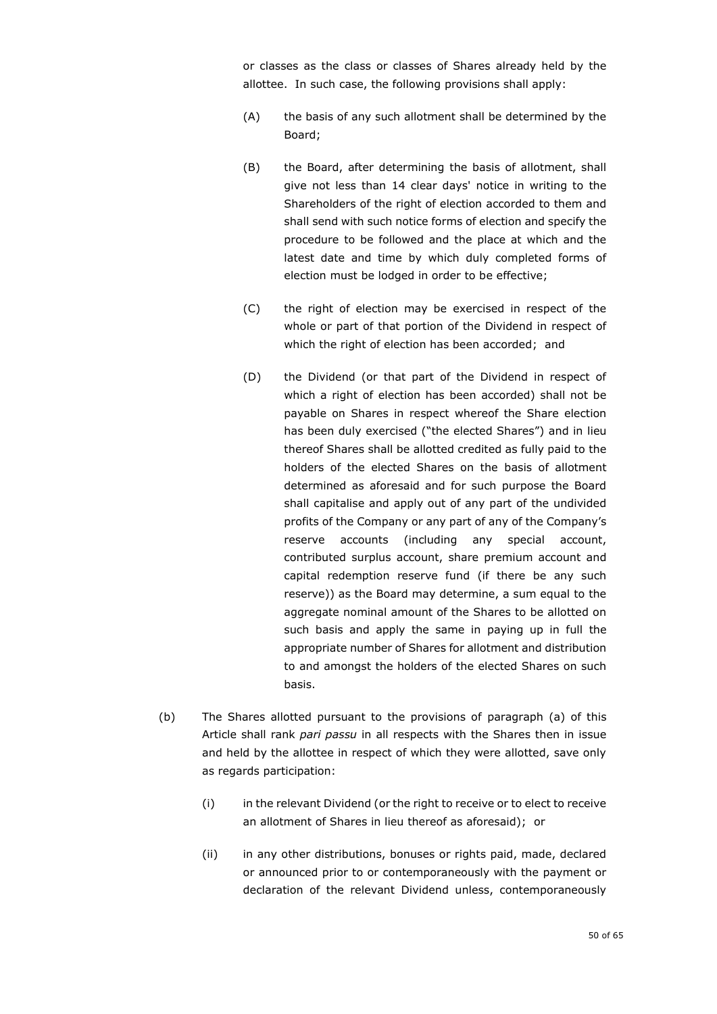or classes as the class or classes of Shares already held by the allottee. In such case, the following provisions shall apply:

- (A) the basis of any such allotment shall be determined by the Board;
- (B) the Board, after determining the basis of allotment, shall give not less than 14 clear days' notice in writing to the Shareholders of the right of election accorded to them and shall send with such notice forms of election and specify the procedure to be followed and the place at which and the latest date and time by which duly completed forms of election must be lodged in order to be effective;
- (C) the right of election may be exercised in respect of the whole or part of that portion of the Dividend in respect of which the right of election has been accorded; and
- (D) the Dividend (or that part of the Dividend in respect of which a right of election has been accorded) shall not be payable on Shares in respect whereof the Share election has been duly exercised ("the elected Shares") and in lieu thereof Shares shall be allotted credited as fully paid to the holders of the elected Shares on the basis of allotment determined as aforesaid and for such purpose the Board shall capitalise and apply out of any part of the undivided profits of the Company or any part of any of the Company's reserve accounts (including any special account, contributed surplus account, share premium account and capital redemption reserve fund (if there be any such reserve)) as the Board may determine, a sum equal to the aggregate nominal amount of the Shares to be allotted on such basis and apply the same in paying up in full the appropriate number of Shares for allotment and distribution to and amongst the holders of the elected Shares on such basis.
- (b) The Shares allotted pursuant to the provisions of paragraph [\(a\)](#page-49-1) of this Article shall rank *pari passu* in all respects with the Shares then in issue and held by the allottee in respect of which they were allotted, save only as regards participation:
	- (i) in the relevant Dividend (or the right to receive or to elect to receive an allotment of Shares in lieu thereof as aforesaid); or
	- (ii) in any other distributions, bonuses or rights paid, made, declared or announced prior to or contemporaneously with the payment or declaration of the relevant Dividend unless, contemporaneously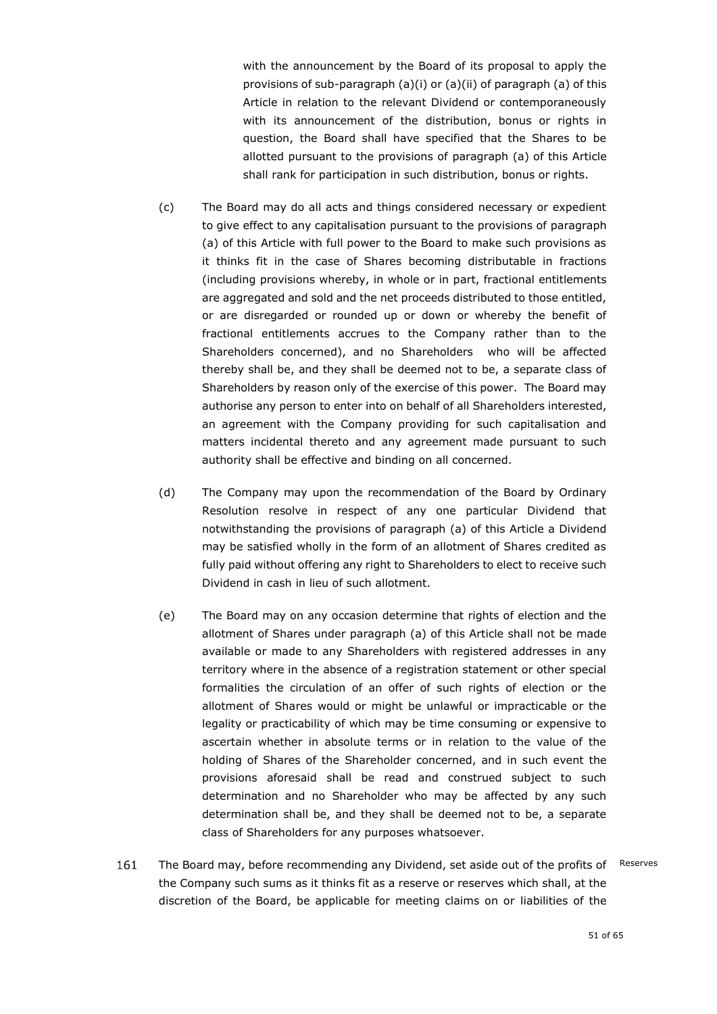with the announcement by the Board of its proposal to apply the provisions of sub-paragraph (a)(i) or (a)(ii) of paragraph [\(a\)](#page-49-1) of this Article in relation to the relevant Dividend or contemporaneously with its announcement of the distribution, bonus or rights in question, the Board shall have specified that the Shares to be allotted pursuant to the provisions of paragraph [\(a\)](#page-49-1) of this Article shall rank for participation in such distribution, bonus or rights.

- (c) The Board may do all acts and things considered necessary or expedient to give effect to any capitalisation pursuant to the provisions of paragraph [\(a\)](#page-49-1) of this Article with full power to the Board to make such provisions as it thinks fit in the case of Shares becoming distributable in fractions (including provisions whereby, in whole or in part, fractional entitlements are aggregated and sold and the net proceeds distributed to those entitled, or are disregarded or rounded up or down or whereby the benefit of fractional entitlements accrues to the Company rather than to the Shareholders concerned), and no Shareholders who will be affected thereby shall be, and they shall be deemed not to be, a separate class of Shareholders by reason only of the exercise of this power. The Board may authorise any person to enter into on behalf of all Shareholders interested, an agreement with the Company providing for such capitalisation and matters incidental thereto and any agreement made pursuant to such authority shall be effective and binding on all concerned.
- (d) The Company may upon the recommendation of the Board by Ordinary Resolution resolve in respect of any one particular Dividend that notwithstanding the provisions of paragraph [\(a\)](#page-49-1) of this Article a Dividend may be satisfied wholly in the form of an allotment of Shares credited as fully paid without offering any right to Shareholders to elect to receive such Dividend in cash in lieu of such allotment.
- <span id="page-52-0"></span>(e) The Board may on any occasion determine that rights of election and the allotment of Shares under paragraph [\(a\)](#page-49-1) of this Article shall not be made available or made to any Shareholders with registered addresses in any territory where in the absence of a registration statement or other special formalities the circulation of an offer of such rights of election or the allotment of Shares would or might be unlawful or impracticable or the legality or practicability of which may be time consuming or expensive to ascertain whether in absolute terms or in relation to the value of the holding of Shares of the Shareholder concerned, and in such event the provisions aforesaid shall be read and construed subject to such determination and no Shareholder who may be affected by any such determination shall be, and they shall be deemed not to be, a separate class of Shareholders for any purposes whatsoever.
- 161 The Board may, before recommending any Dividend, set aside out of the profits of x Reservesthe Company such sums as it thinks fit as a reserve or reserves which shall, at the discretion of the Board, be applicable for meeting claims on or liabilities of the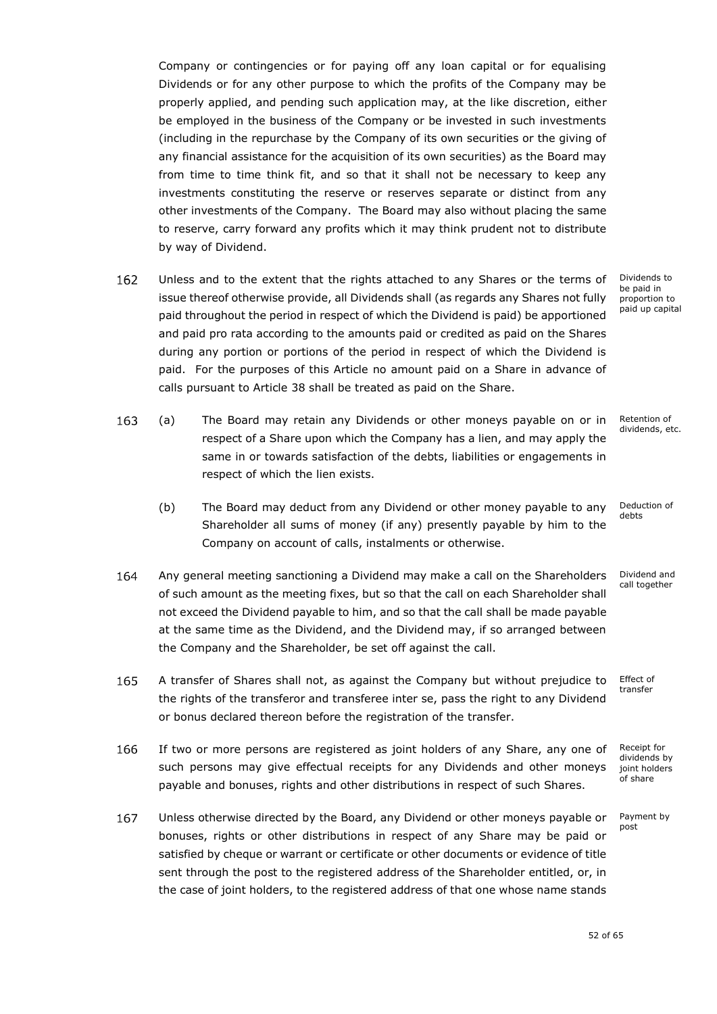Company or contingencies or for paying off any loan capital or for equalising Dividends or for any other purpose to which the profits of the Company may be properly applied, and pending such application may, at the like discretion, either be employed in the business of the Company or be invested in such investments (including in the repurchase by the Company of its own securities or the giving of any financial assistance for the acquisition of its own securities) as the Board may from time to time think fit, and so that it shall not be necessary to keep any investments constituting the reserve or reserves separate or distinct from any other investments of the Company. The Board may also without placing the same to reserve, carry forward any profits which it may think prudent not to distribute by way of Dividend.

162 Unless and to the extent that the rights attached to any Shares or the terms of issue thereof otherwise provide, all Dividends shall (as regards any Shares not fully paid throughout the period in respect of which the Dividend is paid) be apportioned and paid pro rata according to the amounts paid or credited as paid on the Shares during any portion or portions of the period in respect of which the Dividend is paid. For the purposes of this Article no amount paid on a Share in advance of calls pursuant to Article [38](#page-16-1) shall be treated as paid on the Share.

163 (a) x The Board may retain any Dividends or other moneys payable on or in respect of a Share upon which the Company has a lien, and may apply the same in or towards satisfaction of the debts, liabilities or engagements in respect of which the lien exists.

- (b) The Board may deduct from any Dividend or other money payable to any Shareholder all sums of money (if any) presently payable by him to the Company on account of calls, instalments or otherwise.
- 164 Any general meeting sanctioning a Dividend may make a call on the Shareholders x of such amount as the meeting fixes, but so that the call on each Shareholder shall not exceed the Dividend payable to him, and so that the call shall be made payable at the same time as the Dividend, and the Dividend may, if so arranged between the Company and the Shareholder, be set off against the call.
- 165 A transfer of Shares shall not, as against the Company but without prejudice to the rights of the transferor and transferee inter se, pass the right to any Dividend or bonus declared thereon before the registration of the transfer.
- 166 If two or more persons are registered as joint holders of any Share, any one of such persons may give effectual receipts for any Dividends and other moneys payable and bonuses, rights and other distributions in respect of such Shares.
- 167 Unless otherwise directed by the Board, any Dividend or other moneys payable or bonuses, rights or other distributions in respect of any Share may be paid or satisfied by cheque or warrant or certificate or other documents or evidence of title sent through the post to the registered address of the Shareholder entitled, or, in the case of joint holders, to the registered address of that one whose name stands

Dividends to be paid in proportion to paid up capital

Retention of dividends, etc.

Deduction of debts

Dividend and call together

Effect of transfer

Receipt for dividends by ioint holders of share

Payment by post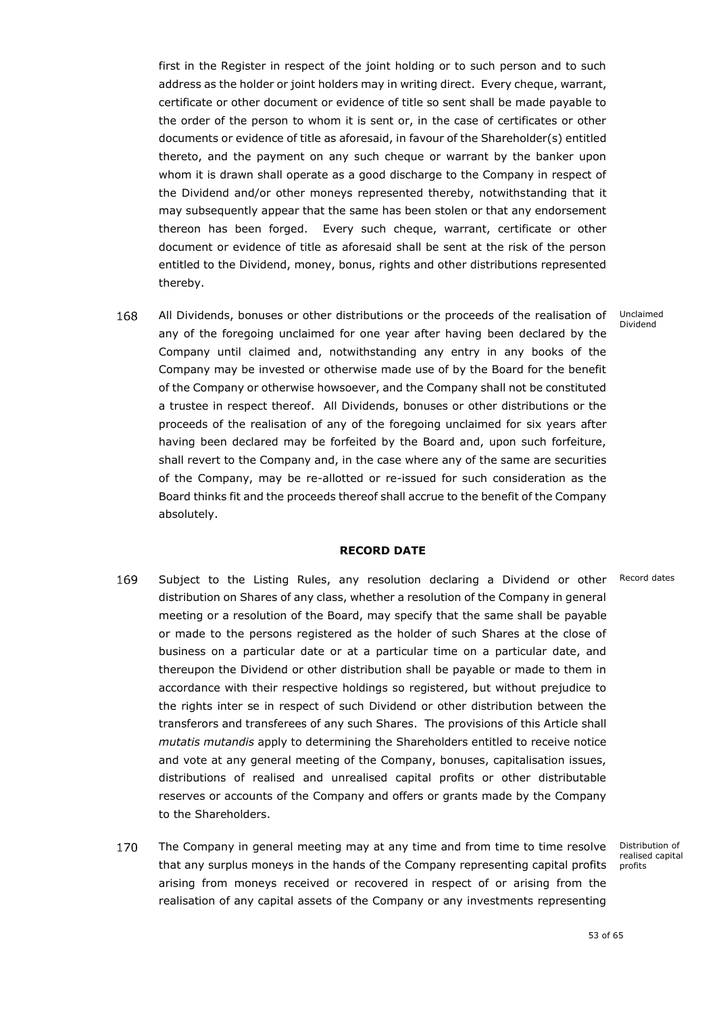first in the Register in respect of the joint holding or to such person and to such address as the holder or joint holders may in writing direct. Every cheque, warrant, certificate or other document or evidence of title so sent shall be made payable to the order of the person to whom it is sent or, in the case of certificates or other documents or evidence of title as aforesaid, in favour of the Shareholder(s) entitled thereto, and the payment on any such cheque or warrant by the banker upon whom it is drawn shall operate as a good discharge to the Company in respect of the Dividend and/or other moneys represented thereby, notwithstanding that it may subsequently appear that the same has been stolen or that any endorsement thereon has been forged. Every such cheque, warrant, certificate or other document or evidence of title as aforesaid shall be sent at the risk of the person entitled to the Dividend, money, bonus, rights and other distributions represented thereby.

168 All Dividends, bonuses or other distributions or the proceeds of the realisation of x any of the foregoing unclaimed for one year after having been declared by the Company until claimed and, notwithstanding any entry in any books of the Company may be invested or otherwise made use of by the Board for the benefit of the Company or otherwise howsoever, and the Company shall not be constituted a trustee in respect thereof. All Dividends, bonuses or other distributions or the proceeds of the realisation of any of the foregoing unclaimed for six years after having been declared may be forfeited by the Board and, upon such forfeiture, shall revert to the Company and, in the case where any of the same are securities of the Company, may be re-allotted or re-issued for such consideration as the Board thinks fit and the proceeds thereof shall accrue to the benefit of the Company absolutely.

### **RECORD DATE**

- <span id="page-54-0"></span>169 Subject to the Listing Rules, any resolution declaring a Dividend or other Record dates distribution on Shares of any class, whether a resolution of the Company in general meeting or a resolution of the Board, may specify that the same shall be payable or made to the persons registered as the holder of such Shares at the close of business on a particular date or at a particular time on a particular date, and thereupon the Dividend or other distribution shall be payable or made to them in accordance with their respective holdings so registered, but without prejudice to the rights inter se in respect of such Dividend or other distribution between the transferors and transferees of any such Shares. The provisions of this Article shall *mutatis mutandis* apply to determining the Shareholders entitled to receive notice and vote at any general meeting of the Company, bonuses, capitalisation issues, distributions of realised and unrealised capital profits or other distributable reserves or accounts of the Company and offers or grants made by the Company to the Shareholders.
- 170 The Company in general meeting may at any time and from time to time resolve x that any surplus moneys in the hands of the Company representing capital profits arising from moneys received or recovered in respect of or arising from the realisation of any capital assets of the Company or any investments representing

Distribution of realised capital profits

#### Unclaimed Dividend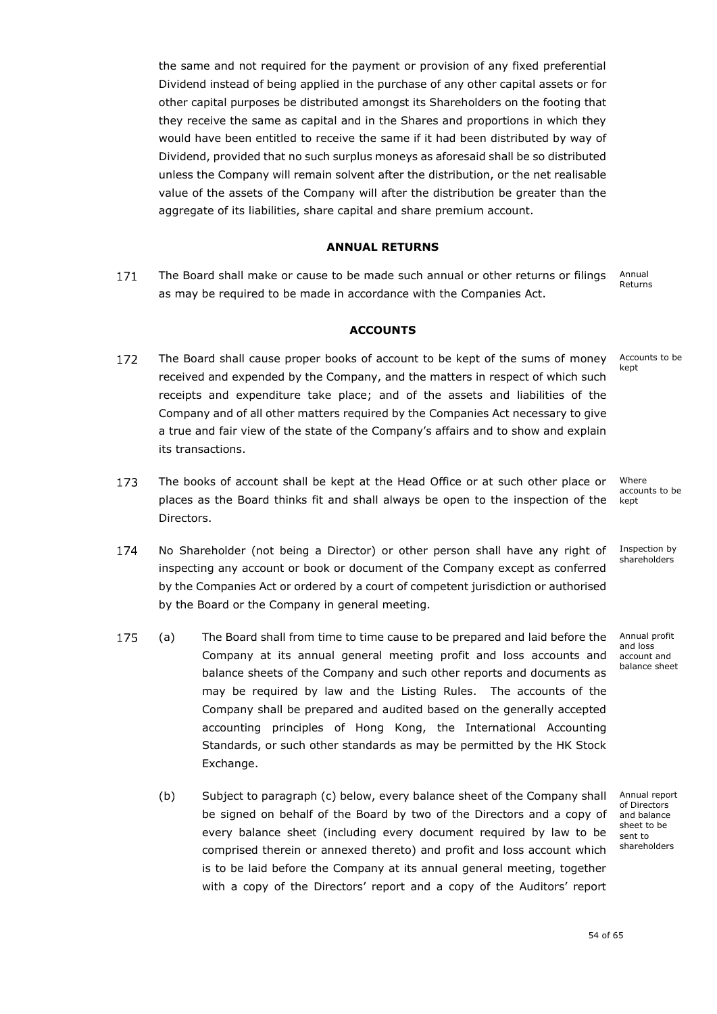the same and not required for the payment or provision of any fixed preferential Dividend instead of being applied in the purchase of any other capital assets or for other capital purposes be distributed amongst its Shareholders on the footing that they receive the same as capital and in the Shares and proportions in which they would have been entitled to receive the same if it had been distributed by way of Dividend, provided that no such surplus moneys as aforesaid shall be so distributed unless the Company will remain solvent after the distribution, or the net realisable value of the assets of the Company will after the distribution be greater than the aggregate of its liabilities, share capital and share premium account.

### **ANNUAL RETURNS**

<span id="page-55-0"></span>Annual 171 The Board shall make or cause to be made such annual or other returns or filings Returns as may be required to be made in accordance with the Companies Act.

### **ACCOUNTS**

- <span id="page-55-1"></span>Accounts to be 172 The Board shall cause proper books of account to be kept of the sums of money kept . received and expended by the Company, and the matters in respect of which such receipts and expenditure take place; and of the assets and liabilities of the Company and of all other matters required by the Companies Act necessary to give a true and fair view of the state of the Company's affairs and to show and explain its transactions.
- Where 173 The books of account shall be kept at the Head Office or at such other place or x places as the Board thinks fit and shall always be open to the inspection of the kept Directors.
- 174 No Shareholder (not being a Director) or other person shall have any right of inspecting any account or book or document of the Company except as conferred by the Companies Act or ordered by a court of competent jurisdiction or authorised by the Board or the Company in general meeting.
- 175 (a) x The Board shall from time to time cause to be prepared and laid before the Company at its annual general meeting profit and loss accounts and balance sheets of the Company and such other reports and documents as may be required by law and the Listing Rules. The accounts of the Company shall be prepared and audited based on the generally accepted accounting principles of Hong Kong, the International Accounting Standards, or such other standards as may be permitted by the HK Stock Exchange.
	- (b) Subject to paragraph [\(c\)](#page-56-1) below, every balance sheet of the Company shall be signed on behalf of the Board by two of the Directors and a copy of every balance sheet (including every document required by law to be comprised therein or annexed thereto) and profit and loss account which is to be laid before the Company at its annual general meeting, together with a copy of the Directors' report and a copy of the Auditors' report

Annual report of Directors and balance sheet to be sent to shareholders

accounts to be

Inspection by shareholders

Annual profit and loss account and balance sheet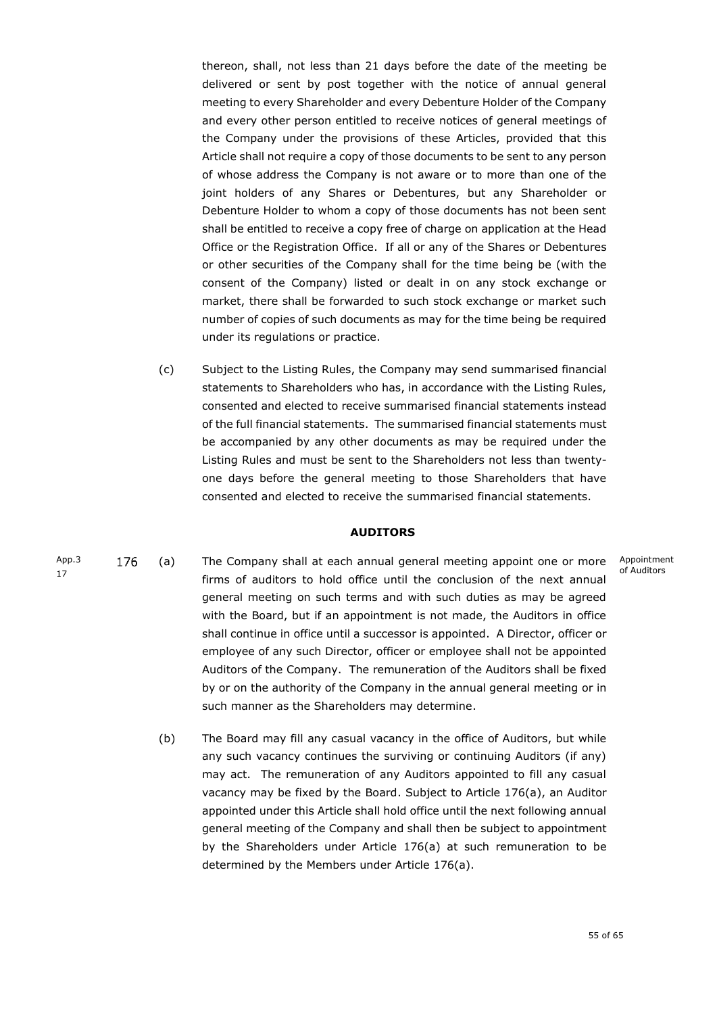thereon, shall, not less than 21 days before the date of the meeting be delivered or sent by post together with the notice of annual general meeting to every Shareholder and every Debenture Holder of the Company and every other person entitled to receive notices of general meetings of the Company under the provisions of these Articles, provided that this Article shall not require a copy of those documents to be sent to any person of whose address the Company is not aware or to more than one of the joint holders of any Shares or Debentures, but any Shareholder or Debenture Holder to whom a copy of those documents has not been sent shall be entitled to receive a copy free of charge on application at the Head Office or the Registration Office. If all or any of the Shares or Debentures or other securities of the Company shall for the time being be (with the consent of the Company) listed or dealt in on any stock exchange or market, there shall be forwarded to such stock exchange or market such number of copies of such documents as may for the time being be required under its regulations or practice.

<span id="page-56-1"></span>(c) Subject to the Listing Rules, the Company may send summarised financial statements to Shareholders who has, in accordance with the Listing Rules, consented and elected to receive summarised financial statements instead of the full financial statements. The summarised financial statements must be accompanied by any other documents as may be required under the Listing Rules and must be sent to the Shareholders not less than twentyone days before the general meeting to those Shareholders that have consented and elected to receive the summarised financial statements.

### **AUDITORS**

- <span id="page-56-0"></span>App.3 176 (a) x The Company shall at each annual general meeting appoint one or more Appointment of Auditors 17 firms of auditors to hold office until the conclusion of the next annual general meeting on such terms and with such duties as may be agreed with the Board, but if an appointment is not made, the Auditors in office shall continue in office until a successor is appointed. A Director, officer or employee of any such Director, officer or employee shall not be appointed Auditors of the Company. The remuneration of the Auditors shall be fixed by or on the authority of the Company in the annual general meeting or in such manner as the Shareholders may determine.
	- (b) The Board may fill any casual vacancy in the office of Auditors, but while any such vacancy continues the surviving or continuing Auditors (if any) may act. The remuneration of any Auditors appointed to fill any casual vacancy may be fixed by the Board. Subject to Article 176(a), an Auditor appointed under this Article shall hold office until the next following annual general meeting of the Company and shall then be subject to appointment by the Shareholders under Article 176(a) at such remuneration to be determined by the Members under Article 176(a).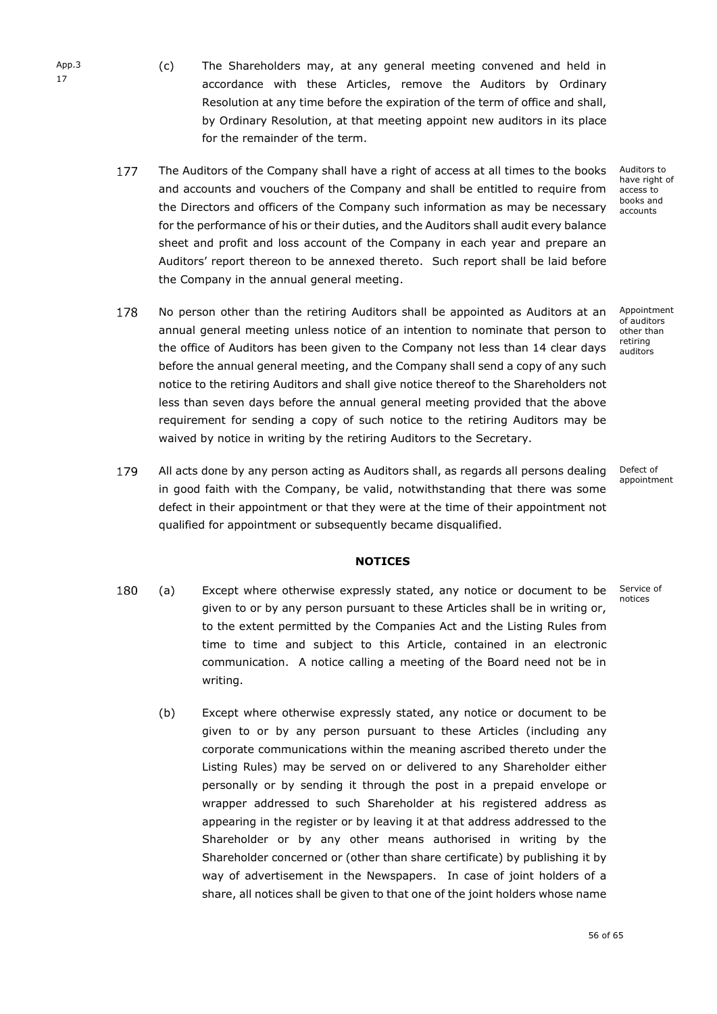- (c) The Shareholders may, at any general meeting convened and held in accordance with these Articles, remove the Auditors by Ordinary Resolution at any time before the expiration of the term of office and shall, by Ordinary Resolution, at that meeting appoint new auditors in its place for the remainder of the term.
- 177 The Auditors of the Company shall have a right of access at all times to the books x and accounts and vouchers of the Company and shall be entitled to require from the Directors and officers of the Company such information as may be necessary for the performance of his or their duties, and the Auditors shall audit every balance sheet and profit and loss account of the Company in each year and prepare an Auditors' report thereon to be annexed thereto. Such report shall be laid before the Company in the annual general meeting.
- Auditors to have right of access to books and accounts

Appointment of auditors other than retiring auditors

annual general meeting unless notice of an intention to nominate that person to the office of Auditors has been given to the Company not less than 14 clear days before the annual general meeting, and the Company shall send a copy of any such notice to the retiring Auditors and shall give notice thereof to the Shareholders not less than seven days before the annual general meeting provided that the above requirement for sending a copy of such notice to the retiring Auditors may be waived by notice in writing by the retiring Auditors to the Secretary.

No person other than the retiring Auditors shall be appointed as Auditors at an x

179 All acts done by any person acting as Auditors shall, as regards all persons dealing in good faith with the Company, be valid, notwithstanding that there was some defect in their appointment or that they were at the time of their appointment not qualified for appointment or subsequently became disqualified.

Defect of appointment

# **NOTICES**

- <span id="page-57-0"></span>180 Service of (a) x Except where otherwise expressly stated, any notice or document to be notices given to or by any person pursuant to these Articles shall be in writing or, to the extent permitted by the Companies Act and the Listing Rules from time to time and subject to this Article, contained in an electronic communication. A notice calling a meeting of the Board need not be in writing.
	- (b) Except where otherwise expressly stated, any notice or document to be given to or by any person pursuant to these Articles (including any corporate communications within the meaning ascribed thereto under the Listing Rules) may be served on or delivered to any Shareholder either personally or by sending it through the post in a prepaid envelope or wrapper addressed to such Shareholder at his registered address as appearing in the register or by leaving it at that address addressed to the Shareholder or by any other means authorised in writing by the Shareholder concerned or (other than share certificate) by publishing it by way of advertisement in the Newspapers. In case of joint holders of a share, all notices shall be given to that one of the joint holders whose name

App.3 17

178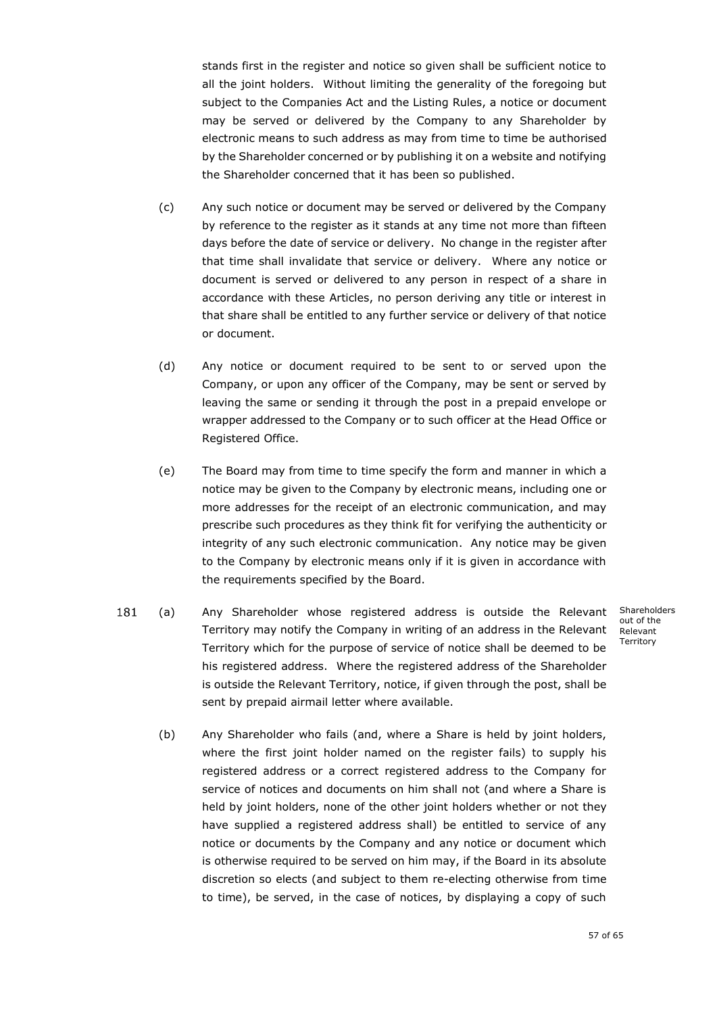stands first in the register and notice so given shall be sufficient notice to all the joint holders. Without limiting the generality of the foregoing but subject to the Companies Act and the Listing Rules, a notice or document may be served or delivered by the Company to any Shareholder by electronic means to such address as may from time to time be authorised by the Shareholder concerned or by publishing it on a website and notifying the Shareholder concerned that it has been so published.

- (c) Any such notice or document may be served or delivered by the Company by reference to the register as it stands at any time not more than fifteen days before the date of service or delivery. No change in the register after that time shall invalidate that service or delivery. Where any notice or document is served or delivered to any person in respect of a share in accordance with these Articles, no person deriving any title or interest in that share shall be entitled to any further service or delivery of that notice or document.
- (d) Any notice or document required to be sent to or served upon the Company, or upon any officer of the Company, may be sent or served by leaving the same or sending it through the post in a prepaid envelope or wrapper addressed to the Company or to such officer at the Head Office or Registered Office.
- (e) The Board may from time to time specify the form and manner in which a notice may be given to the Company by electronic means, including one or more addresses for the receipt of an electronic communication, and may prescribe such procedures as they think fit for verifying the authenticity or integrity of any such electronic communication. Any notice may be given to the Company by electronic means only if it is given in accordance with the requirements specified by the Board.
- 181 (a) x Any Shareholder whose registered address is outside the Relevant Territory may notify the Company in writing of an address in the Relevant Territory which for the purpose of service of notice shall be deemed to be his registered address. Where the registered address of the Shareholder is outside the Relevant Territory, notice, if given through the post, shall be sent by prepaid airmail letter where available.

Shareholders out of the Relevant **Territory** 

<span id="page-58-0"></span>(b) Any Shareholder who fails (and, where a Share is held by joint holders, where the first joint holder named on the register fails) to supply his registered address or a correct registered address to the Company for service of notices and documents on him shall not (and where a Share is held by joint holders, none of the other joint holders whether or not they have supplied a registered address shall) be entitled to service of any notice or documents by the Company and any notice or document which is otherwise required to be served on him may, if the Board in its absolute discretion so elects (and subject to them re-electing otherwise from time to time), be served, in the case of notices, by displaying a copy of such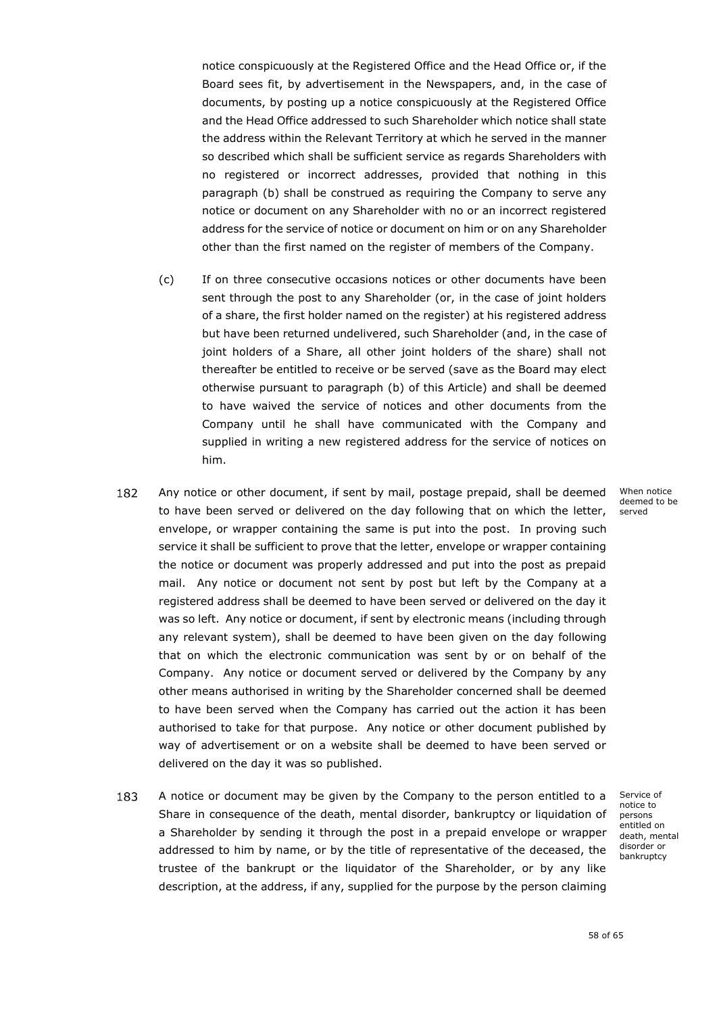notice conspicuously at the Registered Office and the Head Office or, if the Board sees fit, by advertisement in the Newspapers, and, in the case of documents, by posting up a notice conspicuously at the Registered Office and the Head Office addressed to such Shareholder which notice shall state the address within the Relevant Territory at which he served in the manner so described which shall be sufficient service as regards Shareholders with no registered or incorrect addresses, provided that nothing in this paragraph [\(b\)](#page-58-0) shall be construed as requiring the Company to serve any notice or document on any Shareholder with no or an incorrect registered address for the service of notice or document on him or on any Shareholder other than the first named on the register of members of the Company.

- (c) If on three consecutive occasions notices or other documents have been sent through the post to any Shareholder (or, in the case of joint holders of a share, the first holder named on the register) at his registered address but have been returned undelivered, such Shareholder (and, in the case of joint holders of a Share, all other joint holders of the share) shall not thereafter be entitled to receive or be served (save as the Board may elect otherwise pursuant to paragraph [\(b\)](#page-58-0) of this Article) and shall be deemed to have waived the service of notices and other documents from the Company until he shall have communicated with the Company and supplied in writing a new registered address for the service of notices on him.
- 182 Any notice or other document, if sent by mail, postage prepaid, shall be deemed to have been served or delivered on the day following that on which the letter, envelope, or wrapper containing the same is put into the post. In proving such service it shall be sufficient to prove that the letter, envelope or wrapper containing the notice or document was properly addressed and put into the post as prepaid mail. Any notice or document not sent by post but left by the Company at a registered address shall be deemed to have been served or delivered on the day it was so left. Any notice or document, if sent by electronic means (including through any relevant system), shall be deemed to have been given on the day following that on which the electronic communication was sent by or on behalf of the Company. Any notice or document served or delivered by the Company by any other means authorised in writing by the Shareholder concerned shall be deemed to have been served when the Company has carried out the action it has been authorised to take for that purpose. Any notice or other document published by way of advertisement or on a website shall be deemed to have been served or delivered on the day it was so published.
- 183 A notice or document may be given by the Company to the person entitled to a Share in consequence of the death, mental disorder, bankruptcy or liquidation of a Shareholder by sending it through the post in a prepaid envelope or wrapper addressed to him by name, or by the title of representative of the deceased, the trustee of the bankrupt or the liquidator of the Shareholder, or by any like description, at the address, if any, supplied for the purpose by the person claiming

When notice deemed to be served

Service of notice to persons entitled on death, mental disorder or bankruptcy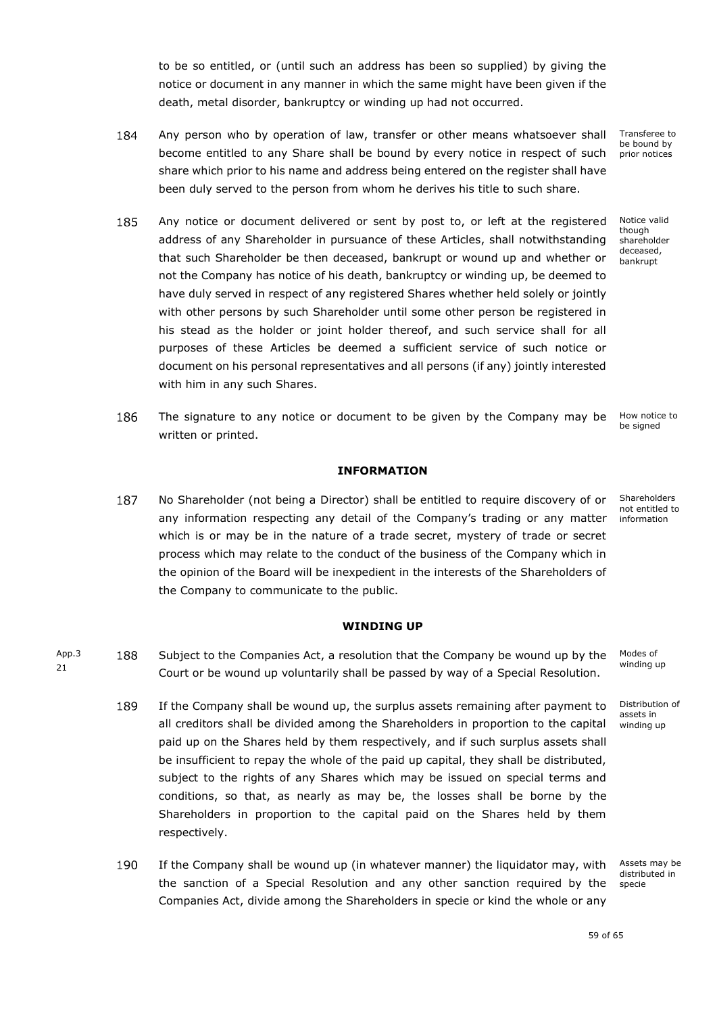to be so entitled, or (until such an address has been so supplied) by giving the notice or document in any manner in which the same might have been given if the death, metal disorder, bankruptcy or winding up had not occurred.

- 184 Any person who by operation of law, transfer or other means whatsoever shall Transferee to be bound by become entitled to any Share shall be bound by every notice in respect of such prior notices share which prior to his name and address being entered on the register shall have been duly served to the person from whom he derives his title to such share.
- 185 Any notice or document delivered or sent by post to, or left at the registered address of any Shareholder in pursuance of these Articles, shall notwithstanding that such Shareholder be then deceased, bankrupt or wound up and whether or not the Company has notice of his death, bankruptcy or winding up, be deemed to have duly served in respect of any registered Shares whether held solely or jointly with other persons by such Shareholder until some other person be registered in his stead as the holder or joint holder thereof, and such service shall for all purposes of these Articles be deemed a sufficient service of such notice or document on his personal representatives and all persons (if any) jointly interested with him in any such Shares.
- 186 The signature to any notice or document to be given by the Company may be be signed written or printed.

# **INFORMATION**

<span id="page-60-0"></span>187 No Shareholder (not being a Director) shall be entitled to require discovery of or x any information respecting any detail of the Company's trading or any matter which is or may be in the nature of a trade secret, mystery of trade or secret process which may relate to the conduct of the business of the Company which in the opinion of the Board will be inexpedient in the interests of the Shareholders of the Company to communicate to the public.

> Modes of winding up

> > Distribution of assets in winding up

Assets may be distributed in specie

59 of 65

Notice valid though shareholder deceased, bankrupt

How notice to

**Shareholders** not entitled to information

App.3 21

<span id="page-60-1"></span>188 Subject to the Companies Act, a resolution that the Company be wound up by the Court or be wound up voluntarily shall be passed by way of a Special Resolution.

**WINDING UP**

- 189 If the Company shall be wound up, the surplus assets remaining after payment to x all creditors shall be divided among the Shareholders in proportion to the capital paid up on the Shares held by them respectively, and if such surplus assets shall be insufficient to repay the whole of the paid up capital, they shall be distributed, subject to the rights of any Shares which may be issued on special terms and conditions, so that, as nearly as may be, the losses shall be borne by the Shareholders in proportion to the capital paid on the Shares held by them respectively.
- 190 If the Company shall be wound up (in whatever manner) the liquidator may, with the sanction of a Special Resolution and any other sanction required by the Companies Act, divide among the Shareholders in specie or kind the whole or any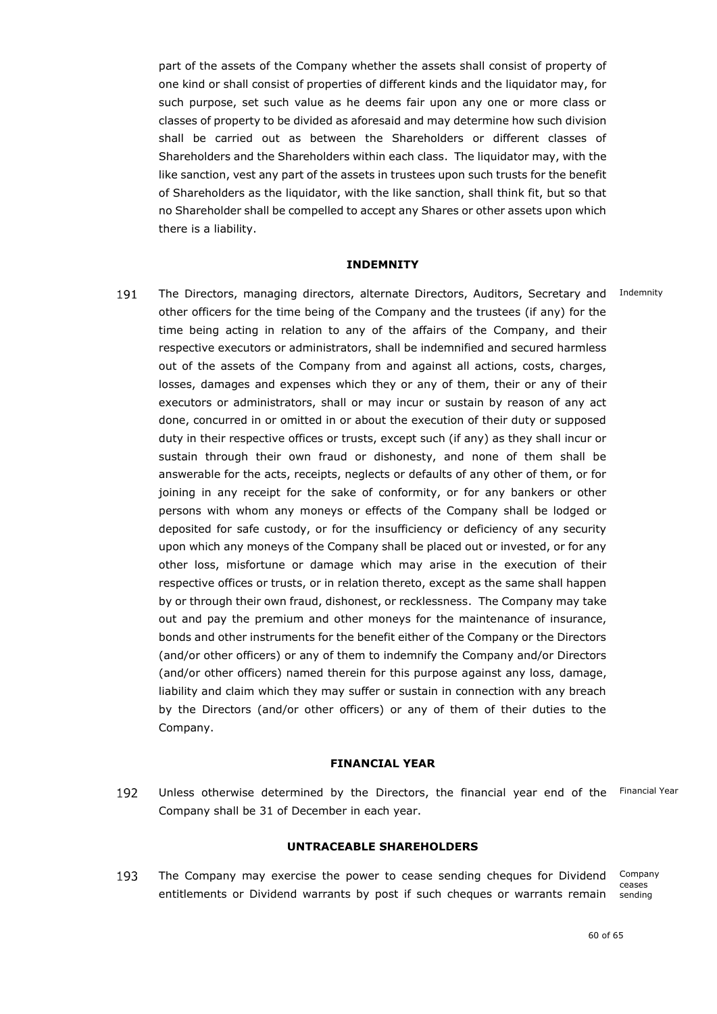part of the assets of the Company whether the assets shall consist of property of one kind or shall consist of properties of different kinds and the liquidator may, for such purpose, set such value as he deems fair upon any one or more class or classes of property to be divided as aforesaid and may determine how such division shall be carried out as between the Shareholders or different classes of Shareholders and the Shareholders within each class. The liquidator may, with the like sanction, vest any part of the assets in trustees upon such trusts for the benefit of Shareholders as the liquidator, with the like sanction, shall think fit, but so that no Shareholder shall be compelled to accept any Shares or other assets upon which there is a liability.

#### **INDEMNITY**

<span id="page-61-0"></span>191 The Directors, managing directors, alternate Directors, Auditors, Secretary and Indemnity other officers for the time being of the Company and the trustees (if any) for the time being acting in relation to any of the affairs of the Company, and their respective executors or administrators, shall be indemnified and secured harmless out of the assets of the Company from and against all actions, costs, charges, losses, damages and expenses which they or any of them, their or any of their executors or administrators, shall or may incur or sustain by reason of any act done, concurred in or omitted in or about the execution of their duty or supposed duty in their respective offices or trusts, except such (if any) as they shall incur or sustain through their own fraud or dishonesty, and none of them shall be answerable for the acts, receipts, neglects or defaults of any other of them, or for joining in any receipt for the sake of conformity, or for any bankers or other persons with whom any moneys or effects of the Company shall be lodged or deposited for safe custody, or for the insufficiency or deficiency of any security upon which any moneys of the Company shall be placed out or invested, or for any other loss, misfortune or damage which may arise in the execution of their respective offices or trusts, or in relation thereto, except as the same shall happen by or through their own fraud, dishonest, or recklessness. The Company may take out and pay the premium and other moneys for the maintenance of insurance, bonds and other instruments for the benefit either of the Company or the Directors (and/or other officers) or any of them to indemnify the Company and/or Directors (and/or other officers) named therein for this purpose against any loss, damage, liability and claim which they may suffer or sustain in connection with any breach by the Directors (and/or other officers) or any of them of their duties to the Company.

#### **FINANCIAL YEAR**

<span id="page-61-1"></span>192 Unless otherwise determined by the Directors, the financial year end of the Financial Year Company shall be 31 of December in each year.

### **UNTRACEABLE SHAREHOLDERS**

<span id="page-61-2"></span>193 The Company may exercise the power to cease sending cheques for Dividend Company ceases entitlements or Dividend warrants by post if such cheques or warrants remain sending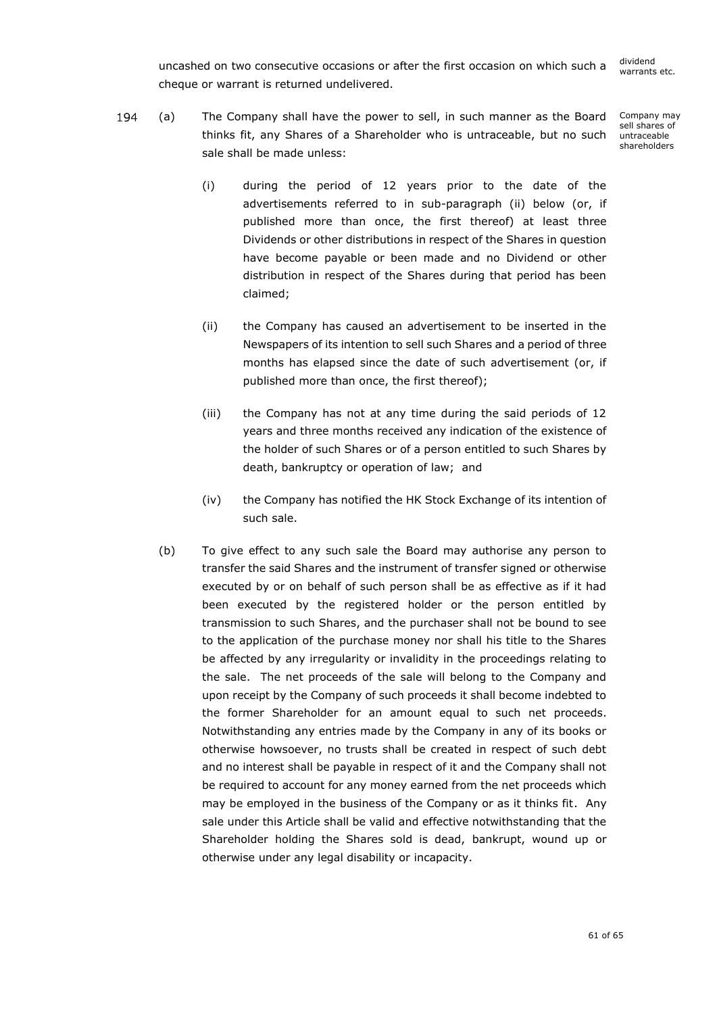uncashed on two consecutive occasions or after the first occasion on which such a cheque or warrant is returned undelivered.

194 (a) x The Company shall have the power to sell, in such manner as the Board thinks fit, any Shares of a Shareholder who is untraceable, but no such sale shall be made unless:

Company may sell shares of untraceable shareholders

- (i) during the period of 12 years prior to the date of the advertisements referred to in sub-paragraph [\(ii\)](#page-62-0) below (or, if published more than once, the first thereof) at least three Dividends or other distributions in respect of the Shares in question have become payable or been made and no Dividend or other distribution in respect of the Shares during that period has been claimed;
- <span id="page-62-0"></span>(ii) the Company has caused an advertisement to be inserted in the Newspapers of its intention to sell such Shares and a period of three months has elapsed since the date of such advertisement (or, if published more than once, the first thereof);
- (iii) the Company has not at any time during the said periods of 12 years and three months received any indication of the existence of the holder of such Shares or of a person entitled to such Shares by death, bankruptcy or operation of law; and
- (iv) the Company has notified the HK Stock Exchange of its intention of such sale.
- (b) To give effect to any such sale the Board may authorise any person to transfer the said Shares and the instrument of transfer signed or otherwise executed by or on behalf of such person shall be as effective as if it had been executed by the registered holder or the person entitled by transmission to such Shares, and the purchaser shall not be bound to see to the application of the purchase money nor shall his title to the Shares be affected by any irregularity or invalidity in the proceedings relating to the sale. The net proceeds of the sale will belong to the Company and upon receipt by the Company of such proceeds it shall become indebted to the former Shareholder for an amount equal to such net proceeds. Notwithstanding any entries made by the Company in any of its books or otherwise howsoever, no trusts shall be created in respect of such debt and no interest shall be payable in respect of it and the Company shall not be required to account for any money earned from the net proceeds which may be employed in the business of the Company or as it thinks fit. Any sale under this Article shall be valid and effective notwithstanding that the Shareholder holding the Shares sold is dead, bankrupt, wound up or otherwise under any legal disability or incapacity.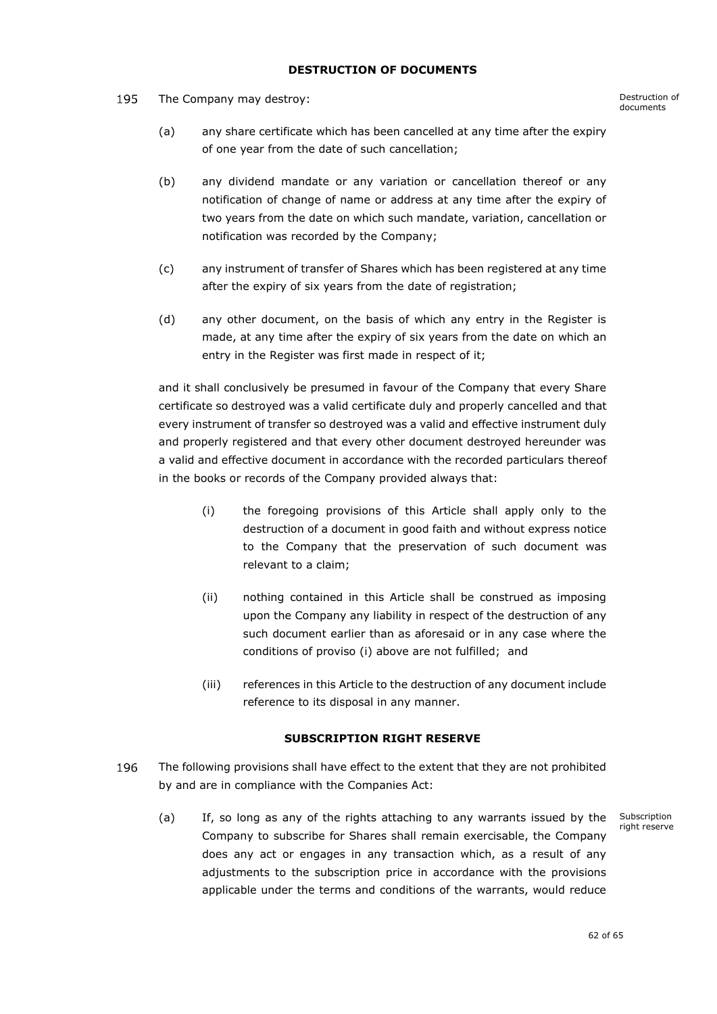# **DESTRUCTION OF DOCUMENTS**

<span id="page-63-0"></span>195 The Company may destroy: The Company may destroy:

- (a) any share certificate which has been cancelled at any time after the expiry of one year from the date of such cancellation;
- (b) any dividend mandate or any variation or cancellation thereof or any notification of change of name or address at any time after the expiry of two years from the date on which such mandate, variation, cancellation or notification was recorded by the Company;
- (c) any instrument of transfer of Shares which has been registered at any time after the expiry of six years from the date of registration;
- (d) any other document, on the basis of which any entry in the Register is made, at any time after the expiry of six years from the date on which an entry in the Register was first made in respect of it;

and it shall conclusively be presumed in favour of the Company that every Share certificate so destroyed was a valid certificate duly and properly cancelled and that every instrument of transfer so destroyed was a valid and effective instrument duly and properly registered and that every other document destroyed hereunder was a valid and effective document in accordance with the recorded particulars thereof in the books or records of the Company provided always that:

- (i) the foregoing provisions of this Article shall apply only to the destruction of a document in good faith and without express notice to the Company that the preservation of such document was relevant to a claim;
- (ii) nothing contained in this Article shall be construed as imposing upon the Company any liability in respect of the destruction of any such document earlier than as aforesaid or in any case where the conditions of proviso (i) above are not fulfilled; and
- (iii) references in this Article to the destruction of any document include reference to its disposal in any manner.

# **SUBSCRIPTION RIGHT RESERVE**

- <span id="page-63-1"></span>196 The following provisions shall have effect to the extent that they are not prohibited by and are in compliance with the Companies Act:
	- (a) If, so long as any of the rights attaching to any warrants issued by the Company to subscribe for Shares shall remain exercisable, the Company does any act or engages in any transaction which, as a result of any adjustments to the subscription price in accordance with the provisions applicable under the terms and conditions of the warrants, would reduce

Subscription right reserve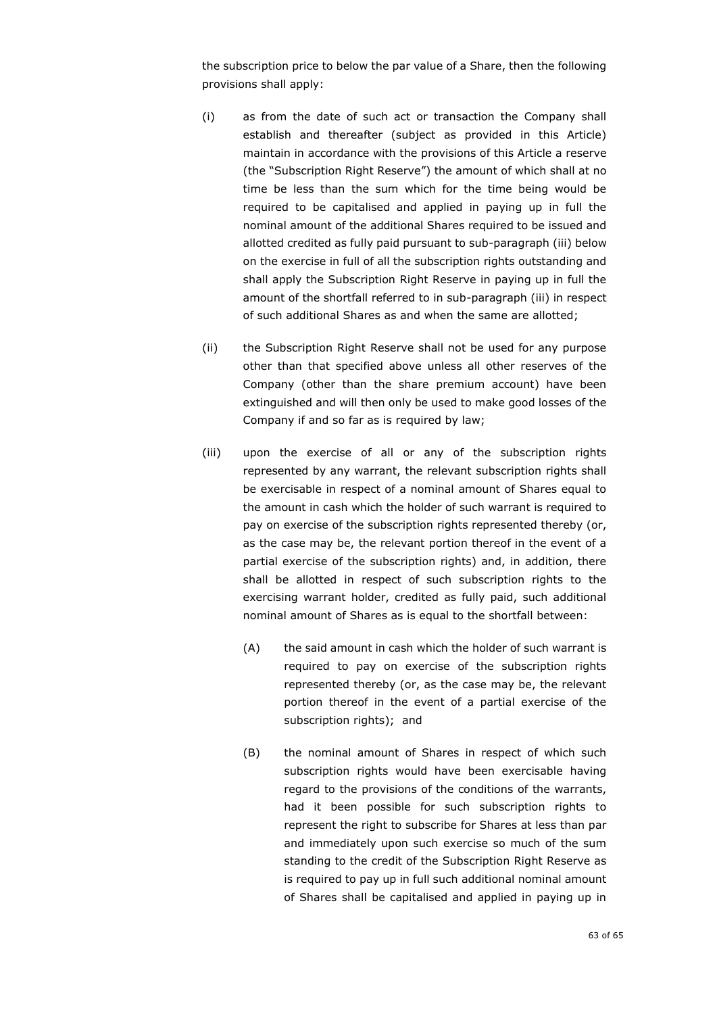the subscription price to below the par value of a Share, then the following provisions shall apply:

- (i) as from the date of such act or transaction the Company shall establish and thereafter (subject as provided in this Article) maintain in accordance with the provisions of this Article a reserve (the "Subscription Right Reserve") the amount of which shall at no time be less than the sum which for the time being would be required to be capitalised and applied in paying up in full the nominal amount of the additional Shares required to be issued and allotted credited as fully paid pursuant to sub-paragraph (iii) below on the exercise in full of all the subscription rights outstanding and shall apply the Subscription Right Reserve in paying up in full the amount of the shortfall referred to in sub-paragraph (iii) in respect of such additional Shares as and when the same are allotted;
- (ii) the Subscription Right Reserve shall not be used for any purpose other than that specified above unless all other reserves of the Company (other than the share premium account) have been extinguished and will then only be used to make good losses of the Company if and so far as is required by law;
- (iii) upon the exercise of all or any of the subscription rights represented by any warrant, the relevant subscription rights shall be exercisable in respect of a nominal amount of Shares equal to the amount in cash which the holder of such warrant is required to pay on exercise of the subscription rights represented thereby (or, as the case may be, the relevant portion thereof in the event of a partial exercise of the subscription rights) and, in addition, there shall be allotted in respect of such subscription rights to the exercising warrant holder, credited as fully paid, such additional nominal amount of Shares as is equal to the shortfall between:
	- (A) the said amount in cash which the holder of such warrant is required to pay on exercise of the subscription rights represented thereby (or, as the case may be, the relevant portion thereof in the event of a partial exercise of the subscription rights); and
	- (B) the nominal amount of Shares in respect of which such subscription rights would have been exercisable having regard to the provisions of the conditions of the warrants, had it been possible for such subscription rights to represent the right to subscribe for Shares at less than par and immediately upon such exercise so much of the sum standing to the credit of the Subscription Right Reserve as is required to pay up in full such additional nominal amount of Shares shall be capitalised and applied in paying up in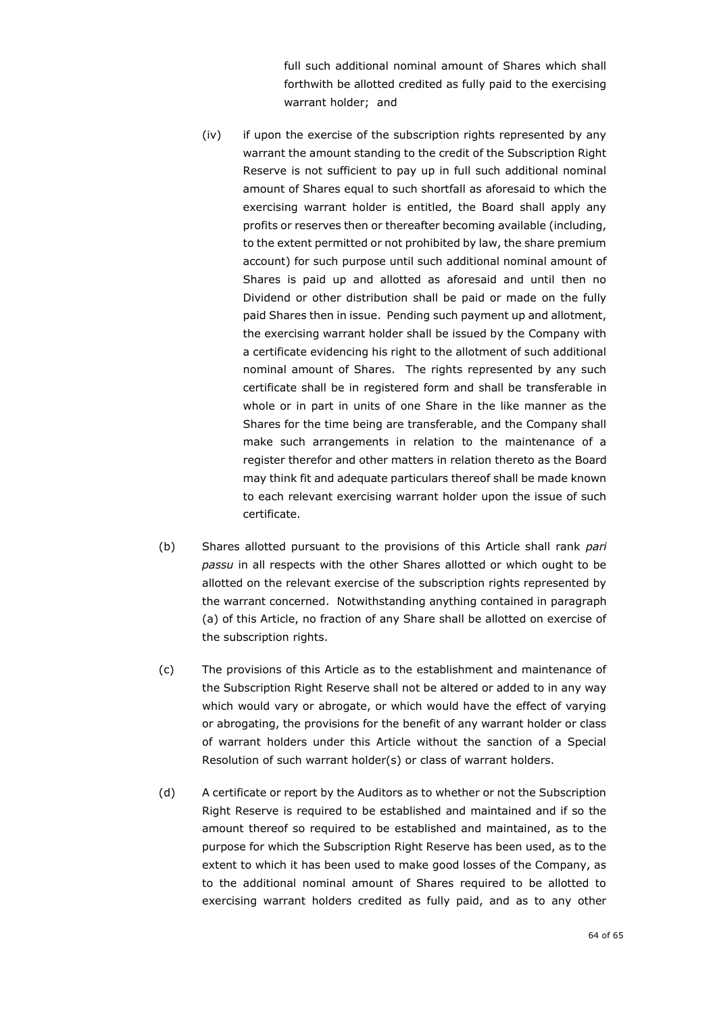full such additional nominal amount of Shares which shall forthwith be allotted credited as fully paid to the exercising warrant holder; and

- (iv) if upon the exercise of the subscription rights represented by any warrant the amount standing to the credit of the Subscription Right Reserve is not sufficient to pay up in full such additional nominal amount of Shares equal to such shortfall as aforesaid to which the exercising warrant holder is entitled, the Board shall apply any profits or reserves then or thereafter becoming available (including, to the extent permitted or not prohibited by law, the share premium account) for such purpose until such additional nominal amount of Shares is paid up and allotted as aforesaid and until then no Dividend or other distribution shall be paid or made on the fully paid Shares then in issue. Pending such payment up and allotment, the exercising warrant holder shall be issued by the Company with a certificate evidencing his right to the allotment of such additional nominal amount of Shares. The rights represented by any such certificate shall be in registered form and shall be transferable in whole or in part in units of one Share in the like manner as the Shares for the time being are transferable, and the Company shall make such arrangements in relation to the maintenance of a register therefor and other matters in relation thereto as the Board may think fit and adequate particulars thereof shall be made known to each relevant exercising warrant holder upon the issue of such certificate.
- (b) Shares allotted pursuant to the provisions of this Article shall rank *pari passu* in all respects with the other Shares allotted or which ought to be allotted on the relevant exercise of the subscription rights represented by the warrant concerned. Notwithstanding anything contained in paragraph (a) of this Article, no fraction of any Share shall be allotted on exercise of the subscription rights.
- (c) The provisions of this Article as to the establishment and maintenance of the Subscription Right Reserve shall not be altered or added to in any way which would vary or abrogate, or which would have the effect of varying or abrogating, the provisions for the benefit of any warrant holder or class of warrant holders under this Article without the sanction of a Special Resolution of such warrant holder(s) or class of warrant holders.
- (d) A certificate or report by the Auditors as to whether or not the Subscription Right Reserve is required to be established and maintained and if so the amount thereof so required to be established and maintained, as to the purpose for which the Subscription Right Reserve has been used, as to the extent to which it has been used to make good losses of the Company, as to the additional nominal amount of Shares required to be allotted to exercising warrant holders credited as fully paid, and as to any other